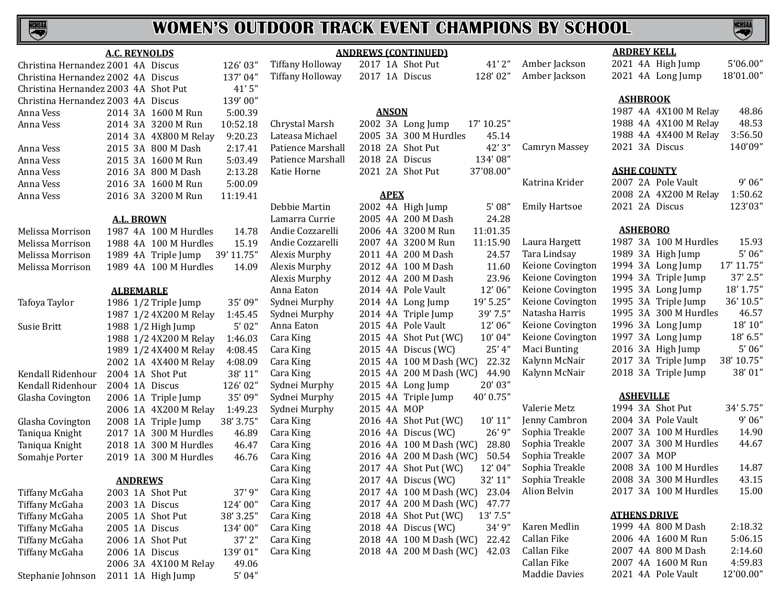# **NCHSAA**

# **WOMEN'S OUTDOOR TRACK EVENT CHAMPIONS BY SCHOOL**

|                                    | <b>A.C. REYNOLDS</b>                          |                         | <b>ANDREWS (CONTINUED)</b>        |                                | <b>ARDREY KELL</b>                |  |  |
|------------------------------------|-----------------------------------------------|-------------------------|-----------------------------------|--------------------------------|-----------------------------------|--|--|
| Christina Hernandez 2001 4A Discus | 126'03"                                       | <b>Tiffany Holloway</b> | 2017 1A Shot Put                  | Amber Jackson<br>41'2''        | 5'06.00"<br>2021 4A High Jump     |  |  |
| Christina Hernandez 2002 4A Discus | 137'04"                                       | <b>Tiffany Holloway</b> | 128'02"<br>2017 1A Discus         | Amber Jackson                  | 18'01.00"<br>2021 4A Long Jump    |  |  |
|                                    | 41'5"<br>Christina Hernandez 2003 4A Shot Put |                         |                                   |                                |                                   |  |  |
| Christina Hernandez 2003 4A Discus | 139'00"                                       |                         |                                   |                                | <b>ASHBROOK</b>                   |  |  |
| Anna Vess                          | 2014 3A 1600 M Run<br>5:00.39                 |                         | <b>ANSON</b>                      |                                | 1987 4A 4X100 M Relay<br>48.86    |  |  |
| Anna Vess                          | 2014 3A 3200 M Run<br>10:52.18                | Chrystal Marsh          | 2002 3A Long Jump<br>17' 10.25"   |                                | 48.53<br>1988 4A 4X100 M Relay    |  |  |
|                                    | 9:20.23<br>2014 3A 4X800 M Relay              | Lateasa Michael         | 2005 3A 300 M Hurdles             | 45.14                          | 3:56.50<br>1988 4A 4X400 M Relay  |  |  |
| Anna Vess                          | 2015 3A 800 M Dash<br>2:17.41                 | Patience Marshall       | 2018 2A Shot Put                  | 42'3"<br>Camryn Massey         | 140'09"<br>2021 3A Discus         |  |  |
| Anna Vess                          | 2015 3A 1600 M Run<br>5:03.49                 | Patience Marshall       | 134'08"<br>2018 2A Discus         |                                |                                   |  |  |
| Anna Vess                          | 2:13.28<br>2016 3A 800 M Dash                 | Katie Horne             | 2021 2A Shot Put<br>37'08.00"     |                                | <b>ASHE COUNTY</b>                |  |  |
| Anna Vess                          | 5:00.09<br>2016 3A 1600 M Run                 |                         |                                   | Katrina Krider                 | 2007 2A Pole Vault<br>9'06''      |  |  |
| Anna Vess                          | 2016 3A 3200 M Run<br>11:19.41                |                         | <b>APEX</b>                       |                                | 2008 2A 4X200 M Relay<br>1:50.62  |  |  |
|                                    |                                               | Debbie Martin           | 2002 4A High Jump                 | <b>Emily Hartsoe</b><br>5'08'' | 123'03"<br>2021 2A Discus         |  |  |
|                                    | <b>A.L. BROWN</b>                             | Lamarra Currie          | 2005 4A 200 M Dash                | 24.28                          |                                   |  |  |
| Melissa Morrison                   | 1987 4A 100 M Hurdles<br>14.78                | Andie Cozzarelli        | 2006 4A 3200 M Run<br>11:01.35    |                                | <b>ASHEBORO</b>                   |  |  |
| Melissa Morrison                   | 1988 4A 100 M Hurdles<br>15.19                | Andie Cozzarelli        | 11:15.90<br>2007 4A 3200 M Run    | Laura Hargett                  | 1987 3A 100 M Hurdles<br>15.93    |  |  |
| Melissa Morrison                   | 39' 11.75"<br>1989 4A Triple Jump             | Alexis Murphy           | 2011 4A 200 M Dash                | Tara Lindsay<br>24.57          | 5'06''<br>1989 3A High Jump       |  |  |
| Melissa Morrison                   | 1989 4A 100 M Hurdles<br>14.09                | Alexis Murphy           | 2012 4A 100 M Dash                | Keione Covington<br>11.60      | 1994 3A Long Jump<br>17' 11.75"   |  |  |
|                                    |                                               | Alexis Murphy           | 2012 4A 200 M Dash                | Keione Covington<br>23.96      | 1994 3A Triple Jump<br>37' 2.5"   |  |  |
|                                    | <b>ALBEMARLE</b>                              | Anna Eaton              | 12'06"<br>2014 4A Pole Vault      | Keione Covington               | 1995 3A Long Jump<br>18' 1.75"    |  |  |
| Tafoya Taylor                      | 1986 1/2 Triple Jump<br>35'09"                | Sydnei Murphy           | 19' 5.25"<br>2014 4A Long Jump    | Keione Covington               | 1995 3A Triple Jump<br>36' 10.5"  |  |  |
|                                    | 1987 1/2 4X200 M Relay<br>1:45.45             | Sydnei Murphy           | 39' 7.5"<br>2014 4A Triple Jump   | Natasha Harris                 | 1995 3A 300 M Hurdles<br>46.57    |  |  |
| Susie Britt                        | 5'02''<br>1988 1/2 High Jump                  | Anna Eaton              | 2015 4A Pole Vault<br>12'06"      | Keione Covington               | 18' 10"<br>1996 3A Long Jump      |  |  |
|                                    | 1988 1/2 4X200 M Relay<br>1:46.03             | Cara King               | 2015 4A Shot Put (WC)<br>10'04"   | Keione Covington               | 1997 3A Long Jump<br>18' 6.5"     |  |  |
|                                    | 1989 1/2 4X400 M Relay<br>4:08.45             | Cara King               | 2015 4A Discus (WC)               | Maci Bunting<br>$25'$ 4"       | $5'$ 06"<br>2016 3A High Jump     |  |  |
|                                    | 2002 1A 4X400 M Relay<br>4:08.09              | Cara King               | 2015 4A 100 M Dash (WC)           | Kalynn McNair<br>22.32         | 2017 3A Triple Jump<br>38' 10.75" |  |  |
| Kendall Ridenhour                  | 2004 1A Shot Put<br>38' 11"                   | Cara King               | 2015 4A 200 M Dash (WC)           | Kalynn McNair<br>44.90         | 2018 3A Triple Jump<br>38'01"     |  |  |
| Kendall Ridenhour                  | 126'02"<br>2004 1A Discus                     | Sydnei Murphy           | 20'03"<br>2015 4A Long Jump       |                                |                                   |  |  |
| Glasha Covington                   | 35'09"<br>2006 1A Triple Jump                 | Sydnei Murphy           | 40' 0.75"<br>2015 4A Triple Jump  |                                | <b>ASHEVILLE</b>                  |  |  |
|                                    | 2006 1A 4X200 M Relay<br>1:49.23              | Sydnei Murphy           | 2015 4A MOP                       | Valerie Metz                   | 34' 5.75"<br>1994 3A Shot Put     |  |  |
| Glasha Covington                   | 2008 1A Triple Jump<br>38' 3.75"              | Cara King               | 10' 11"<br>2016 4A Shot Put (WC)  | Jenny Cambron                  | 9'06''<br>2004 3A Pole Vault      |  |  |
| Taniqua Knight                     | 2017 1A 300 M Hurdles<br>46.89                | Cara King               | 2016 4A Discus (WC)               | Sophia Treakle<br>26'9''       | 2007 3A 100 M Hurdles<br>14.90    |  |  |
| Taniqua Knight                     | 2018 1A 300 M Hurdles<br>46.47                | Cara King               | 2016 4A 100 M Dash (WC)           | Sophia Treakle<br>28.80        | 2007 3A 300 M Hurdles<br>44.67    |  |  |
| Somahje Porter                     | 2019 1A 300 M Hurdles<br>46.76                | Cara King               | 2016 4A 200 M Dash (WC)           | Sophia Treakle<br>50.54        | 2007 3A MOP                       |  |  |
|                                    |                                               | Cara King               | 2017 4A Shot Put (WC)<br>12' 04"  | Sophia Treakle                 | 2008 3A 100 M Hurdles<br>14.87    |  |  |
|                                    | <b>ANDREWS</b>                                | Cara King               | 32' 11"<br>2017 4A Discus (WC)    | Sophia Treakle                 | 2008 3A 300 M Hurdles<br>43.15    |  |  |
| Tiffany McGaha                     | 2003 1A Shot Put<br>37'9"                     | Cara King               | 2017 4A 100 M Dash (WC)           | 23.04<br>Alion Belvin          | 15.00<br>2017 3A 100 M Hurdles    |  |  |
| Tiffany McGaha                     | 2003 1A Discus<br>124'00"                     | Cara King               | 2017 4A 200 M Dash (WC)           | 47.77                          |                                   |  |  |
| Tiffany McGaha                     | 2005 1A Shot Put<br>38' 3.25"                 | Cara King               | 2018 4A Shot Put (WC)<br>13' 7.5" |                                | <b>ATHENS DRIVE</b>               |  |  |
| Tiffany McGaha                     | 134'00"<br>2005 1A Discus                     | Cara King               | 2018 4A Discus (WC)               | Karen Medlin<br>34'9''         | 1999 4A 800 M Dash<br>2:18.32     |  |  |
| Tiffany McGaha                     | $37'$ $2"$<br>2006 1A Shot Put                | Cara King               | 2018 4A 100 M Dash (WC)           | Callan Fike<br>22.42           | 5:06.15<br>2006 4A 1600 M Run     |  |  |
| Tiffany McGaha                     | 2006 1A Discus<br>139'01"                     | Cara King               | 2018 4A 200 M Dash (WC)           | Callan Fike<br>42.03           | 2:14.60<br>2007 4A 800 M Dash     |  |  |
|                                    | 49.06<br>2006 3A 4X100 M Relay                |                         |                                   | Callan Fike                    | 4:59.83<br>2007 4A 1600 M Run     |  |  |
| Stephanie Johnson                  | 5'04''<br>2011 1A High Jump                   |                         |                                   | <b>Maddie Davies</b>           | 12'00.00"<br>2021 4A Pole Vault   |  |  |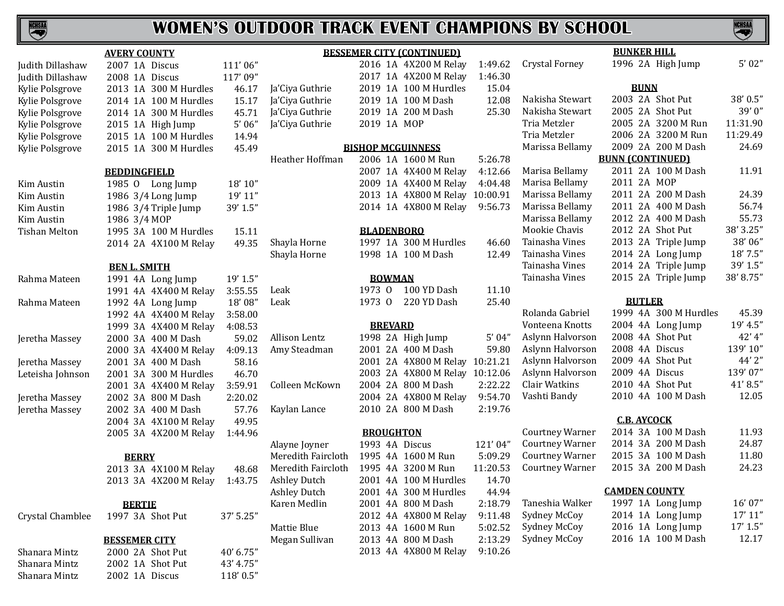

| Judith Dillashaw |
|------------------|
| Judith Dillashaw |
| Kylie Polsgrove  |
| Kylie Polsgrove  |
| Kylie Polsgrove  |
| Kylie Polsgrove  |
| Kylie Polsgrove  |
| Kylie Polsgrove  |

| Rahma Mateen   |
|----------------|
| Rahma Mateen   |
| Jeretha Massey |

| <u>AVERY COUNTY</u>  |                      |              |                    |           |  |  |  |
|----------------------|----------------------|--------------|--------------------|-----------|--|--|--|
| Judith Dillashaw     | 2007                 | 1A           | Discus             | 111'06"   |  |  |  |
| Judith Dillashaw     | 2008                 | 1A           | <b>Discus</b>      | 117'09"   |  |  |  |
| Kylie Polsgrove      | 2013                 | 1A           | 300 M Hurdles      | 46.17     |  |  |  |
| Kylie Polsgrove      | 2014                 | 1A           | 100 M Hurdles      | 15.17     |  |  |  |
| Kylie Polsgrove      | 2014                 | 1A           | 300 M Hurdles      | 45.71     |  |  |  |
| Kylie Polsgrove      | 2015                 | 1A           | High Jump          | 5'06''    |  |  |  |
| Kylie Polsgrove      | 2015                 | 1A           | 100 M Hurdles      | 14.94     |  |  |  |
| Kylie Polsgrove      | 2015                 | 1A           | 300 M Hurdles      | 45.49     |  |  |  |
|                      | <b>BEDDINGFIELD</b>  |              |                    |           |  |  |  |
| Kim Austin           | 1985 0               |              | Long Jump          | 18' 10"   |  |  |  |
| Kim Austin           |                      |              | 1986 3/4 Long Jump | 19' 11"   |  |  |  |
| Kim Austin           | 1986                 |              | 3/4 Triple Jump    | 39' 1.5"  |  |  |  |
| Kim Austin           | 1986                 |              | 3/4 MOP            |           |  |  |  |
| <b>Tishan Melton</b> | 1995                 | 3A           | 100 M Hurdles      | 15.11     |  |  |  |
|                      | 2014 2A              |              | 4X100 M Relay      | 49.35     |  |  |  |
|                      | <b>BEN L. SMITH</b>  |              |                    |           |  |  |  |
| Rahma Mateen         | 1991                 | 4A           | Long Jump          | 19' 1.5"  |  |  |  |
|                      | 1991                 | 4A           | 4X400 M Relay      | 3:55.55   |  |  |  |
| Rahma Mateen         | 1992                 | 4A           | Long Jump          | 18'08"    |  |  |  |
|                      | 1992                 | 4A           | 4X400 M Relay      | 3:58.00   |  |  |  |
|                      | 1999                 | 3A           | 4X400 M Relay      | 4:08.53   |  |  |  |
| Jeretha Massey       | 2000                 | 3A           | 400 M Dash         | 59.02     |  |  |  |
|                      | 2000                 | 3A           | 4X400 M Relay      | 4:09.13   |  |  |  |
| Jeretha Massey       | 2001                 | 3A           | 400 M Dash         | 58.16     |  |  |  |
| Leteisha Johnson     | 2001                 | 3A           | 300 M Hurdles      | 46.70     |  |  |  |
|                      | 2001                 | 3A           | 4X400 M Relay      | 3:59.91   |  |  |  |
| Jeretha Massey       | 2002                 | 3A           | 800 M Dash         | 2:20.02   |  |  |  |
| Jeretha Massey       | 2002                 | 3A           | 400 M Dash         | 57.76     |  |  |  |
|                      | 2004                 | 3A           | 4X100 M Relay      | 49.95     |  |  |  |
|                      | 2005                 | 3A           | 4X200 M Relay      | 1:44.96   |  |  |  |
|                      |                      | <b>BERRY</b> |                    |           |  |  |  |
|                      | 2013                 | 3A           | 4X100 M Relay      | 48.68     |  |  |  |
|                      | 2013 3A              |              | 4X200 M Relay      | 1:43.75   |  |  |  |
| <b>BERTIE</b>        |                      |              |                    |           |  |  |  |
| Crystal Chamblee     |                      |              | 1997 3A Shot Put   | 37' 5.25" |  |  |  |
|                      | <b>BESSEMER CITY</b> |              |                    |           |  |  |  |
| Shanara Mintz        |                      |              | 2000 2A Shot Put   | 40' 6.75" |  |  |  |
| Shanara Mintz        |                      |              | 2002 1A Shot Put   | 43' 4.75" |  |  |  |
| Shanara Mintz        |                      |              | 2002 1A Discus     | 118'0.5"  |  |  |  |

| <b>BESSEMER CITY (CONTINUED)</b> |  |  |
|----------------------------------|--|--|
|                                  |  |  |

|                 |             | 2016 1A 4X200 M Relay | 1:49.62 Cryst |        |
|-----------------|-------------|-----------------------|---------------|--------|
|                 |             | 2017 1A 4X200 M Relay | 1:46.30       |        |
| Ja'Ciya Guthrie |             | 2019 1A 100 M Hurdles | 15.04         |        |
| Ja'Ciya Guthrie |             | 2019 1A 100 M Dash    | 12.08         | Nakis  |
| Ja'Ciya Guthrie |             | 2019 1A 200 M Dash    | 25.30         | Nakis  |
| Ja'Ciya Guthrie | 2019 1A MOP |                       |               | Tria I |
|                 |             |                       |               |        |

#### **BISHOP MCGU** Heather Hoffman

|  | 2006 IA 1600 M Run             | 5:26.78 |
|--|--------------------------------|---------|
|  | 2007 1A 4X400 M Relay          | 4:12.66 |
|  | 2009 1A 4X400 M Relay          | 4:04.48 |
|  | 2013 1A 4X800 M Relay 10:00.91 |         |
|  | 2014 1A 4X800 M Relay 9:56.73  |         |
|  |                                |         |

## **BLADENBO**

| Shayla Horne | 1997 1A 300 M Hurdles |
|--------------|-----------------------|
| Shayla Horne | 1998 1A 100 M Dash    |

## **BOWMA**

| Leak | 1973 0 100 YD Dash | 11.10 |
|------|--------------------|-------|
| Leak | 1973 0 220 YD Dash | 25.40 |

## **BREVAR**

| Allison Lentz  |  | 1998 2A High Jump              | 5'04''  |
|----------------|--|--------------------------------|---------|
| Amy Steadman   |  | 2001 2A 400 M Dash             | 59.80   |
|                |  | 2001 2A 4X800 M Relay 10:21.21 |         |
|                |  | 2003 2A 4X800 M Relay 10:12.06 |         |
| Colleen McKown |  | 2004 2A 800 M Dash             | 2:22.22 |
|                |  | 2004 2A 4X800 M Relay          | 9:54.70 |
| Kaylan Lance   |  | 2010 2A 800 M Dash             | 2:19.76 |

## **BROUGHT**

| Alayne Joyner       |  | 1993 4A Discus        | 121'04"  |
|---------------------|--|-----------------------|----------|
| Meredith Faircloth  |  | 1995 4A 1600 M Run    | 5:09.29  |
| Meredith Faircloth  |  | 1995 4A 3200 M Run    | 11:20.53 |
| <b>Ashley Dutch</b> |  | 2001 4A 100 M Hurdles | 14.70    |
| <b>Ashley Dutch</b> |  | 2001 4A 300 M Hurdles | 44.94    |
| Karen Medlin        |  | 2001 4A 800 M Dash    | 2:18.79  |
|                     |  | 2012 4A 4X800 M Relay | 9:11.48  |
| Mattie Blue         |  | 2013 4A 1600 M Run    | 5:02.52  |
| Megan Sullivan      |  | 2013 4A 800 M Dash    | 2:13.29  |
|                     |  | 2013 4A 4X800 M Relay | 9:10.26  |

|                     |                          | 2017 1A 4X200 M Relay | 1:46.30  |                        |             |
|---------------------|--------------------------|-----------------------|----------|------------------------|-------------|
| Ja'Ciya Guthrie     |                          | 2019 1A 100 M Hurdles | 15.04    |                        |             |
| Ja'Ciya Guthrie     |                          | 2019 1A 100 M Dash    | 12.08    | Nakisha Stewart        | 20          |
| Ja'Ciya Guthrie     |                          | 2019 1A 200 M Dash    | 25.30    | Nakisha Stewart        | 20          |
| Ja'Ciya Guthrie     | 2019 1A MOP              |                       |          | Tria Metzler           | 20          |
|                     |                          |                       |          | Tria Metzler           | 20          |
|                     | <b>BISHOP MCGUINNESS</b> |                       |          | Marissa Bellamy        | 20          |
| Heather Hoffman     |                          | 2006 1A 1600 M Run    | 5:26.78  |                        | <b>BUNN</b> |
|                     |                          | 2007 1A 4X400 M Relay | 4:12.66  | Marisa Bellamy         | 20          |
|                     |                          | 2009 1A 4X400 M Relay | 4:04.48  | Marisa Bellamy         | 20          |
|                     |                          | 2013 1A 4X800 M Relay | 10:00.91 | Marissa Bellamy        | 20          |
|                     |                          | 2014 1A 4X800 M Relay | 9:56.73  | Marissa Bellamy        | 20          |
|                     |                          |                       |          | Marissa Bellamy        | 20          |
|                     | <b>BLADENBORO</b>        |                       |          | Mookie Chavis          | 20          |
| Shayla Horne        |                          | 1997 1A 300 M Hurdles | 46.60    | Tainasha Vines         | 20          |
| Shayla Horne        |                          | 1998 1A 100 M Dash    | 12.49    | Tainasha Vines         | 20          |
|                     |                          |                       |          | Tainasha Vines         | 20          |
|                     | <b>BOWMAN</b>            |                       |          | Tainasha Vines         | 20          |
| Leak                | 1973 0                   | 100 YD Dash           | 11.10    |                        |             |
| Leak                | 1973 0                   | 220 YD Dash           | 25.40    |                        |             |
|                     |                          |                       |          | Rolanda Gabriel        | 19          |
|                     | <b>BREVARD</b>           |                       |          | Vonteena Knotts        | 20          |
| Allison Lentz       |                          | 1998 2A High Jump     | 5'04"    | Aslynn Halvorson       | 20          |
| Amy Steadman        |                          | 2001 2A 400 M Dash    | 59.80    | Aslynn Halvorson       | 20          |
|                     |                          | 2001 2A 4X800 M Relay | 10:21.21 | Aslynn Halvorson       | 20          |
|                     |                          | 2003 2A 4X800 M Relay | 10:12.06 | Aslynn Halvorson       | 20          |
| Colleen McKown      |                          | 2004 2A 800 M Dash    | 2:22.22  | Clair Watkins          | 20          |
|                     |                          | 2004 2A 4X800 M Relay | 9:54.70  | Vashti Bandy           | 20          |
| Kaylan Lance        |                          | 2010 2A 800 M Dash    | 2:19.76  |                        |             |
|                     |                          |                       |          |                        | $\mathbf C$ |
|                     | <b>BROUGHTON</b>         |                       |          | <b>Courtney Warner</b> | 20          |
| Alayne Joyner       | 1993 4A Discus           |                       | 121'04"  | <b>Courtney Warner</b> | 20          |
| Meredith Faircloth  |                          | 1995 4A 1600 M Run    | 5:09.29  | <b>Courtney Warner</b> | 20          |
| Meredith Faircloth  |                          | 1995 4A 3200 M Run    | 11:20.53 | <b>Courtney Warner</b> | 20          |
| <b>Ashley Dutch</b> |                          | 2001 4A 100 M Hurdles | 14.70    |                        |             |
| <b>Ashley Dutch</b> |                          | 2001 4A 300 M Hurdles | 44.94    |                        | <b>CAM</b>  |
| Karen Medlin        |                          | 2001 4A 800 M Dash    | 2:18.79  | Taneshia Walker        | 19          |
|                     |                          | 2012 4A 4X800 M Relay | 9:11.48  | Sydney McCoy           | 20          |
| Mattie Blue         |                          | 2013 4A 1600 M Run    | 5:02.52  | Sydney McCoy           | 20          |

| <b>BUNKER HILL</b>     |         |             |                         |           |  |  |  |  |  |
|------------------------|---------|-------------|-------------------------|-----------|--|--|--|--|--|
| Crystal Forney         |         |             | 1996 2A High Jump       | 5'02''    |  |  |  |  |  |
| <b>BUNN</b>            |         |             |                         |           |  |  |  |  |  |
| Nakisha Stewart        | 2003 2A |             | <b>Shot Put</b>         | 38' 0.5"  |  |  |  |  |  |
| Nakisha Stewart        | 2005    | 2A          | <b>Shot Put</b>         | 39'0"     |  |  |  |  |  |
| Tria Metzler           | 2005 2A |             | 3200 M Run              | 11:31.90  |  |  |  |  |  |
| Tria Metzler           | 2006 2A |             | 3200 M Run              | 11:29.49  |  |  |  |  |  |
| Marissa Bellamy        | 2009 2A |             | 200 M Dash              | 24.69     |  |  |  |  |  |
|                        |         |             | <b>BUNN (CONTINUED)</b> |           |  |  |  |  |  |
| Marisa Bellamy         | 2011    | 2A          | 100 M Dash              | 11.91     |  |  |  |  |  |
| Marisa Bellamy         | 2011    | 2A          | MOP                     |           |  |  |  |  |  |
| Marissa Bellamy        | 2011    | 2A          | 200 M Dash              | 24.39     |  |  |  |  |  |
| Marissa Bellamy        | 2011    | 2A          | 400 M Dash              | 56.74     |  |  |  |  |  |
| Marissa Bellamy        | 2012 2A |             | 400 M Dash              | 55.73     |  |  |  |  |  |
| Mookie Chavis          | 2012    | 2A          | <b>Shot Put</b>         | 38' 3.25" |  |  |  |  |  |
| Tainasha Vines         | 2013 2A |             | Triple Jump             | 38'06"    |  |  |  |  |  |
| Tainasha Vines         | 2014 2A |             | Long Jump               | 18' 7.5"  |  |  |  |  |  |
| Tainasha Vines         | 2014 2A |             | Triple Jump             | 39' 1.5"  |  |  |  |  |  |
| Tainasha Vines         | 2015 2A |             | Triple Jump             | 38'8.75"  |  |  |  |  |  |
|                        |         |             |                         |           |  |  |  |  |  |
| <b>BUTLER</b>          |         |             |                         |           |  |  |  |  |  |
| Rolanda Gabriel        | 1999 4A |             | 300 M Hurdles           | 45.39     |  |  |  |  |  |
| Vonteena Knotts        | 2004 4A |             | Long Jump               | 19' 4.5"  |  |  |  |  |  |
| Aslynn Halvorson       | 2008 4A |             | <b>Shot Put</b>         | 42' 4"    |  |  |  |  |  |
| Aslynn Halvorson       | 2008 4A |             | <b>Discus</b>           | 139' 10"  |  |  |  |  |  |
| Aslynn Halvorson       | 2009 4A |             | <b>Shot Put</b>         | 44' 2"    |  |  |  |  |  |
| Aslynn Halvorson       | 2009 4A |             | <b>Discus</b>           | 139'07"   |  |  |  |  |  |
| Clair Watkins          | 2010 4A |             | <b>Shot Put</b>         | 41'8.5"   |  |  |  |  |  |
| Vashti Bandy           | 2010    | 4A          | 100 M Dash              | 12.05     |  |  |  |  |  |
|                        |         |             |                         |           |  |  |  |  |  |
|                        |         |             | <b>C.B. AYCOCK</b>      |           |  |  |  |  |  |
| <b>Courtney Warner</b> | 2014 3A |             | 100 M Dash              | 11.93     |  |  |  |  |  |
| <b>Courtney Warner</b> | 2014 3A |             | 200 M Dash              | 24.87     |  |  |  |  |  |
| <b>Courtney Warner</b> | 2015 3A |             | 100 M Dash              | 11.80     |  |  |  |  |  |
| <b>Courtney Warner</b> | 2015 3A |             | 200 M Dash              | 24.23     |  |  |  |  |  |
| <b>CAMDEN COUNTY</b>   |         |             |                         |           |  |  |  |  |  |
| Taneshia Walker        | 1997 1A |             | Long Jump               | 16' 07"   |  |  |  |  |  |
| Sydney McCoy           | 2014 1A |             | Long Jump               | 17' 11"   |  |  |  |  |  |
| Sydney McCoy           | 2016    | $1\text{A}$ | Long Jump               | 17' 1.5'' |  |  |  |  |  |
| Sydney McCoy           | 2016 1A |             | 100 M Dash              | 12.17     |  |  |  |  |  |
|                        |         |             |                         |           |  |  |  |  |  |

**NCHSAL**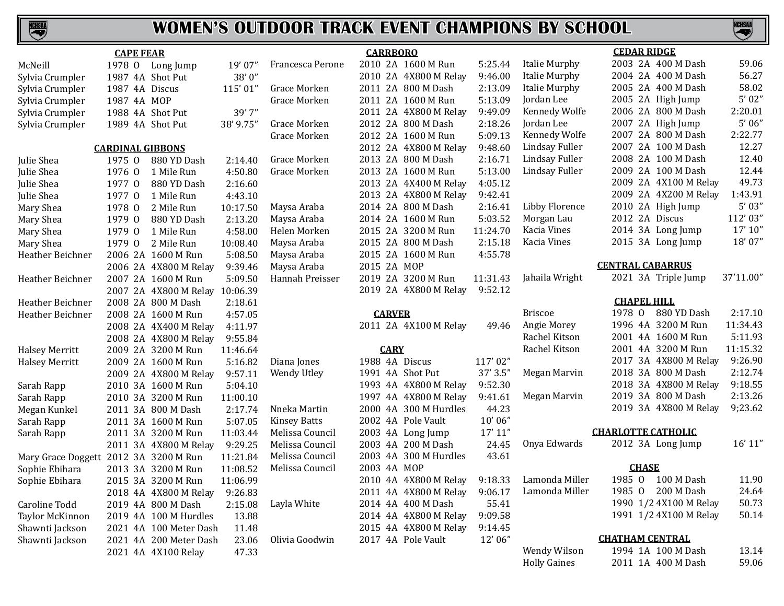

|                                       | <b>CAPE FEAR</b>        |                        |           |                     | <b>CARRBORO</b>  |                       |          | <b>CEDAR RIDGE</b>                           |                           |           |
|---------------------------------------|-------------------------|------------------------|-----------|---------------------|------------------|-----------------------|----------|----------------------------------------------|---------------------------|-----------|
| McNeill                               |                         | 1978 O Long Jump       | 19'07''   | Francesca Perone    |                  | 2010 2A 1600 M Run    | 5:25.44  | <b>Italie Murphy</b>                         | 2003 2A 400 M Dash        | 59.06     |
| Sylvia Crumpler                       | 1987 4A Shot Put        |                        | 38'0"     |                     |                  | 2010 2A 4X800 M Relay | 9:46.00  | <b>Italie Murphy</b>                         | 2004 2A 400 M Dash        | 56.27     |
| Sylvia Crumpler                       | 1987 4A Discus          |                        | 115'01"   | Grace Morken        |                  | 2011 2A 800 M Dash    | 2:13.09  | Italie Murphy                                | 2005 2A 400 M Dash        | 58.02     |
| Sylvia Crumpler                       | 1987 4A MOP             |                        |           | Grace Morken        |                  | 2011 2A 1600 M Run    | 5:13.09  | Jordan Lee                                   | 2005 2A High Jump         | 5'02"     |
| Sylvia Crumpler                       | 1988 4A Shot Put        |                        | 39'7"     |                     |                  | 2011 2A 4X800 M Relay | 9:49.09  | Kennedy Wolfe                                | 2006 2A 800 M Dash        | 2:20.01   |
| Sylvia Crumpler                       | 1989 4A Shot Put        |                        | 38' 9.75" | Grace Morken        |                  | 2012 2A 800 M Dash    | 2:18.26  | Jordan Lee                                   | 2007 2A High Jump         | 5'06''    |
|                                       |                         |                        |           | Grace Morken        |                  | 2012 2A 1600 M Run    | 5:09.13  | Kennedy Wolfe                                | 2007 2A 800 M Dash        | 2:22.77   |
|                                       | <b>CARDINAL GIBBONS</b> |                        |           |                     |                  | 2012 2A 4X800 M Relay | 9:48.60  | Lindsay Fuller                               | 2007 2A 100 M Dash        | 12.27     |
| Julie Shea                            | 1975 0                  | 880 YD Dash            | 2:14.40   | Grace Morken        |                  | 2013 2A 800 M Dash    | 2:16.71  | Lindsay Fuller                               | 2008 2A 100 M Dash        | 12.40     |
| Julie Shea                            | 1976 0                  | 1 Mile Run             | 4:50.80   | Grace Morken        |                  | 2013 2A 1600 M Run    | 5:13.00  | Lindsay Fuller                               | 2009 2A 100 M Dash        | 12.44     |
| Julie Shea                            | 1977 0                  | 880 YD Dash            | 2:16.60   |                     |                  | 2013 2A 4X400 M Relay | 4:05.12  |                                              | 2009 2A 4X100 M Relay     | 49.73     |
| Julie Shea                            | 1977 0                  | 1 Mile Run             | 4:43.10   |                     |                  | 2013 2A 4X800 M Relay | 9:42.41  |                                              | 2009 2A 4X200 M Relay     | 1:43.91   |
| Mary Shea                             | 1978 0                  | 2 Mile Run             | 10:17.50  | Maysa Araba         |                  | 2014 2A 800 M Dash    | 2:16.41  | Libby Florence                               | 2010 2A High Jump         | 5'03''    |
| Mary Shea                             | 1979 0                  | 880 YD Dash            | 2:13.20   | Maysa Araba         |                  | 2014 2A 1600 M Run    | 5:03.52  | Morgan Lau                                   | 2012 2A Discus            | 112'03"   |
| Mary Shea                             | 1979 0                  | 1 Mile Run             | 4:58.00   | Helen Morken        |                  | 2015 2A 3200 M Run    | 11:24.70 | Kacia Vines                                  | 2014 3A Long Jump         | 17' 10''  |
| Mary Shea                             | 1979 0                  | 2 Mile Run             | 10:08.40  | Maysa Araba         |                  | 2015 2A 800 M Dash    | 2:15.18  | Kacia Vines                                  | 2015 3A Long Jump         | 18'07"    |
| Heather Beichner                      |                         | 2006 2A 1600 M Run     | 5:08.50   | Maysa Araba         |                  | 2015 2A 1600 M Run    | 4:55.78  |                                              |                           |           |
|                                       |                         | 2006 2A 4X800 M Relay  | 9:39.46   | Maysa Araba         | 2015 2A MOP      |                       |          |                                              | <b>CENTRAL CABARRUS</b>   |           |
| Heather Beichner                      |                         | 2007 2A 1600 M Run     | 5:09.50   | Hannah Preisser     |                  | 2019 2A 3200 M Run    | 11:31.43 | Jahaila Wright                               | 2021 3A Triple Jump       | 37'11.00" |
|                                       |                         | 2007 2A 4X800 M Relay  | 10:06.39  |                     |                  | 2019 2A 4X800 M Relay | 9:52.12  |                                              |                           |           |
| Heather Beichner                      |                         | 2008 2A 800 M Dash     | 2:18.61   |                     |                  |                       |          |                                              | <b>CHAPEL HILL</b>        |           |
| Heather Beichner                      |                         | 2008 2A 1600 M Run     | 4:57.05   |                     | <b>CARVER</b>    |                       |          | <b>Briscoe</b>                               | 880 YD Dash<br>1978 0     | 2:17.10   |
|                                       |                         | 2008 2A 4X400 M Relay  | 4:11.97   |                     |                  | 2011 2A 4X100 M Relay | 49.46    | Angie Morey                                  | 1996 4A 3200 M Run        | 11:34.43  |
|                                       |                         | 2008 2A 4X800 M Relay  | 9:55.84   |                     |                  |                       |          | Rachel Kitson                                | 2001 4A 1600 M Run        | 5:11.93   |
| <b>Halsey Merritt</b>                 |                         | 2009 2A 3200 M Run     | 11:46.64  |                     | <b>CARY</b>      |                       |          | Rachel Kitson                                | 2001 4A 3200 M Run        | 11:15.32  |
| <b>Halsey Merritt</b>                 |                         | 2009 2A 1600 M Run     | 5:16.82   | Diana Jones         | 1988 4A Discus   |                       | 117'02"  |                                              | 2017 3A 4X800 M Relay     | 9:26.90   |
|                                       |                         | 2009 2A 4X800 M Relay  | 9:57.11   | Wendy Utley         | 1991 4A Shot Put |                       | 37' 3.5" | Megan Marvin                                 | 2018 3A 800 M Dash        | 2:12.74   |
| Sarah Rapp                            |                         | 2010 3A 1600 M Run     | 5:04.10   |                     |                  | 1993 4A 4X800 M Relay | 9:52.30  |                                              | 2018 3A 4X800 M Relay     | 9:18.55   |
| Sarah Rapp                            |                         | 2010 3A 3200 M Run     | 11:00.10  |                     |                  | 1997 4A 4X800 M Relay | 9:41.61  | Megan Marvin                                 | 2019 3A 800 M Dash        | 2:13.26   |
| Megan Kunkel                          |                         | 2011 3A 800 M Dash     | 2:17.74   | Nneka Martin        |                  | 2000 4A 300 M Hurdles | 44.23    |                                              | 2019 3A 4X800 M Relay     | 9;23.62   |
| Sarah Rapp                            |                         | 2011 3A 1600 M Run     | 5:07.05   | <b>Kinsey Batts</b> |                  | 2002 4A Pole Vault    | 10'06"   |                                              |                           |           |
| Sarah Rapp                            |                         | 2011 3A 3200 M Run     | 11:03.44  | Melissa Council     |                  | 2003 4A Long Jump     | 17' 11'' |                                              | <b>CHARLOTTE CATHOLIC</b> |           |
|                                       |                         | 2011 3A 4X800 M Relay  | 9:29.25   | Melissa Council     |                  | 2003 4A 200 M Dash    | 24.45    | Onya Edwards                                 | 2012 3A Long Jump         | 16' 11''  |
| Mary Grace Doggett 2012 3A 3200 M Run |                         |                        | 11:21.84  | Melissa Council     |                  | 2003 4A 300 M Hurdles | 43.61    |                                              |                           |           |
| Sophie Ebihara                        |                         | 2013 3A 3200 M Run     | 11:08.52  | Melissa Council     | 2003 4A MOP      |                       |          |                                              | <b>CHASE</b>              |           |
| Sophie Ebihara                        |                         | 2015 3A 3200 M Run     | 11:06.99  |                     |                  | 2010 4A 4X800 M Relay | 9:18.33  | Lamonda Miller                               | 1985 0 100 M Dash         | 11.90     |
|                                       |                         | 2018 4A 4X800 M Relay  | 9:26.83   |                     |                  |                       |          | 2011 4A 4X800 M Relay 9:06.17 Lamonda Miller | 1985 O 200 M Dash         | 24.64     |
| Caroline Todd                         |                         | 2019 4A 800 M Dash     | 2:15.08   | Layla White         |                  | 2014 4A 400 M Dash    | 55.41    |                                              | 1990 1/2 4X100 M Relay    | 50.73     |
| Taylor McKinnon                       |                         | 2019 4A 100 M Hurdles  | 13.88     |                     |                  | 2014 4A 4X800 M Relay | 9:09.58  |                                              | 1991 1/2 4X100 M Relay    | 50.14     |
| Shawnti Jackson                       |                         | 2021 4A 100 Meter Dash | 11.48     |                     |                  | 2015 4A 4X800 M Relay | 9:14.45  |                                              |                           |           |
| Shawnti Jackson                       |                         | 2021 4A 200 Meter Dash | 23.06     | Olivia Goodwin      |                  | 2017 4A Pole Vault    | 12'06"   |                                              | <b>CHATHAM CENTRAL</b>    |           |
|                                       |                         | 2021 4A 4X100 Relay    | 47.33     |                     |                  |                       |          | Wendy Wilson                                 | 1994 1A 100 M Dash        | 13.14     |
|                                       |                         |                        |           |                     |                  |                       |          | <b>Holly Gaines</b>                          | 2011 1A 400 M Dash        | 59.06     |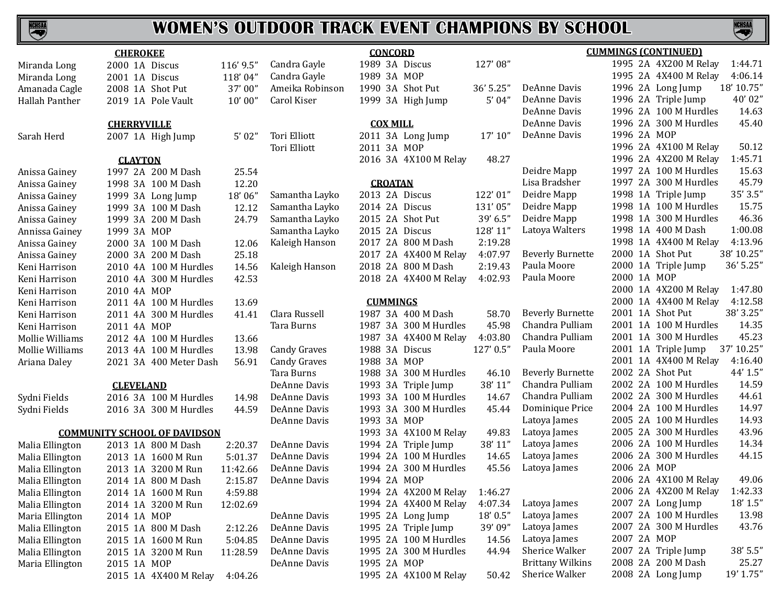## **NCHSMA**

## **WOMEN'S OUTDOOR TRACK EVENT CHAMPIONS BY SCHOOL**

|                 | <b>CHEROKEE</b>    |                                     |           |                            |
|-----------------|--------------------|-------------------------------------|-----------|----------------------------|
| Miranda Long    |                    | 2000 1A Discus                      | 116' 9.5" | Candra Ga                  |
| Miranda Long    |                    | 2001 1A Discus                      | 118'04"   | Candra Ga                  |
| Amanada Cagle   |                    | 2008 1A Shot Put                    | 37'00"    | Ameika R                   |
| Hallah Panther  |                    | 2019 1A Pole Vault                  | 10'00''   | Carol Kise                 |
|                 | <b>CHERRYVILLE</b> |                                     |           |                            |
| Sarah Herd      |                    | 2007 1A High Jump                   | 5'02"     | Tori Elliot<br>Tori Elliot |
|                 | <b>CLAYTON</b>     |                                     |           |                            |
| Anissa Gainey   |                    | 1997 2A 200 M Dash                  | 25.54     |                            |
| Anissa Gainey   |                    | 1998 3A 100 M Dash                  | 12.20     |                            |
| Anissa Gainey   |                    | 1999 3A Long Jump                   | 18'06"    | Samantha                   |
| Anissa Gainey   |                    | 1999 3A 100 M Dash                  | 12.12     | Samantha                   |
| Anissa Gainey   |                    | 1999 3A 200 M Dash                  | 24.79     | Samantha                   |
| Annissa Gainey  | 1999 3A MOP        |                                     |           | Samantha                   |
| Anissa Gainey   |                    | 2000 3A 100 M Dash                  | 12.06     | Kaleigh H                  |
| Anissa Gainey   |                    | 2000 3A 200 M Dash                  | 25.18     |                            |
| Keni Harrison   |                    | 2010 4A 100 M Hurdles               | 14.56     | Kaleigh H                  |
| Keni Harrison   |                    | 2010 4A 300 M Hurdles               | 42.53     |                            |
| Keni Harrison   | 2010 4A MOP        |                                     |           |                            |
| Keni Harrison   |                    | 2011 4A 100 M Hurdles               | 13.69     |                            |
| Keni Harrison   |                    | 2011 4A 300 M Hurdles               | 41.41     | Clara Rus                  |
| Keni Harrison   | 2011 4A MOP        |                                     |           | Tara Burr                  |
| Mollie Williams |                    | 2012 4A 100 M Hurdles               | 13.66     |                            |
| Mollie Williams |                    | 2013 4A 100 M Hurdles               | 13.98     | Candy Gra                  |
| Ariana Daley    |                    | 2021 3A 400 Meter Dash              | 56.91     | Candy Gra                  |
|                 |                    |                                     |           | Tara Burr                  |
|                 | <b>CLEVELAND</b>   |                                     |           | DeAnne L                   |
| Sydni Fields    |                    | 2016 3A 100 M Hurdles               | 14.98     | DeAnne L                   |
| Sydni Fields    |                    | 2016 3A 300 M Hurdles               | 44.59     | DeAnne L                   |
|                 |                    |                                     |           | DeAnne L                   |
|                 |                    | <b>COMMUNITY SCHOOL OF DAVIDSON</b> |           |                            |
| Malia Ellington |                    | 2013 1A 800 M Dash                  | 2:20.37   | DeAnne L                   |
| Malia Ellington |                    | 2013 1A 1600 M Run                  | 5:01.37   | DeAnne L                   |
| Malia Ellington |                    | 2013 1A 3200 M Run                  | 11:42.66  | DeAnne L                   |
| Malia Ellington |                    | 2014 1A 800 M Dash                  | 2:15.87   | DeAnne D                   |
| Malia Ellington |                    | 2014 1A 1600 M Run                  | 4:59.88   |                            |
| Malia Ellington |                    | 2014 1A 3200 M Run                  | 12:02.69  |                            |
| Maria Ellington | 2014 1A MOP        |                                     |           | DeAnne L                   |
| Malia Ellington |                    | 2015 1A 800 M Dash                  | 2:12.26   | DeAnne L                   |
| Malia Ellington |                    | 2015 1A 1600 M Run                  | 5:04.85   | DeAnne L                   |
| Malia Ellington |                    | 2015 1A 3200 M Run                  | 11:28.59  | DeAnne L                   |
| Maria Ellington | 2015 1A MOP        |                                     |           | DeAnne L                   |
|                 |                    | 2015 1A 4X400 M Relay               | 4:04.26   |                            |

|                     | <b>CONCORD</b>  |  |                       | <b>CUMMINGS (CONTINUED)</b> |                         |             |  |                       |            |
|---------------------|-----------------|--|-----------------------|-----------------------------|-------------------------|-------------|--|-----------------------|------------|
| Candra Gayle        |                 |  | 1989 3A Discus        | 127'08"                     |                         |             |  | 1995 2A 4X200 M Relay | 1:44.71    |
| Candra Gayle        | 1989 3A MOP     |  |                       |                             |                         |             |  | 1995 2A 4X400 M Relay | 4:06.14    |
| Ameika Robinson     |                 |  | 1990 3A Shot Put      | 36' 5.25"                   | DeAnne Davis            |             |  | 1996 2A Long Jump     | 18' 10.75" |
| Carol Kiser         |                 |  | 1999 3A High Jump     | 5'04"                       | DeAnne Davis            |             |  | 1996 2A Triple Jump   | 40'02"     |
|                     |                 |  |                       |                             | DeAnne Davis            |             |  | 1996 2A 100 M Hurdles | 14.63      |
|                     | <b>COX MILL</b> |  |                       |                             | DeAnne Davis            |             |  | 1996 2A 300 M Hurdles | 45.40      |
| Tori Elliott        |                 |  | 2011 3A Long Jump     | 17' 10''                    | DeAnne Davis            | 1996 2A MOP |  |                       |            |
| Tori Elliott        | 2011 3A MOP     |  |                       |                             |                         |             |  | 1996 2A 4X100 M Relay | 50.12      |
|                     |                 |  | 2016 3A 4X100 M Relay | 48.27                       |                         |             |  | 1996 2A 4X200 M Relay | 1:45.71    |
|                     |                 |  |                       |                             | Deidre Mapp             |             |  | 1997 2A 100 M Hurdles | 15.63      |
|                     | <b>CROATAN</b>  |  |                       |                             | Lisa Bradsher           |             |  | 1997 2A 300 M Hurdles | 45.79      |
| Samantha Layko      |                 |  | 2013 2A Discus        | 122'01"                     | Deidre Mapp             |             |  | 1998 1A Triple Jump   | 35' 3.5"   |
| Samantha Layko      |                 |  | 2014 2A Discus        | 131'05"                     | Deidre Mapp             |             |  | 1998 1A 100 M Hurdles | 15.75      |
| Samantha Layko      |                 |  | 2015 2A Shot Put      | 39' 6.5"                    | Deidre Mapp             |             |  | 1998 1A 300 M Hurdles | 46.36      |
| Samantha Layko      |                 |  | 2015 2A Discus        | 128' 11"                    | Latoya Walters          |             |  | 1998 1A 400 M Dash    | 1:00.08    |
| Kaleigh Hanson      |                 |  | 2017 2A 800 M Dash    | 2:19.28                     |                         |             |  | 1998 1A 4X400 M Relay | 4:13.96    |
|                     |                 |  | 2017 2A 4X400 M Relay | 4:07.97                     | <b>Beverly Burnette</b> |             |  | 2000 1A Shot Put      | 38' 10.25" |
| Kaleigh Hanson      |                 |  | 2018 2A 800 M Dash    | 2:19.43                     | Paula Moore             |             |  | 2000 1A Triple Jump   | 36' 5.25"  |
|                     |                 |  | 2018 2A 4X400 M Relay | 4:02.93                     | Paula Moore             | 2000 1A MOP |  |                       |            |
|                     |                 |  |                       |                             |                         |             |  | 2000 1A 4X200 M Relay | 1:47.80    |
|                     | <b>CUMMINGS</b> |  |                       |                             |                         |             |  | 2000 1A 4X400 M Relay | 4:12.58    |
| Clara Russell       |                 |  | 1987 3A 400 M Dash    | 58.70                       | <b>Beverly Burnette</b> |             |  | 2001 1A Shot Put      | 38' 3.25"  |
| Tara Burns          |                 |  | 1987 3A 300 M Hurdles | 45.98                       | Chandra Pulliam         |             |  | 2001 1A 100 M Hurdles | 14.35      |
|                     |                 |  | 1987 3A 4X400 M Relay | 4:03.80                     | Chandra Pulliam         |             |  | 2001 1A 300 M Hurdles | 45.23      |
| <b>Candy Graves</b> |                 |  | 1988 3A Discus        | 127' 0.5"                   | Paula Moore             |             |  | 2001 1A Triple Jump   | 37' 10.25" |
| <b>Candy Graves</b> | 1988 3A MOP     |  |                       |                             |                         |             |  | 2001 1A 4X400 M Relay | 4:16.40    |
| Tara Burns          |                 |  | 1988 3A 300 M Hurdles | 46.10                       | <b>Beverly Burnette</b> |             |  | 2002 2A Shot Put      | 44' 1.5"   |
| DeAnne Davis        |                 |  | 1993 3A Triple Jump   | 38' 11"                     | Chandra Pulliam         |             |  | 2002 2A 100 M Hurdles | 14.59      |
| DeAnne Davis        |                 |  | 1993 3A 100 M Hurdles | 14.67                       | Chandra Pulliam         |             |  | 2002 2A 300 M Hurdles | 44.61      |
| DeAnne Davis        |                 |  | 1993 3A 300 M Hurdles | 45.44                       | Dominique Price         |             |  | 2004 2A 100 M Hurdles | 14.97      |
| DeAnne Davis        | 1993 3A MOP     |  |                       |                             | Latoya James            |             |  | 2005 2A 100 M Hurdles | 14.93      |
|                     |                 |  | 1993 3A 4X100 M Relay | 49.83                       | Latoya James            |             |  | 2005 2A 300 M Hurdles | 43.96      |
| DeAnne Davis        |                 |  | 1994 2A Triple Jump   | 38' 11"                     | Latoya James            |             |  | 2006 2A 100 M Hurdles | 14.34      |
| DeAnne Davis        |                 |  | 1994 2A 100 M Hurdles | 14.65                       | Latoya James            |             |  | 2006 2A 300 M Hurdles | 44.15      |
| DeAnne Davis        |                 |  | 1994 2A 300 M Hurdles | 45.56                       | Latoya James            | 2006 2A MOP |  |                       |            |
| DeAnne Davis        | 1994 2A MOP     |  |                       |                             |                         |             |  | 2006 2A 4X100 M Relay | 49.06      |
|                     |                 |  | 1994 2A 4X200 M Relay | 1:46.27                     |                         |             |  | 2006 2A 4X200 M Relay | 1:42.33    |
|                     |                 |  | 1994 2A 4X400 M Relay | 4:07.34                     | Latoya James            |             |  | 2007 2A Long Jump     | 18' 1.5"   |
| DeAnne Davis        |                 |  | 1995 2A Long Jump     | 18' 0.5"                    | Latoya James            |             |  | 2007 2A 100 M Hurdles | 13.98      |
| DeAnne Davis        |                 |  | 1995 2A Triple Jump   | 39'09"                      | Latoya James            |             |  | 2007 2A 300 M Hurdles | 43.76      |
| DeAnne Davis        |                 |  | 1995 2A 100 M Hurdles | 14.56                       | Latoya James            | 2007 2A MOP |  |                       |            |
| DeAnne Davis        |                 |  | 1995 2A 300 M Hurdles | 44.94                       | Sherice Walker          |             |  | 2007 2A Triple Jump   | 38' 5.5"   |
| DeAnne Davis        | 1995 2A MOP     |  |                       |                             | <b>Brittany Wilkins</b> |             |  | 2008 2A 200 M Dash    | 25.27      |
|                     |                 |  | 1995 2A 4X100 M Relay | 50.42                       | Sherice Walker          |             |  | 2008 2A Long Jump     | 19' 1.75"  |

|                         |         |    | <u>CUMMINGS [CUN LINUED]</u> |            |
|-------------------------|---------|----|------------------------------|------------|
|                         | 1995 2A |    | 4X200 M Relay                | 1:44.71    |
|                         | 1995    | 2A | 4X400 M Relay                | 4:06.14    |
| DeAnne Davis            | 1996    | 2A | Long Jump                    | 18' 10.75" |
| DeAnne Davis            | 1996    | 2A | Triple Jump                  | 40'02"     |
| DeAnne Davis            | 1996    | 2A | 100 M Hurdles                | 14.63      |
| DeAnne Davis            | 1996    | 2A | 300 M Hurdles                | 45.40      |
| DeAnne Davis            | 1996    | 2A | MOP                          |            |
|                         | 1996    | 2A | 4X100 M Relay                | 50.12      |
|                         | 1996    | 2A | 4X200 M Relay                | 1:45.71    |
| Deidre Mapp             | 1997    | 2Α | 100 M Hurdles                | 15.63      |
| Lisa Bradsher           | 1997    | 2A | 300 M Hurdles                | 45.79      |
| Deidre Mapp             | 1998    | 1A | Triple Jump                  | 35' 3.5"   |
| Deidre Mapp             | 1998    | 1A | 100 M Hurdles                | 15.75      |
| Deidre Mapp             | 1998    | 1A | 300 M Hurdles                | 46.36      |
| Latoya Walters          | 1998    | 1A | 400 M Dash                   | 1:00.08    |
|                         | 1998    | 1A | 4X400 M Relay                | 4:13.96    |
| <b>Beverly Burnette</b> | 2000    | 1A | Shot Put                     | 38' 10.25" |
| Paula Moore             | 2000    | 1A | Triple Jump                  | 36' 5.25"  |
| Paula Moore             | 2000    | 1A | MOP                          |            |
|                         | 2000    | 1A | 4X200 M Relay                | 1:47.80    |
|                         | 2000    | 1A | 4X400 M Relay                | 4:12.58    |
| <b>Beverly Burnette</b> | 2001    | 1A | Shot Put                     | 38' 3.25"  |
| Chandra Pulliam         | 2001    | 1A | 100 M Hurdles                | 14.35      |
| Chandra Pulliam         | 2001    | 1A | 300 M Hurdles                | 45.23      |
| Paula Moore             | 2001    | 1A | Triple Jump                  | 37' 10.25" |
|                         | 2001    | 1A | 4X400 M Relay                | 4:16.40    |
| <b>Beverly Burnette</b> | 2002    | 2A | <b>Shot Put</b>              | 44' 1.5"   |
| Chandra Pulliam         | 2002    | 2A | 100 M Hurdles                | 14.59      |
| Chandra Pulliam         | 2002    | 2A | 300 M Hurdles                | 44.61      |
| Dominique Price         | 2004    | 2A | 100 M Hurdles                | 14.97      |
| Latoya James            | 2005    | 2A | 100 M Hurdles                | 14.93      |
| Latoya James            | 2005    | 2A | 300 M Hurdles                | 43.96      |
| Latoya James            | 2006    | 2A | 100 M Hurdles                | 14.34      |
| Latoya James            | 2006    | 2A | 300 M Hurdles                | 44.15      |
| Latoya James            | 2006    | 2A | MOP                          |            |
|                         | 2006    | 2A | 4X100 M Relay                | 49.06      |
|                         | 2006    | 2A | 4X200 M Relay                | 1:42.33    |
| Latoya James            | 2007    | 2Α | Long Jump                    | 18' 1.5"   |
| Latoya James            | 2007    | 2A | 100 M Hurdles                | 13.98      |
| Latoya James            | 2007    | 2A | 300 M Hurdles                | 43.76      |
| Latoya James            | 2007    | 2A | <b>MOP</b>                   |            |
| <b>Sherice Walker</b>   | 2007    | 2A | Triple Jump                  | 38' 5.5"   |
| <b>Brittany Wilkins</b> | 2008    | 2A | 200 M Dash                   | 25.27      |
|                         |         |    |                              |            |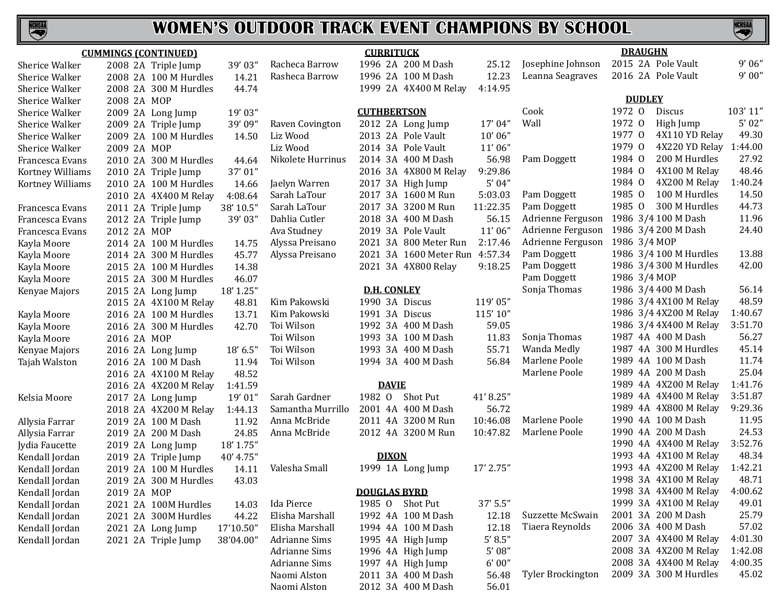

## **WOMEN'S OUTDOOR TRACK EVENT CHAMPIONS BY SCHOOL**

|                  | <b>CUMMINGS (CONTINUED)</b> |           | <b>CURRITUCK</b>     |                        |           | <b>DRAUGHN</b>           |                          |         |
|------------------|-----------------------------|-----------|----------------------|------------------------|-----------|--------------------------|--------------------------|---------|
| Sherice Walker   | 2008 2A Triple Jump         | 39'03"    | Racheca Barrow       | 1996 2A 200 M Dash     | 25.12     | Josephine Johnson        | 2015 2A Pole Vault       | 9'06''  |
| Sherice Walker   | 2008 2A 100 M Hurdles       | 14.21     | Rasheca Barrow       | 1996 2A 100 M Dash     | 12.23     | Leanna Seagraves         | 2016 2A Pole Vault       | 9'00''  |
| Sherice Walker   | 2008 2A 300 M Hurdles       | 44.74     |                      | 1999 2A 4X400 M Relay  | 4:14.95   |                          |                          |         |
| Sherice Walker   | 2008 2A MOP                 |           |                      |                        |           |                          | <b>DUDLEY</b>            |         |
| Sherice Walker   | 2009 2A Long Jump           | 19'03"    |                      | <b>CUTHBERTSON</b>     |           | Cook                     | 1972 0<br>Discus         | 103'11" |
| Sherice Walker   | 2009 2A Triple Jump         | 39' 09"   | Raven Covington      | 2012 2A Long Jump      | 17'04"    | Wall                     | 1972 0<br>High Jump      | 5'02''  |
| Sherice Walker   | 2009 2A 100 M Hurdles       | 14.50     | Liz Wood             | 2013 2A Pole Vault     | 10'06"    |                          | 1977 0<br>4X110 YD Relay | 49.30   |
| Sherice Walker   | 2009 2A MOP                 |           | Liz Wood             | 2014 3A Pole Vault     | 11'06"    |                          | 1979 0<br>4X220 YD Relay | 1:44.00 |
| Francesca Evans  | 2010 2A 300 M Hurdles       | 44.64     | Nikolete Hurrinus    | 2014 3A 400 M Dash     | 56.98     | Pam Doggett              | 1984 0<br>200 M Hurdles  | 27.92   |
| Kortney Williams | 2010 2A Triple Jump         | 37'01"    |                      | 2016 3A 4X800 M Relay  | 9:29.86   |                          | 1984 0<br>4X100 M Relay  | 48.46   |
| Kortney Williams | 2010 2A 100 M Hurdles       | 14.66     | Jaelyn Warren        | 2017 3A High Jump      | 5'04''    |                          | 1984 0<br>4X200 M Relay  | 1:40.24 |
|                  | 2010 2A 4X400 M Relay       | 4:08.64   | Sarah LaTour         | 2017 3A 1600 M Run     | 5:03.03   | Pam Doggett              | 1985 0<br>100 M Hurdles  | 14.50   |
| Francesca Evans  | 2011 2A Triple Jump         | 38' 10.5" | Sarah LaTour         | 2017 3A 3200 M Run     | 11:22.35  | Pam Doggett              | 1985 0<br>300 M Hurdles  | 44.73   |
| Francesca Evans  | 2012 2A Triple Jump         | 39'03"    | Dahlia Cutler        | 2018 3A 400 M Dash     | 56.15     | Adrienne Ferguson        | 1986 3/4 100 M Dash      | 11.96   |
| Francesca Evans  | 2012 2A MOP                 |           | Ava Studney          | 2019 3A Pole Vault     | 11'06"    | Adrienne Ferguson        | 1986 3/4 200 M Dash      | 24.40   |
| Kayla Moore      | 2014 2A 100 M Hurdles       | 14.75     | Alyssa Preisano      | 2021 3A 800 Meter Run  | 2:17.46   | Adrienne Ferguson        | 1986 3/4 MOP             |         |
| Kayla Moore      | 2014 2A 300 M Hurdles       | 45.77     | Alyssa Preisano      | 2021 3A 1600 Meter Run | 4:57.34   | Pam Doggett              | 1986 3/4 100 M Hurdles   | 13.88   |
| Kayla Moore      | 2015 2A 100 M Hurdles       | 14.38     |                      | 2021 3A 4X800 Relay    | 9:18.25   | Pam Doggett              | 1986 3/4 300 M Hurdles   | 42.00   |
| Kayla Moore      | 2015 2A 300 M Hurdles       | 46.07     |                      |                        |           | Pam Doggett              | 1986 3/4 MOP             |         |
| Kenyae Majors    | 2015 2A Long Jump           | 18' 1.25" |                      | <b>D.H. CONLEY</b>     |           | Sonja Thomas             | 1986 3/4 400 M Dash      | 56.14   |
|                  | 2015 2A 4X100 M Relay       | 48.81     | Kim Pakowski         | 1990 3A Discus         | 119'05"   |                          | 1986 3/4 4X100 M Relay   | 48.59   |
| Kayla Moore      | 2016 2A 100 M Hurdles       | 13.71     | Kim Pakowski         | 1991 3A Discus         | 115'10"   |                          | 1986 3/4 4X200 M Relay   | 1:40.67 |
| Kayla Moore      | 2016 2A 300 M Hurdles       | 42.70     | Toi Wilson           | 1992 3A 400 M Dash     | 59.05     |                          | 1986 3/4 4X400 M Relay   | 3:51.70 |
| Kayla Moore      | 2016 2A MOP                 |           | Toi Wilson           | 1993 3A 100 M Dash     | 11.83     | Sonja Thomas             | 1987 4A 400 M Dash       | 56.27   |
| Kenyae Majors    | 2016 2A Long Jump           | 18' 6.5"  | Toi Wilson           | 1993 3A 400 M Dash     | 55.71     | Wanda Medly              | 1987 4A 300 M Hurdles    | 45.14   |
| Tajah Walston    | 2016 2A 100 M Dash          | 11.94     | Toi Wilson           | 1994 3A 400 M Dash     | 56.84     | Marlene Poole            | 1989 4A 100 M Dash       | 11.74   |
|                  | 2016 2A 4X100 M Relay       | 48.52     |                      |                        |           | Marlene Poole            | 1989 4A 200 M Dash       | 25.04   |
|                  | 2016 2A 4X200 M Relay       | 1:41.59   |                      | <b>DAVIE</b>           |           |                          | 1989 4A 4X200 M Relay    | 1:41.76 |
| Kelsia Moore     | 2017 2A Long Jump           | 19'01"    | Sarah Gardner        | 1982 0<br>Shot Put     | 41'8.25"  |                          | 1989 4A 4X400 M Relay    | 3:51.87 |
|                  | 2018 2A 4X200 M Relay       | 1:44.13   | Samantha Murrillo    | 2001 4A 400 M Dash     | 56.72     |                          | 1989 4A 4X800 M Relay    | 9:29.36 |
| Allysia Farrar   | 2019 2A 100 M Dash          | 11.92     | Anna McBride         | 2011 4A 3200 M Run     | 10:46.08  | Marlene Poole            | 1990 4A 100 M Dash       | 11.95   |
| Allysia Farrar   | 2019 2A 200 M Dash          | 24.85     | Anna McBride         | 2012 4A 3200 M Run     | 10:47.82  | Marlene Poole            | 1990 4A 200 M Dash       | 24.53   |
| Jydia Faucette   | 2019 2A Long Jump           | 18' 1.75" |                      |                        |           |                          | 1990 4A 4X400 M Relay    | 3:52.76 |
| Kendall Jordan   | 2019 2A Triple Jump         | 40' 4.75" |                      | <b>DIXON</b>           |           |                          | 1993 4A 4X100 M Relay    | 48.34   |
| Kendall Jordan   | 2019 2A 100 M Hurdles       | 14.11     | Valesha Small        | 1999 1A Long Jump      | 17' 2.75" |                          | 1993 4A 4X200 M Relay    | 1:42.21 |
| Kendall Jordan   | 2019 2A 300 M Hurdles       | 43.03     |                      |                        |           |                          | 1998 3A 4X100 M Relay    | 48.71   |
| Kendall Jordan   | 2019 2A MOP                 |           |                      | <b>DOUGLAS BYRD</b>    |           |                          | 1998 3A 4X400 M Relay    | 4:00.62 |
| Kendall Jordan   | 2021 2A 100M Hurdles        | 14.03     | Ida Pierce           | 1985 O Shot Put        | 37' 5.5"  |                          | 1999 3A 4X100 M Relay    | 49.01   |
| Kendall Jordan   | 2021 2A 300M Hurdles        | 44.22     | Elisha Marshall      | 1992 4A 100 M Dash     | 12.18     | Suzzette McSwain         | 2001 3A 200 M Dash       | 25.79   |
| Kendall Jordan   | 2021 2A Long Jump           | 17'10.50" | Elisha Marshall      | 1994 4A 100 M Dash     | 12.18     | Tiaera Reynolds          | 2006 3A 400 M Dash       | 57.02   |
| Kendall Jordan   | 2021 2A Triple Jump         | 38'04.00" | <b>Adrianne Sims</b> | 1995 4A High Jump      | 5' 8.5''  |                          | 2007 3A 4X400 M Relay    | 4:01.30 |
|                  |                             |           | <b>Adrianne Sims</b> | 1996 4A High Jump      | $5'$ 08"  |                          | 2008 3A 4X200 M Relay    | 1:42.08 |
|                  |                             |           | <b>Adrianne Sims</b> | 1997 4A High Jump      | 6'00''    |                          | 2008 3A 4X400 M Relay    | 4:00.35 |
|                  |                             |           | Naomi Alston         | 2011 3A 400 M Dash     | 56.48     | <b>Tyler Brockington</b> | 2009 3A 300 M Hurdles    | 45.02   |
|                  |                             |           | Naomi Alston         | 2012 3A 400 M Dash     | 56.01     |                          |                          |         |

**NCHSAL**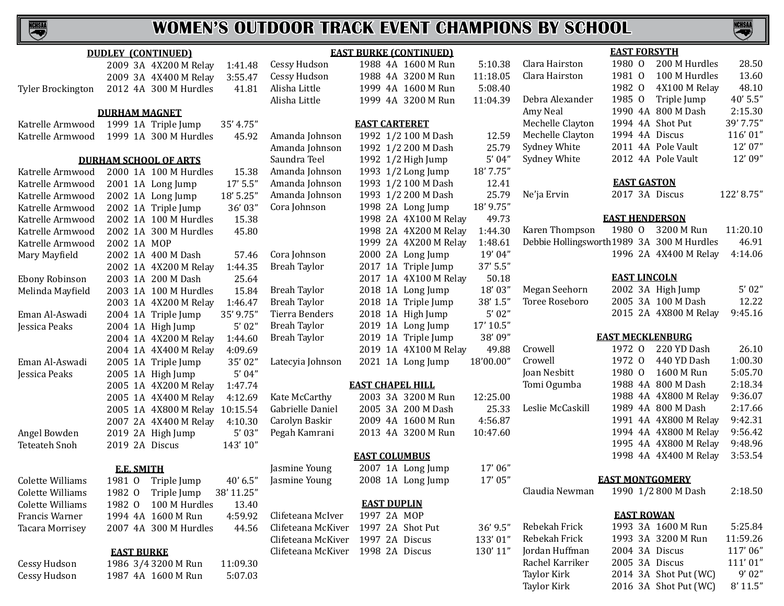|                        | <b>DUDLEY (CONTINUED)</b> |                                |            |                                   | <b>EAST BURKE (CONTINUED)</b> |           |                                            | <b>EAST FORSYTH</b>     |                       |           |
|------------------------|---------------------------|--------------------------------|------------|-----------------------------------|-------------------------------|-----------|--------------------------------------------|-------------------------|-----------------------|-----------|
|                        |                           | 2009 3A 4X200 M Relay          | 1:41.48    | Cessy Hudson                      | 1988 4A 1600 M Run            | 5:10.38   | Clara Hairston                             | 1980 0                  | 200 M Hurdles         | 28.50     |
|                        |                           | 2009 3A 4X400 M Relay          | 3:55.47    | Cessy Hudson                      | 1988 4A 3200 M Run            | 11:18.05  | Clara Hairston                             | 1981 0                  | 100 M Hurdles         | 13.60     |
| Tyler Brockington      |                           | 2012 4A 300 M Hurdles          | 41.81      | Alisha Little                     | 1999 4A 1600 M Run            | 5:08.40   |                                            | 1982 0                  | 4X100 M Relay         | 48.10     |
|                        |                           |                                |            | Alisha Little                     | 1999 4A 3200 M Run            | 11:04.39  | Debra Alexander                            | 1985 0                  | Triple Jump           | 40' 5.5"  |
|                        | <b>DURHAM MAGNET</b>      |                                |            |                                   |                               |           | Amy Neal                                   |                         | 1990 4A 800 M Dash    | 2:15.30   |
| Katrelle Armwood       |                           | 1999 1A Triple Jump            | 35' 4.75"  |                                   | <b>EAST CARTERET</b>          |           | Mechelle Clayton                           | 1994 4A Shot Put        |                       | 39' 7.75" |
| Katrelle Armwood       |                           | 1999 1A 300 M Hurdles          | 45.92      | Amanda Johnson                    | 1992 1/2 100 M Dash           | 12.59     | Mechelle Clayton                           | 1994 4A Discus          |                       | 116'01"   |
|                        |                           |                                |            | Amanda Johnson                    | 1992 1/2 200 M Dash           | 25.79     | Sydney White                               |                         | 2011 4A Pole Vault    | 12' 07"   |
|                        |                           | <b>DURHAM SCHOOL OF ARTS</b>   |            | Saundra Teel                      | 1992 1/2 High Jump            | 5'04''    | Sydney White                               |                         | 2012 4A Pole Vault    | 12'09"    |
| Katrelle Armwood       |                           | 2000 1A 100 M Hurdles          | 15.38      | Amanda Johnson                    | 1993 1/2 Long Jump            | 18' 7.75" |                                            |                         |                       |           |
| Katrelle Armwood       |                           | 2001 1A Long Jump              | 17' 5.5"   | Amanda Johnson                    | 1993 1/2 100 M Dash           | 12.41     |                                            | <b>EAST GASTON</b>      |                       |           |
| Katrelle Armwood       |                           | 2002 1A Long Jump              | 18' 5.25"  | Amanda Johnson                    | 1993 1/2 200 M Dash           | 25.79     | Ne'ja Ervin                                | 2017 3A Discus          |                       | 122'8.75" |
| Katrelle Armwood       |                           | 2002 1A Triple Jump            | 36'03"     | Cora Johnson                      | 1998 2A Long Jump             | 18' 9.75" |                                            |                         |                       |           |
| Katrelle Armwood       |                           | 2002 1A 100 M Hurdles          | 15.38      |                                   | 1998 2A 4X100 M Relay         | 49.73     |                                            | <b>EAST HENDERSON</b>   |                       |           |
| Katrelle Armwood       |                           | 2002 1A 300 M Hurdles          | 45.80      |                                   | 1998 2A 4X200 M Relay         | 1:44.30   | Karen Thompson                             | 1980 0                  | 3200 M Run            | 11:20.10  |
| Katrelle Armwood       | 2002 1A MOP               |                                |            |                                   | 1999 2A 4X200 M Relay         | 1:48.61   | Debbie Hollingsworth 1989 3A 300 M Hurdles |                         |                       | 46.91     |
| Mary Mayfield          |                           | 2002 1A 400 M Dash             | 57.46      | Cora Johnson                      | 2000 2A Long Jump             | 19'04"    |                                            |                         | 1996 2A 4X400 M Relay | 4:14.06   |
|                        |                           | 2002 1A 4X200 M Relay          | 1:44.35    | <b>Breah Taylor</b>               | 2017 1A Triple Jump           | 37' 5.5"  |                                            |                         |                       |           |
| Ebony Robinson         |                           | 2003 1A 200 M Dash             | 25.64      |                                   | 2017 1A 4X100 M Relay         | 50.18     |                                            | <b>EAST LINCOLN</b>     |                       |           |
| Melinda Mayfield       |                           | 2003 1A 100 M Hurdles          | 15.84      | <b>Breah Taylor</b>               | 2018 1A Long Jump             | 18'03"    | Megan Seehorn                              |                         | 2002 3A High Jump     | 5'02"     |
|                        |                           | 2003 1A 4X200 M Relay          | 1:46.47    | <b>Breah Taylor</b>               | 2018 1A Triple Jump           | 38' 1.5"  | Toree Roseboro                             |                         | 2005 3A 100 M Dash    | 12.22     |
| Eman Al-Aswadi         |                           | 2004 1A Triple Jump            | 35' 9.75"  | Tierra Benders                    | 2018 1A High Jump             | 5'02''    |                                            |                         | 2015 2A 4X800 M Relay | 9:45.16   |
| Jessica Peaks          |                           | 2004 1A High Jump              | 5'02''     | <b>Breah Taylor</b>               | 2019 1A Long Jump             | 17' 10.5" |                                            |                         |                       |           |
|                        |                           | 2004 1A 4X200 M Relay          | 1:44.60    | <b>Breah Taylor</b>               | 2019 1A Triple Jump           | 38'09"    |                                            | <b>EAST MECKLENBURG</b> |                       |           |
|                        |                           | 2004 1A 4X400 M Relay          | 4:09.69    |                                   | 2019 1A 4X100 M Relay         | 49.88     | Crowell                                    | 1972 0                  | 220 YD Dash           | 26.10     |
| Eman Al-Aswadi         |                           | 2005 1A Triple Jump            | 35'02"     | Latecyia Johnson                  | 2021 1A Long Jump             | 18'00.00" | Crowell                                    | 1972 0                  | 440 YD Dash           | 1:00.30   |
| Jessica Peaks          |                           | 2005 1A High Jump              | 5'04''     |                                   |                               |           | Joan Nesbitt                               | 1980 0                  | 1600 M Run            | 5:05.70   |
|                        |                           | 2005 1A 4X200 M Relay          | 1:47.74    |                                   | <b>EAST CHAPEL HILL</b>       |           | Tomi Ogumba                                |                         | 1988 4A 800 M Dash    | 2:18.34   |
|                        |                           | 2005 1A 4X400 M Relay          | 4:12.69    | Kate McCarthy                     | 2003 3A 3200 M Run            | 12:25.00  |                                            |                         | 1988 4A 4X800 M Relay | 9:36.07   |
|                        |                           | 2005 1A 4X800 M Relay 10:15.54 |            | Gabrielle Daniel                  | 2005 3A 200 M Dash            | 25.33     | Leslie McCaskill                           |                         | 1989 4A 800 M Dash    | 2:17.66   |
|                        |                           | 2007 2A 4X400 M Relay          | 4:10.30    | Carolyn Baskir                    | 2009 4A 1600 M Run            | 4:56.87   |                                            |                         | 1991 4A 4X800 M Relay | 9:42.31   |
| Angel Bowden           |                           | 2019 2A High Jump              | 5'03''     | Pegah Kamrani                     | 2013 4A 3200 M Run            | 10:47.60  |                                            |                         | 1994 4A 4X800 M Relay | 9:56.42   |
| Teteateh Snoh          | 2019 2A Discus            |                                | 143'10"    |                                   |                               |           |                                            |                         | 1995 4A 4X800 M Relay | 9:48.96   |
|                        |                           |                                |            |                                   | <b>EAST COLUMBUS</b>          |           |                                            |                         | 1998 4A 4X400 M Relay | 3:53.54   |
|                        | <b>E.E. SMITH</b>         |                                |            | Jasmine Young                     | 2007 1A Long Jump             | 17'06"    |                                            |                         |                       |           |
| Colette Williams       |                           | 1981 0 Triple Jump             | 40' 6.5"   | Jasmine Young                     | 2008 1A Long Jump             | 17'05"    |                                            | <b>EAST MONTGOMERY</b>  |                       |           |
| Colette Williams       | 1982 0                    | Triple Jump                    | 38' 11.25" |                                   |                               |           | Claudia Newman                             |                         | 1990 1/2 800 M Dash   | 2:18.50   |
| Colette Williams       | 1982 0                    | 100 M Hurdles                  | 13.40      |                                   | <b>EAST DUPLIN</b>            |           |                                            |                         |                       |           |
| Francis Warner         |                           | 1994 4A 1600 M Run             | 4:59.92    | Clifeteana McIver                 | 1997 2A MOP                   |           |                                            | <b>EAST ROWAN</b>       |                       |           |
| <b>Tacara Morrisey</b> |                           | 2007 4A 300 M Hurdles          | 44.56      | Clifeteana McKiver                | 1997 2A Shot Put              | 36' 9.5"  | Rebekah Frick                              |                         | 1993 3A 1600 M Run    | 5:25.84   |
|                        |                           |                                |            | Clifeteana McKiver                | 1997 2A Discus                | 133'01"   | Rebekah Frick                              |                         | 1993 3A 3200 M Run    | 11:59.26  |
|                        | <b>EAST BURKE</b>         |                                |            | Clifeteana McKiver 1998 2A Discus |                               | 130'11"   | Jordan Huffman                             | 2004 3A Discus          |                       | 117'06"   |
| Cessy Hudson           |                           | 1986 3/4 3200 M Run            | 11:09.30   |                                   |                               |           | Rachel Karriker                            | 2005 3A Discus          |                       | 111'01"   |
| Cessy Hudson           |                           | 1987 4A 1600 M Run             | 5:07.03    |                                   |                               |           | Taylor Kirk                                |                         | 2014 3A Shot Put (WC) | 9'02"     |
|                        |                           |                                |            |                                   |                               |           | Taylor Kirk                                |                         | 2016 3A Shot Put (WC) | 8' 11.5"  |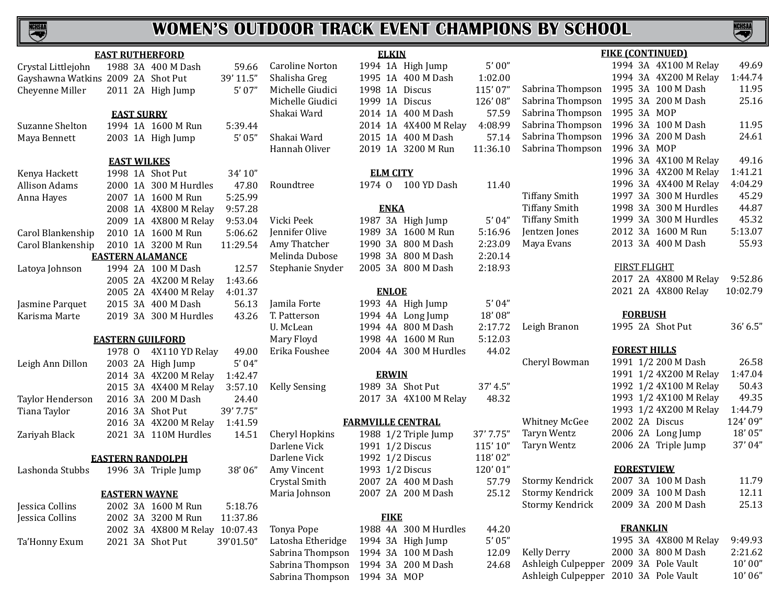

|                      | <b>EAST RUTHERFORD</b>             |           |                              | <b>ELKIN</b>                        |           |                      | <b>FIKE (CONTINUED)</b>               |           |
|----------------------|------------------------------------|-----------|------------------------------|-------------------------------------|-----------|----------------------|---------------------------------------|-----------|
| Crystal Littlejohn   | 1988 3A 400 M Dash                 | 59.66     | <b>Caroline Norton</b>       | 1994 1A High Jump                   | 5'00''    |                      | 1994 3A 4X100 M Relay                 | 49.69     |
|                      | Gayshawna Watkins 2009 2A Shot Put | 39' 11.5" | Shalisha Greg                | 1995 1A 400 M Dash                  | 1:02.00   |                      | 1994 3A 4X200 M Relay                 | 1:44.74   |
| Cheyenne Miller      | 2011 2A High Jump                  | 5'07''    | Michelle Giudici             | 1998 1A Discus                      | 115'07"   | Sabrina Thompson     | 1995 3A 100 M Dash                    | 11.95     |
|                      |                                    |           | Michelle Giudici             | 1999 1A Discus                      | 126'08"   | Sabrina Thompson     | 1995 3A 200 M Dash                    | 25.16     |
|                      | <b>EAST SURRY</b>                  |           | Shakai Ward                  | 2014 1A 400 M Dash                  | 57.59     | Sabrina Thompson     | 1995 3A MOP                           |           |
| Suzanne Shelton      | 1994 1A 1600 M Run                 | 5:39.44   |                              | 2014 1A 4X400 M Relay               | 4:08.99   | Sabrina Thompson     | 1996 3A 100 M Dash                    | 11.95     |
| Maya Bennett         | 2003 1A High Jump                  | 5'05''    | Shakai Ward                  | 2015 1A 400 M Dash                  | 57.14     | Sabrina Thompson     | 1996 3A 200 M Dash                    | 24.61     |
|                      |                                    |           | Hannah Oliver                | 2019 1A 3200 M Run                  | 11:36.10  | Sabrina Thompson     | 1996 3A MOP                           |           |
|                      | <b>EAST WILKES</b>                 |           |                              |                                     |           |                      | 1996 3A 4X100 M Relay                 | 49.16     |
| Kenya Hackett        | 1998 1A Shot Put                   | 34' 10"   |                              | <b>ELM CITY</b>                     |           |                      | 1996 3A 4X200 M Relay                 | 1:41.21   |
| <b>Allison Adams</b> | 2000 1A 300 M Hurdles              | 47.80     | Roundtree                    | 1974 0 100 YD Dash                  | 11.40     |                      | 1996 3A 4X400 M Relay                 | 4:04.29   |
| Anna Hayes           | 2007 1A 1600 M Run                 | 5:25.99   |                              |                                     |           | <b>Tiffany Smith</b> | 1997 3A 300 M Hurdles                 | 45.29     |
|                      | 2008 1A 4X800 M Relay              | 9:57.28   |                              | <b>ENKA</b>                         |           | <b>Tiffany Smith</b> | 1998 3A 300 M Hurdles                 | 44.87     |
|                      | 2009 1A 4X800 M Relay              | 9:53.04   | Vicki Peek                   | 1987 3A High Jump                   | 5'04''    | <b>Tiffany Smith</b> | 1999 3A 300 M Hurdles                 | 45.32     |
| Carol Blankenship    | 2010 1A 1600 M Run                 | 5:06.62   | Jennifer Olive               | 1989 3A 1600 M Run                  | 5:16.96   | Jentzen Jones        | 2012 3A 1600 M Run                    | 5:13.07   |
| Carol Blankenship    | 2010 1A 3200 M Run                 | 11:29.54  | Amy Thatcher                 | 1990 3A 800 M Dash                  | 2:23.09   | Maya Evans           | 2013 3A 400 M Dash                    | 55.93     |
|                      | <b>EASTERN ALAMANCE</b>            |           | Melinda Dubose               | 1998 3A 800 M Dash                  | 2:20.14   |                      |                                       |           |
| Latoya Johnson       | 1994 2A 100 M Dash                 | 12.57     | Stephanie Snyder             | 2005 3A 800 M Dash                  | 2:18.93   |                      | <b>FIRST FLIGHT</b>                   |           |
|                      | 2005 2A 4X200 M Relay              | 1:43.66   |                              |                                     |           |                      | 2017 2A 4X800 M Relay                 | 9:52.86   |
|                      | 2005 2A 4X400 M Relay              | 4:01.37   |                              | <b>ENLOE</b>                        |           |                      | 2021 2A 4X800 Relay                   | 10:02.79  |
| Jasmine Parquet      | 2015 3A 400 M Dash                 | 56.13     | Jamila Forte                 | 1993 4A High Jump                   | 5'04''    |                      |                                       |           |
| Karisma Marte        | 2019 3A 300 M Hurdles              | 43.26     | T. Patterson                 | 1994 4A Long Jump                   | 18'08"    |                      | <b>FORBUSH</b>                        |           |
|                      |                                    |           | U. McLean                    | 1994 4A 800 M Dash                  | 2:17.72   | Leigh Branon         | 1995 2A Shot Put                      | 36' 6.5'' |
|                      | <b>EASTERN GUILFORD</b>            |           | Mary Floyd                   | 1998 4A 1600 M Run                  | 5:12.03   |                      |                                       |           |
|                      | 1978 0 4X110 YD Relay              | 49.00     | Erika Foushee                | 2004 4A 300 M Hurdles               | 44.02     |                      | <b>FOREST HILLS</b>                   |           |
| Leigh Ann Dillon     | 2003 2A High Jump                  | 5'04''    |                              |                                     |           | Cheryl Bowman        | 1991 1/2 200 M Dash                   | 26.58     |
|                      | 2014 3A 4X200 M Relay              | 1:42.47   |                              | <b>ERWIN</b>                        |           |                      | 1991 1/2 4X200 M Relay                | 1:47.04   |
|                      | 2015 3A 4X400 M Relay              | 3:57.10   | <b>Kelly Sensing</b>         | 1989 3A Shot Put                    | 37' 4.5"  |                      | 1992 1/2 4X100 M Relay                | 50.43     |
| Taylor Henderson     | 2016 3A 200 M Dash                 | 24.40     |                              | 2017 3A 4X100 M Relay               | 48.32     |                      | 1993 1/2 4X100 M Relay                | 49.35     |
| Tiana Taylor         | 2016 3A Shot Put                   | 39' 7.75" |                              |                                     |           |                      | 1993 1/2 4X200 M Relay                | 1:44.79   |
|                      | 2016 3A 4X200 M Relay              | 1:41.59   |                              | <b>FARMVILLE CENTRAL</b>            |           | <b>Whitney McGee</b> | 2002 2A Discus                        | 124' 09"  |
| Zariyah Black        | 2021 3A 110M Hurdles               | 14.51     | <b>Cheryl Hopkins</b>        | 1988 1/2 Triple Jump                | 37' 7.75" | Taryn Wentz          | 2006 2A Long Jump                     | 18'05"    |
|                      |                                    |           | Darlene Vick                 | 1991 1/2 Discus                     | 115'10"   | Taryn Wentz          | 2006 2A Triple Jump                   | 37'04"    |
|                      | <b>EASTERN RANDOLPH</b>            |           | Darlene Vick                 | 1992 1/2 Discus                     | 118'02"   |                      |                                       |           |
| Lashonda Stubbs      | 1996 3A Triple Jump                | 38'06"    | Amy Vincent                  | 1993 1/2 Discus                     | 120'01"   |                      | <b>FORESTVIEW</b>                     |           |
|                      |                                    |           | Crystal Smith                | 2007 2A 400 M Dash                  | 57.79     | Stormy Kendrick      | 2007 3A 100 M Dash                    | 11.79     |
|                      | <b>EASTERN WAYNE</b>               |           | Maria Johnson                | 2007 2A 200 M Dash                  | 25.12     | Stormy Kendrick      | 2009 3A 100 M Dash                    | 12.11     |
| Jessica Collins      | 2002 3A 1600 M Run                 | 5:18.76   |                              |                                     |           | Stormy Kendrick      | 2009 3A 200 M Dash                    | 25.13     |
| Jessica Collins      | 2002 3A 3200 M Run                 | 11:37.86  |                              | <b>FIKE</b>                         |           |                      |                                       |           |
|                      | 2002 3A 4X800 M Relay 10:07.43     |           | Tonya Pope                   | 1988 4A 300 M Hurdles               | 44.20     |                      | <b>FRANKLIN</b>                       |           |
| Ta'Honny Exum        | 2021 3A Shot Put                   | 39'01.50" | Latosha Etheridge            | 1994 3A High Jump                   | 5'05''    |                      | 1995 3A 4X800 M Relay                 | 9:49.93   |
|                      |                                    |           |                              | Sabrina Thompson 1994 3A 100 M Dash | 12.09     | <b>Kelly Derry</b>   | 2000 3A 800 M Dash                    | 2:21.62   |
|                      |                                    |           |                              | Sabrina Thompson 1994 3A 200 M Dash | 24.68     |                      | Ashleigh Culpepper 2009 3A Pole Vault | 10'00''   |
|                      |                                    |           | Sabrina Thompson 1994 3A MOP |                                     |           |                      | Ashleigh Culpepper 2010 3A Pole Vault | 10'06"    |



Ashleigh Culpepper 2010 3A Pole Vault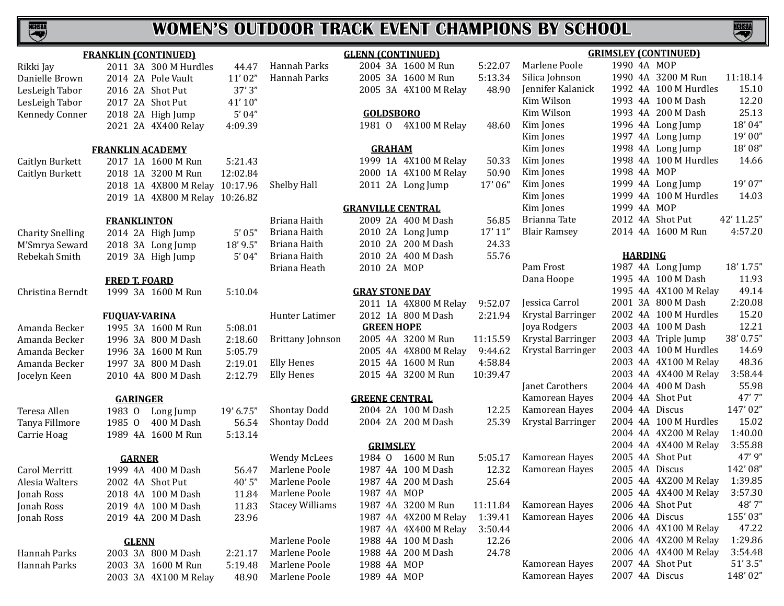

|                         | <b>FRANKLIN (CONTINUED)</b> |                                |           |                                        | <b>GLENN (CONTINU</b>       |      |
|-------------------------|-----------------------------|--------------------------------|-----------|----------------------------------------|-----------------------------|------|
| Rikki Jay               |                             | 2011 3A 300 M Hurdles          | 44.47     | Hannah Parks                           | 2004 3A 1600                |      |
| Danielle Brown          |                             | 2014 2A Pole Vault             | 11'02"    | Hannah Parks                           | 2005 3A 1600                |      |
| LesLeigh Tabor          | 2016 2A Shot Put            |                                | 37'3''    |                                        | 2005 3A 4X10                |      |
| LesLeigh Tabor          | 2017 2A Shot Put            |                                | 41'10"    |                                        |                             |      |
| <b>Kennedy Conner</b>   |                             | 2018 2A High Jump              | 5'04"     |                                        | <b>GOLDSBORO</b>            |      |
|                         |                             | 2021 2A 4X400 Relay            | 4:09.39   |                                        | 1981 0                      | 4X10 |
|                         | <b>FRANKLIN ACADEMY</b>     |                                |           |                                        | <b>GRAHAM</b>               |      |
| Caitlyn Burkett         |                             | 2017 1A 1600 M Run             | 5:21.43   |                                        | 1999 1A 4X10                |      |
| Caitlyn Burkett         |                             | 2018 1A 3200 M Run             | 12:02.84  |                                        | 2000 1A 4X10                |      |
|                         |                             | 2018 1A 4X800 M Relay          | 10:17.96  | Shelby Hall                            | 2011 2A Long                |      |
|                         |                             | 2019 1A 4X800 M Relay 10:26.82 |           |                                        |                             |      |
|                         |                             |                                |           |                                        | <b>GRANVILLE CENTI</b>      |      |
|                         | <b>FRANKLINTON</b>          |                                |           | Briana Haith                           | 2009 2A 4001                |      |
| <b>Charity Snelling</b> |                             | 2014 2A High Jump              | 5'05''    | Briana Haith                           | 2010 2A Long                |      |
| M'Smrya Seward          |                             | 2018 3A Long Jump              | 18' 9.5"  | Briana Haith                           | 2010 2A 2001                |      |
| Rebekah Smith           |                             | 2019 3A High Jump              | 5'04"     | Briana Haith                           | 2010 2A 400                 |      |
|                         |                             |                                |           | Briana Heath                           | 2010 2A MOP                 |      |
|                         | <b>FRED T. FOARD</b>        |                                |           |                                        |                             |      |
| Christina Berndt        |                             | 1999 3A 1600 M Run             | 5:10.04   |                                        | <b>GRAY STONE DA</b>        |      |
|                         |                             |                                |           |                                        | 2011 1A 4X80<br>2012 1A 800 |      |
|                         | <b>FUQUAY-VARINA</b>        |                                |           | Hunter Latimer                         | <b>GREEN HOPE</b>           |      |
| Amanda Becker           |                             | 1995 3A 1600 M Run             | 5:08.01   |                                        | 2005 4A 3200                |      |
| Amanda Becker           |                             | 1996 3A 800 M Dash             | 2:18.60   | <b>Brittany Johnson</b>                | 2005 4A 4X80                |      |
| Amanda Becker           |                             | 1996 3A 1600 M Run             | 5:05.79   |                                        | 2015 4A 1600                |      |
| Amanda Becker           |                             | 1997 3A 800 M Dash             | 2:19.01   | <b>Elly Henes</b><br><b>Elly Henes</b> | 2015 4A 3200                |      |
| Jocelyn Keen            |                             | 2010 4A 800 M Dash             | 2:12.79   |                                        |                             |      |
|                         | <b>GARINGER</b>             |                                |           |                                        | <b>GREENE CENTRA</b>        |      |
| Teresa Allen            | 1983 0                      | Long Jump                      | 19' 6.75" | <b>Shontay Dodd</b>                    | 2004 2A 100                 |      |
| Tanya Fillmore          | 1985 0                      | 400 M Dash                     | 56.54     | <b>Shontay Dodd</b>                    | 2004 2A 2001                |      |
| Carrie Hoag             |                             | 1989 4A 1600 M Run             | 5:13.14   |                                        |                             |      |
|                         |                             |                                |           |                                        | <b>GRIMSLEY</b>             |      |
|                         | <b>GARNER</b>               |                                |           | <b>Wendy McLees</b>                    | 1984 0                      | 1600 |
| <b>Carol Merritt</b>    |                             | 1999 4A 400 M Dash             | 56.47     | Marlene Poole                          | 1987 4A 100                 |      |
| Alesia Walters          | 2002 4A Shot Put            |                                | 40'5"     | Marlene Poole                          | 1987 4A 2001                |      |
| Jonah Ross              |                             | 2018 4A 100 M Dash             | 11.84     | Marlene Poole                          | 1987 4A MOP                 |      |
| Jonah Ross              |                             | 2019 4A 100 M Dash             | 11.83     | <b>Stacey Williams</b>                 | 1987 4A 3200                |      |
| Jonah Ross              |                             | 2019 4A 200 M Dash             | 23.96     |                                        | 1987 4A 4X20                |      |
|                         |                             |                                |           |                                        | 1987 4A 4X40                |      |
|                         | <b>GLENN</b>                |                                |           | Marlene Poole                          | 1988 4A 100                 |      |
| Hannah Parks            |                             | 2003 3A 800 M Dash             | 2:21.17   | Marlene Poole                          | 1988 4A 2001                |      |
| Hannah Parks            |                             | 2003 3A 1600 M Run             | 5:19.48   | Marlene Poole                          | 1988 4A MOP                 |      |
|                         |                             | 2003 3A 4X100 M Relay          | 48.90     | Marlene Poole                          | 1989 4A MOP                 |      |

|                         | <b>GLENN (CONTINUED)</b> |                       |          | <b>GRIM</b>         |
|-------------------------|--------------------------|-----------------------|----------|---------------------|
| Hannah Parks            |                          | 2004 3A 1600 M Run    | 5:22.07  | Marlene Poole       |
| Hannah Parks            |                          | 2005 3A 1600 M Run    | 5:13.34  | Silica Johnson      |
|                         |                          | 2005 3A 4X100 M Relay | 48.90    | Jennifer Kalanick   |
|                         |                          |                       |          | Kim Wilson          |
|                         | <b>GOLDSBORO</b>         |                       |          | Kim Wilson          |
|                         | 1981 O                   | 4X100 M Relay         | 48.60    | Kim Jones           |
|                         |                          |                       |          | Kim Jones           |
|                         | <b>GRAHAM</b>            |                       |          | Kim Jones           |
|                         |                          | 1999 1A 4X100 M Relay | 50.33    | Kim Jones           |
|                         |                          | 2000 1A 4X100 M Relay | 50.90    | Kim Jones           |
| Shelby Hall             |                          | 2011 2A Long Jump     | 17'06"   | Kim Jones           |
|                         |                          |                       |          | Kim Jones           |
|                         | <b>GRANVILLE CENTRAL</b> |                       |          | Kim Jones           |
| Briana Haith            |                          | 2009 2A 400 M Dash    | 56.85    | Brianna Tate        |
| Briana Haith            |                          | 2010 2A Long Jump     | 17' 11'' | <b>Blair Ramsey</b> |
| Briana Haith            |                          | 2010 2A 200 M Dash    | 24.33    |                     |
| Briana Haith            |                          | 2010 2A 400 M Dash    | 55.76    |                     |
| Briana Heath            | 2010 2A MOP              |                       |          | Pam Frost           |
|                         |                          |                       |          | Dana Hoope          |
|                         | <b>GRAY STONE DAY</b>    |                       |          |                     |
|                         |                          | 2011 1A 4X800 M Relay | 9:52.07  | Jessica Carrol      |
| Hunter Latimer          |                          | 2012 1A 800 M Dash    | 2:21.94  | Krystal Barringer   |
|                         | <b>GREEN HOPE</b>        |                       |          | Joya Rodgers        |
| <b>Brittany Johnson</b> |                          | 2005 4A 3200 M Run    | 11:15.59 | Krystal Barringer   |
|                         |                          | 2005 4A 4X800 M Relay | 9:44.62  | Krystal Barringer   |
| <b>Elly Henes</b>       |                          | 2015 4A 1600 M Run    | 4:58.84  |                     |
| <b>Elly Henes</b>       |                          | 2015 4A 3200 M Run    | 10:39.47 |                     |
|                         |                          |                       |          | Janet Carothers     |
|                         | <b>GREENE CENTRAL</b>    |                       |          | Kamorean Hayes      |
| Shontay Dodd            |                          | 2004 2A 100 M Dash    | 12.25    | Kamorean Hayes      |
| <b>Shontay Dodd</b>     |                          | 2004 2A 200 M Dash    | 25.39    | Krystal Barringer   |
|                         |                          |                       |          |                     |
|                         | <b>GRIMSLEY</b>          |                       |          |                     |
| Wendy McLees            | 1984 0                   | 1600 M Run            | 5:05.17  | Kamorean Hayes      |
| Marlene Poole           |                          | 1987 4A 100 M Dash    | 12.32    | Kamorean Hayes      |
| Marlene Poole           |                          | 1987 4A 200 M Dash    | 25.64    |                     |
| Marlene Poole           | 1987 4A MOP              |                       |          |                     |
| <b>Stacey Williams</b>  |                          | 1987 4A 3200 M Run    | 11:11.84 | Kamorean Hayes      |
|                         |                          | 1987 4A 4X200 M Relay | 1:39.41  | Kamorean Hayes      |
|                         |                          | 1987 4A 4X400 M Relay | 3:50.44  |                     |
| Marlene Poole           |                          | 1988 4A 100 M Dash    | 12.26    |                     |
| Marlene Poole           |                          | 1988 4A 200 M Dash    | 24.78    |                     |
| Marlene Poole           | 1988 4A MOP              |                       |          | Kamorean Hayes      |
| Marlene Poole           | 1989 4A MOP              |                       |          | Kamorean Hayes      |
|                         |                          |                       |          |                     |

| <b>GRIMSLEY (CONTINUED)</b> |                |    |                 |            |  |  |  |  |  |
|-----------------------------|----------------|----|-----------------|------------|--|--|--|--|--|
| Marlene Poole               | 1990           | 4A | <b>MOP</b>      |            |  |  |  |  |  |
| Silica Johnson              | 1990           | 4A | 3200 M Run      | 11:18.14   |  |  |  |  |  |
| Jennifer Kalanick           | 1992           | 4A | 100 M Hurdles   | 15.10      |  |  |  |  |  |
| Kim Wilson                  | 1993           | 4A | 100 M Dash      | 12.20      |  |  |  |  |  |
| Kim Wilson                  | 1993 4A        |    | 200 M Dash      | 25.13      |  |  |  |  |  |
| Kim Jones                   | 1996           | 4A | Long Jump       | 18'04"     |  |  |  |  |  |
| Kim Jones                   | 1997           | 4A | Long Jump       | 19'00"     |  |  |  |  |  |
| Kim Jones                   | 1998           | 4A | Long Jump       | 18'08''    |  |  |  |  |  |
| Kim Jones                   | 1998 4A        |    | 100 M Hurdles   | 14.66      |  |  |  |  |  |
| Kim Jones                   | 1998 4A        |    | <b>MOP</b>      |            |  |  |  |  |  |
| Kim Jones                   | 1999 4A        |    | Long Jump       | 19'07"     |  |  |  |  |  |
| Kim Jones                   | 1999           | 4A | 100 M Hurdles   | 14.03      |  |  |  |  |  |
| Kim Jones                   | 1999 4A        |    | MOP             |            |  |  |  |  |  |
| Brianna Tate                | 2012           | 4A | <b>Shot Put</b> | 42' 11.25" |  |  |  |  |  |
| <b>Blair Ramsey</b>         | 2014 4A        |    | 1600 M Run      | 4:57.20    |  |  |  |  |  |
|                             | <b>HARDING</b> |    |                 |            |  |  |  |  |  |
| Pam Frost                   | 1987           | 4Α | Long Jump       | 18' 1.75"  |  |  |  |  |  |
| Dana Hoope                  | 1995           | 4A | 100 M Dash      | 11.93      |  |  |  |  |  |
|                             | 1995           | 4A | 4X100 M Relay   | 49.14      |  |  |  |  |  |
| Jessica Carrol              | 2001           | 3A | 800 M Dash      | 2:20.08    |  |  |  |  |  |
| Krystal Barringer           | 2002           | 4A | 100 M Hurdles   | 15.20      |  |  |  |  |  |
| Joya Rodgers                | 2003 4A        |    | 100 M Dash      | 12.21      |  |  |  |  |  |
| Krystal Barringer           | 2003 4A        |    | Triple Jump     | 38' 0.75"  |  |  |  |  |  |
| Krystal Barringer           | 2003           | 4A | 100 M Hurdles   | 14.69      |  |  |  |  |  |
|                             | 2003 4A        |    | 4X100 M Relay   | 48.36      |  |  |  |  |  |
|                             | 2003 4A        |    | 4X400 M Relay   | 3:58.44    |  |  |  |  |  |
| Janet Carothers             | 2004 4A        |    | 400 M Dash      | 55.98      |  |  |  |  |  |
| Kamorean Hayes              | 2004           | 4A | <b>Shot Put</b> | 47'7"      |  |  |  |  |  |
| Kamorean Hayes              | 2004 4A        |    | Discus          | 147'02"    |  |  |  |  |  |
| Krystal Barringer           | 2004           | 4A | 100 M Hurdles   | 15.02      |  |  |  |  |  |
|                             | 2004 4A        |    | 4X200 M Relay   | 1:40.00    |  |  |  |  |  |
|                             | 2004 4A        |    | 4X400 M Relay   | 3:55.88    |  |  |  |  |  |
| Kamorean Hayes              | 2005 4A        |    | Shot Put        | 47' 9"     |  |  |  |  |  |
| Kamorean Hayes              | 2005 4A        |    | <b>Discus</b>   | 142'08"    |  |  |  |  |  |
|                             | 2005 4A        |    | 4X200 M Relay   | 1:39.85    |  |  |  |  |  |
|                             | 2005 4A        |    | 4X400 M Relay   | 3:57.30    |  |  |  |  |  |
| Kamorean Hayes              | 2006 4A        |    | Shot Put        | 48'7"      |  |  |  |  |  |
| Kamorean Hayes              | 2006 4A        |    | <b>Discus</b>   | 155'03"    |  |  |  |  |  |
|                             | 2006 4A        |    | 4X100 M Relay   | 47.22      |  |  |  |  |  |
|                             | 2006 4A        |    | 4X200 M Relay   | 1:29.86    |  |  |  |  |  |
|                             | 2006           | 4A | 4X400 M Relay   | 3:54.48    |  |  |  |  |  |
|                             |                |    |                 |            |  |  |  |  |  |

2006 4A 4X400 M Relay 3:54.48<br>2007 4A Shot Put 51' 3.5" 2007 4A Shot Put 51' 3.5"<br>2007 4A Discus 148' 02"

2007 4A Discus

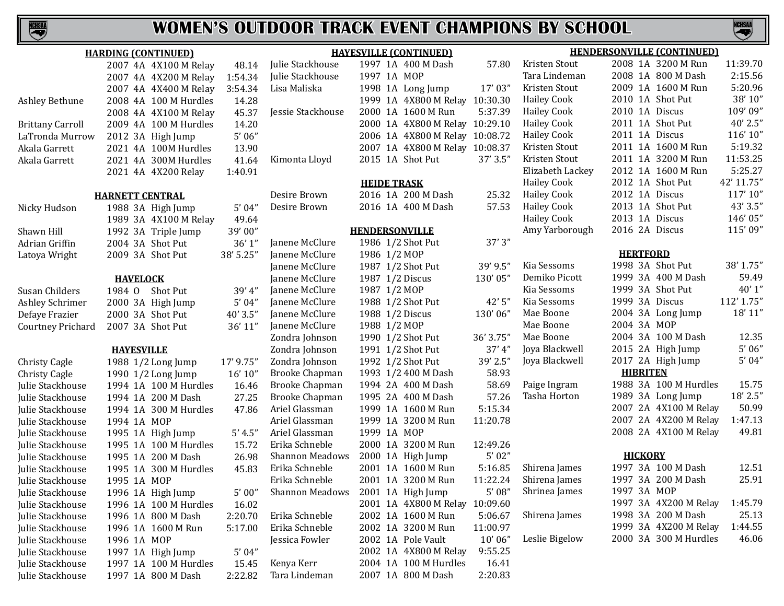**NCHSMA** 

|                         | <b>HARDING (CONTINUED)</b> |           | <b>HAYESVILLE (CONTINUED)</b> |                                         |           | <b>HENDERSONVILLE (CONTINUED)</b> |                       |            |
|-------------------------|----------------------------|-----------|-------------------------------|-----------------------------------------|-----------|-----------------------------------|-----------------------|------------|
|                         | 2007 4A 4X100 M Relay      | 48.14     | Julie Stackhouse              | 1997 1A 400 M Dash                      | 57.80     | Kristen Stout                     | 2008 1A 3200 M Run    | 11:39.70   |
|                         | 2007 4A 4X200 M Relay      | 1:54.34   | Julie Stackhouse              | 1997 1A MOP                             |           | Tara Lindeman                     | 2008 1A 800 M Dash    | 2:15.56    |
|                         | 2007 4A 4X400 M Relay      | 3:54.34   | Lisa Maliska                  | 1998 1A Long Jump                       | 17'03"    | Kristen Stout                     | 2009 1A 1600 M Run    | 5:20.96    |
| Ashley Bethune          | 2008 4A 100 M Hurdles      | 14.28     |                               | 1999 1A 4X800 M Relay                   | 10:30.30  | <b>Hailey Cook</b>                | 2010 1A Shot Put      | 38' 10"    |
|                         | 2008 4A 4X100 M Relay      | 45.37     | Jessie Stackhouse             | 2000 1A 1600 M Run                      | 5:37.39   | <b>Hailey Cook</b>                | 2010 1A Discus        | 109'09"    |
| <b>Brittany Carroll</b> | 2009 4A 100 M Hurdles      | 14.20     |                               | 2000 1A 4X800 M Relay 10:29.10          |           | <b>Hailey Cook</b>                | 2011 1A Shot Put      | $40'$ 2.5" |
| LaTronda Murrow         | 2012 3A High Jump          | 5'06''    |                               | 2006 1A 4X800 M Relay 10:08.72          |           | <b>Hailey Cook</b>                | 2011 1A Discus        | 116' 10"   |
| Akala Garrett           | 2021 4A 100M Hurdles       | 13.90     |                               | 2007 1A 4X800 M Relay 10:08.37          |           | Kristen Stout                     | 2011 1A 1600 M Run    | 5:19.32    |
| Akala Garrett           | 2021 4A 300M Hurdles       | 41.64     | Kimonta Lloyd                 | 2015 1A Shot Put                        | 37' 3.5"  | Kristen Stout                     | 2011 1A 3200 M Run    | 11:53.25   |
|                         | 2021 4A 4X200 Relay        | 1:40.91   |                               |                                         |           | Elizabeth Lackey                  | 2012 1A 1600 M Run    | 5:25.27    |
|                         |                            |           |                               | <b>HEIDE TRASK</b>                      |           | <b>Hailey Cook</b>                | 2012 1A Shot Put      | 42' 11.75" |
|                         | <b>HARNETT CENTRAL</b>     |           | Desire Brown                  | 2016 1A 200 M Dash                      | 25.32     | <b>Hailey Cook</b>                | 2012 1A Discus        | 117'10"    |
| Nicky Hudson            | 1988 3A High Jump          | 5'04''    | Desire Brown                  | 2016 1A 400 M Dash                      | 57.53     | <b>Hailey Cook</b>                | 2013 1A Shot Put      | 43' 3.5"   |
|                         | 1989 3A 4X100 M Relay      | 49.64     |                               |                                         |           | <b>Hailey Cook</b>                | 2013 1A Discus        | 146'05"    |
| Shawn Hill              | 1992 3A Triple Jump        | 39'00"    |                               | <b>HENDERSONVILLE</b>                   |           | Amy Yarborough                    | 2016 2A Discus        | 115'09"    |
| Adrian Griffin          | 2004 3A Shot Put           | 36'1''    | Janene McClure                | 1986 1/2 Shot Put                       | 37'3"     |                                   |                       |            |
| Latoya Wright           | 2009 3A Shot Put           | 38' 5.25" | Janene McClure                | 1986 1/2 MOP                            |           |                                   | <b>HERTFORD</b>       |            |
|                         |                            |           | Janene McClure                | 1987 1/2 Shot Put                       | 39' 9.5"  | Kia Sessoms                       | 1998 3A Shot Put      | 38' 1.75"  |
|                         | <b>HAVELOCK</b>            |           | Janene McClure                | 1987 1/2 Discus                         | 130'05"   | Demiko Picott                     | 1999 3A 400 M Dash    | 59.49      |
| Susan Childers          | 1984 O Shot Put            | 39' 4"    | Janene McClure                | 1987 1/2 MOP                            |           | Kia Sessoms                       | 1999 3A Shot Put      | 40'1''     |
| Ashley Schrimer         | 2000 3A High Jump          | 5'04''    | Janene McClure                | 1988 1/2 Shot Put                       | 42'5"     | Kia Sessoms                       | 1999 3A Discus        | 112' 1.75" |
| Defaye Frazier          | 2000 3A Shot Put           | 40'3.5"   | Janene McClure                | 1988 1/2 Discus                         | 130'06"   | Mae Boone                         | 2004 3A Long Jump     | 18' 11"    |
| Courtney Prichard       | 2007 3A Shot Put           | 36' 11"   | Janene McClure                | 1988 1/2 MOP                            |           | Mae Boone                         | 2004 3A MOP           |            |
|                         |                            |           | Zondra Johnson                | 1990 1/2 Shot Put                       | 36' 3.75" | Mae Boone                         | 2004 3A 100 M Dash    | 12.35      |
|                         | <b>HAYESVILLE</b>          |           | Zondra Johnson                | 1991 1/2 Shot Put                       | 37' 4''   | Joya Blackwell                    | 2015 2A High Jump     | 5'06''     |
| Christy Cagle           | 1988 1/2 Long Jump         | 17' 9.75" | Zondra Johnson                | 1992 1/2 Shot Put                       | 39' 2.5"  | Joya Blackwell                    | 2017 2A High Jump     | 5'04''     |
| Christy Cagle           | 1990 1/2 Long Jump         | 16' 10''  | <b>Brooke Chapman</b>         | 1993 1/2 400 M Dash                     | 58.93     |                                   | <b>HIBRITEN</b>       |            |
| Julie Stackhouse        | 1994 1A 100 M Hurdles      | 16.46     | <b>Brooke Chapman</b>         | 1994 2A 400 M Dash                      | 58.69     | Paige Ingram                      | 1988 3A 100 M Hurdles | 15.75      |
|                         | 1994 1A 200 M Dash         | 27.25     | <b>Brooke Chapman</b>         | 1995 2A 400 M Dash                      | 57.26     | Tasha Horton                      | 1989 3A Long Jump     | 18' 2.5"   |
| Julie Stackhouse        |                            |           | Ariel Glassman                | 1999 1A 1600 M Run                      | 5:15.34   |                                   | 2007 2A 4X100 M Relay | 50.99      |
| Julie Stackhouse        | 1994 1A 300 M Hurdles      | 47.86     | Ariel Glassman                | 1999 1A 3200 M Run                      | 11:20.78  |                                   | 2007 2A 4X200 M Relay | 1:47.13    |
| Julie Stackhouse        | 1994 1A MOP                |           | Ariel Glassman                | 1999 1A MOP                             |           |                                   | 2008 2A 4X100 M Relay | 49.81      |
| Julie Stackhouse        | 1995 1A High Jump          | 5' 4.5''  | Erika Schneble                | 2000 1A 3200 M Run                      | 12:49.26  |                                   |                       |            |
| Julie Stackhouse        | 1995 1A 100 M Hurdles      | 15.72     | <b>Shannon Meadows</b>        |                                         | 5'02''    |                                   | <b>HICKORY</b>        |            |
| Julie Stackhouse        | 1995 1A 200 M Dash         | 26.98     |                               | 2000 1A High Jump<br>2001 1A 1600 M Run |           |                                   | 1997 3A 100 M Dash    | 12.51      |
| Julie Stackhouse        | 1995 1A 300 M Hurdles      | 45.83     | Erika Schneble                |                                         | 5:16.85   | Shirena James                     | 1997 3A 200 M Dash    | 25.91      |
| Julie Stackhouse        | 1995 1A MOP                |           | Erika Schneble                | 2001 1A 3200 M Run                      | 11:22.24  | Shirena James                     |                       |            |
| Julie Stackhouse        | 1996 1A High Jump          | 5'00''    | Shannon Meadows               | 2001 1A High Jump                       | 5'08''    | Shrinea James                     | 1997 3A MOP           |            |
| Julie Stackhouse        | 1996 1A 100 M Hurdles      | 16.02     |                               | 2001 1A 4X800 M Relay 10:09.60          |           |                                   | 1997 3A 4X200 M Relay | 1:45.79    |
| Julie Stackhouse        | 1996 1A 800 M Dash         | 2:20.70   | Erika Schneble                | 2002 1A 1600 M Run                      | 5:06.67   | Shirena James                     | 1998 3A 200 M Dash    | 25.13      |
| Julie Stackhouse        | 1996 1A 1600 M Run         | 5:17.00   | Erika Schneble                | 2002 1A 3200 M Run                      | 11:00.97  |                                   | 1999 3A 4X200 M Relay | 1:44.55    |
| Julie Stackhouse        | 1996 1A MOP                |           | Jessica Fowler                | 2002 1A Pole Vault                      | 10'06''   | Leslie Bigelow                    | 2000 3A 300 M Hurdles | 46.06      |
| Julie Stackhouse        | 1997 1A High Jump          | 5'04''    |                               | 2002 1A 4X800 M Relay                   | 9:55.25   |                                   |                       |            |
| Julie Stackhouse        | 1997 1A 100 M Hurdles      | 15.45     | Kenya Kerr                    | 2004 1A 100 M Hurdles                   | 16.41     |                                   |                       |            |
| Julie Stackhouse        | 1997 1A 800 M Dash         | 2:22.82   | Tara Lindeman                 | 2007 1A 800 M Dash                      | 2:20.83   |                                   |                       |            |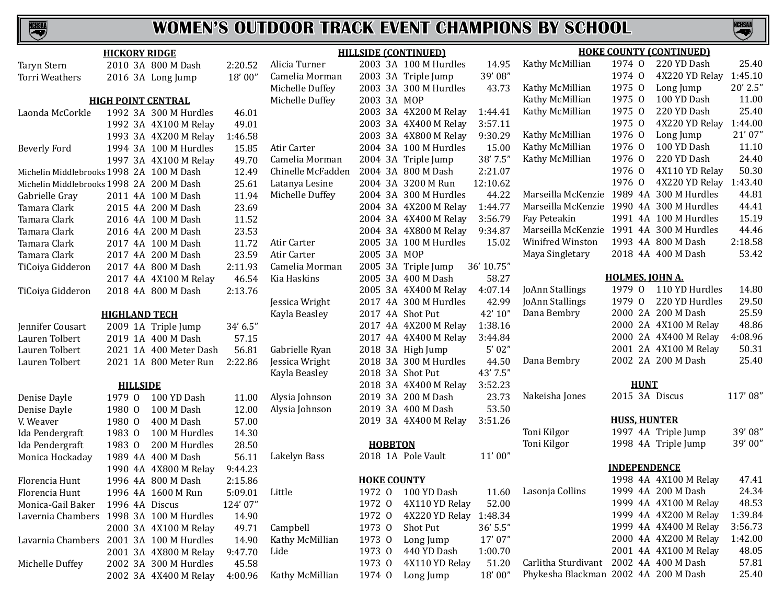# **NCHSAA**

## **WOMEN'S OUTDOOR TRACK EVENT CHAMPIONS BY SCHOOL**

| <b>HILLSIDE (CONTINUED)</b><br><b>HICKORY RIDGE</b> |                           |                        |          |                   |                    | <b>HOKE COUNTY (CONTINUED)</b> |            |                                          |                        |                       |          |
|-----------------------------------------------------|---------------------------|------------------------|----------|-------------------|--------------------|--------------------------------|------------|------------------------------------------|------------------------|-----------------------|----------|
| <b>Taryn Stern</b>                                  |                           | 2010 3A 800 M Dash     | 2:20.52  | Alicia Turner     |                    | 2003 3A 100 M Hurdles          | 14.95      | Kathy McMillian                          | 1974 0                 | 220 YD Dash           | 25.40    |
| Torri Weathers                                      |                           | 2016 3A Long Jump      | 18'00"   | Camelia Morman    |                    | 2003 3A Triple Jump            | 39'08"     |                                          | 1974 0                 | 4X220 YD Relay        | 1:45.10  |
|                                                     |                           |                        |          | Michelle Duffey   |                    | 2003 3A 300 M Hurdles          | 43.73      | Kathy McMillian                          | 1975 0                 | Long Jump             | 20' 2.5" |
|                                                     | <b>HIGH POINT CENTRAL</b> |                        |          | Michelle Duffey   | 2003 3A MOP        |                                |            | Kathy McMillian                          | 1975 0                 | 100 YD Dash           | 11.00    |
| Laonda McCorkle                                     |                           | 1992 3A 300 M Hurdles  | 46.01    |                   |                    | 2003 3A 4X200 M Relay          | 1:44.41    | Kathy McMillian                          | 1975 0                 | 220 YD Dash           | 25.40    |
|                                                     |                           | 1992 3A 4X100 M Relay  | 49.01    |                   |                    | 2003 3A 4X400 M Relay          | 3:57.11    |                                          | 1975 0                 | 4X220 YD Relay        | 1:44.00  |
|                                                     |                           | 1993 3A 4X200 M Relay  | 1:46.58  |                   |                    | 2003 3A 4X800 M Relay          | 9:30.29    | Kathy McMillian                          | 1976 0                 | Long Jump             | 21'07"   |
| <b>Beverly Ford</b>                                 |                           | 1994 3A 100 M Hurdles  | 15.85    | Atir Carter       |                    | 2004 3A 100 M Hurdles          | 15.00      | Kathy McMillian                          | 1976 0                 | 100 YD Dash           | 11.10    |
|                                                     |                           | 1997 3A 4X100 M Relay  | 49.70    | Camelia Morman    |                    | 2004 3A Triple Jump            | 38' 7.5"   | Kathy McMillian                          | 1976 0                 | 220 YD Dash           | 24.40    |
| Michelin Middlebrooks 1998 2A 100 M Dash            |                           |                        | 12.49    | Chinelle McFadden |                    | 2004 3A 800 M Dash             | 2:21.07    |                                          | 1976 0                 | 4X110 YD Relay        | 50.30    |
| Michelin Middlebrooks 1998 2A 200 M Dash            |                           |                        | 25.61    | Latanya Lesine    |                    | 2004 3A 3200 M Run             | 12:10.62   |                                          | 1976 0                 | 4X220 YD Relay        | :43.40   |
| Gabrielle Gray                                      |                           | 2011 4A 100 M Dash     | 11.94    | Michelle Duffey   |                    | 2004 3A 300 M Hurdles          | 44.22      | Marseilla McKenzie 1989 4A 300 M Hurdles |                        |                       | 44.81    |
| Tamara Clark                                        |                           | 2015 4A 200 M Dash     | 23.69    |                   |                    | 2004 3A 4X200 M Relay          | 1:44.77    | Marseilla McKenzie 1990 4A 300 M Hurdles |                        |                       | 44.41    |
| Tamara Clark                                        |                           | 2016 4A 100 M Dash     | 11.52    |                   |                    | 2004 3A 4X400 M Relay          | 3:56.79    | Fay Peteakin                             |                        | 1991 4A 100 M Hurdles | 15.19    |
| Tamara Clark                                        |                           | 2016 4A 200 M Dash     | 23.53    |                   |                    | 2004 3A 4X800 M Relay          | 9:34.87    | Marseilla McKenzie 1991 4A 300 M Hurdles |                        |                       | 44.46    |
| Tamara Clark                                        |                           | 2017 4A 100 M Dash     | 11.72    | Atir Carter       |                    | 2005 3A 100 M Hurdles          | 15.02      | Winifred Winston                         |                        | 1993 4A 800 M Dash    | 2:18.58  |
| Tamara Clark                                        |                           | 2017 4A 200 M Dash     | 23.59    | Atir Carter       | 2005 3A MOP        |                                |            | Maya Singletary                          |                        | 2018 4A 400 M Dash    | 53.42    |
| TiCoiya Gidderon                                    |                           | 2017 4A 800 M Dash     | 2:11.93  | Camelia Morman    |                    | 2005 3A Triple Jump            | 36' 10.75" |                                          |                        |                       |          |
|                                                     |                           | 2017 4A 4X100 M Relay  | 46.54    | Kia Haskins       |                    | 2005 3A 400 M Dash             | 58.27      |                                          | <b>HOLMES, JOHN A.</b> |                       |          |
| TiCoiya Gidderon                                    |                           | 2018 4A 800 M Dash     | 2:13.76  |                   |                    | 2005 3A 4X400 M Relay          | 4:07.14    | JoAnn Stallings                          | 1979 0                 | 110 YD Hurdles        | 14.80    |
|                                                     |                           |                        |          | Jessica Wright    |                    | 2017 4A 300 M Hurdles          | 42.99      | JoAnn Stallings                          | 1979 0                 | 220 YD Hurdles        | 29.50    |
|                                                     | <b>HIGHLAND TECH</b>      |                        |          | Kayla Beasley     | 2017 4A Shot Put   |                                | 42' 10"    | Dana Bembry                              |                        | 2000 2A 200 M Dash    | 25.59    |
| Jennifer Cousart                                    |                           | 2009 1A Triple Jump    | 34' 6.5" |                   |                    | 2017 4A 4X200 M Relay          | 1:38.16    |                                          |                        | 2000 2A 4X100 M Relay | 48.86    |
| Lauren Tolbert                                      |                           | 2019 1A 400 M Dash     | 57.15    |                   |                    | 2017 4A 4X400 M Relay          | 3:44.84    |                                          |                        | 2000 2A 4X400 M Relay | 4:08.96  |
| Lauren Tolbert                                      |                           | 2021 1A 400 Meter Dash | 56.81    | Gabrielle Ryan    |                    | 2018 3A High Jump              | 5'02''     |                                          |                        | 2001 2A 4X100 M Relay | 50.31    |
| Lauren Tolbert                                      |                           | 2021 1A 800 Meter Run  | 2:22.86  | Jessica Wright    |                    | 2018 3A 300 M Hurdles          | 44.50      | Dana Bembry                              |                        | 2002 2A 200 M Dash    | 25.40    |
|                                                     |                           |                        |          | Kayla Beasley     |                    | 2018 3A Shot Put               | 43' 7.5"   |                                          |                        |                       |          |
|                                                     | <b>HILLSIDE</b>           |                        |          |                   |                    | 2018 3A 4X400 M Relay          | 3:52.23    |                                          | <b>HUNT</b>            |                       |          |
| Denise Dayle                                        | 1979 0                    | 100 YD Dash            | 11.00    | Alysia Johnson    |                    | 2019 3A 200 M Dash             | 23.73      | Nakeisha Jones                           | 2015 3A Discus         |                       | 117'08"  |
| Denise Dayle                                        | 1980 0                    | 100 M Dash             | 12.00    | Alysia Johnson    |                    | 2019 3A 400 M Dash             | 53.50      |                                          |                        |                       |          |
| V. Weaver                                           | 1980 0                    | 400 M Dash             | 57.00    |                   |                    | 2019 3A 4X400 M Relay          | 3:51.26    |                                          | <b>HUSS, HUNTER</b>    |                       |          |
| Ida Pendergraft                                     | 1983 0                    | 100 M Hurdles          | 14.30    |                   |                    |                                |            | Toni Kilgor                              |                        | 1997 4A Triple Jump   | 39'08"   |
| Ida Pendergraft                                     | 1983 0                    | 200 M Hurdles          | 28.50    |                   | <b>HOBBTON</b>     |                                |            | Toni Kilgor                              |                        | 1998 4A Triple Jump   | 39'00"   |
| Monica Hockaday                                     |                           | 1989 4A 400 M Dash     | 56.11    | Lakelyn Bass      |                    | 2018 1A Pole Vault             | 11'00''    |                                          |                        |                       |          |
|                                                     |                           | 1990 4A 4X800 M Relay  | 9:44.23  |                   |                    |                                |            |                                          | <b>INDEPENDENCE</b>    |                       |          |
| Florencia Hunt                                      |                           | 1996 4A 800 M Dash     | 2:15.86  |                   | <b>HOKE COUNTY</b> |                                |            |                                          |                        | 1998 4A 4X100 M Relay | 47.41    |
| Florencia Hunt                                      |                           | 1996 4A 1600 M Run     | 5:09.01  | Little            | 1972 0             | 100 YD Dash                    | 11.60      | Lasonja Collins                          |                        | 1999 4A 200 M Dash    | 24.34    |
| Monica-Gail Baker                                   | 1996 4A Discus            |                        | 124'07"  |                   | 1972 0             | 4X110 YD Relay                 | 52.00      |                                          |                        | 1999 4A 4X100 M Relay | 48.53    |
| Lavernia Chambers 1998 3A 100 M Hurdles             |                           |                        | 14.90    |                   | 1972 0             | 4X220 YD Relay                 | 1:48.34    |                                          |                        | 1999 4A 4X200 M Relay | 1:39.84  |
|                                                     |                           | 2000 3A 4X100 M Relay  | 49.71    | Campbell          | 1973 0             | Shot Put                       | $36'$ 5.5" |                                          |                        | 1999 4A 4X400 M Relay | 3:56.73  |
| Lavarnia Chambers                                   |                           | 2001 3A 100 M Hurdles  | 14.90    | Kathy McMillian   | 1973 0             | Long Jump                      | 17'07"     |                                          |                        | 2000 4A 4X200 M Relay | 1:42.00  |
|                                                     |                           | 2001 3A 4X800 M Relay  | 9:47.70  | Lide              | 1973 0             | 440 YD Dash                    | 1:00.70    |                                          |                        | 2001 4A 4X100 M Relay | 48.05    |
| Michelle Duffey                                     |                           | 2002 3A 300 M Hurdles  | 45.58    |                   | 1973 0             | 4X110 YD Relay                 | 51.20      | Carlitha Sturdivant                      |                        | 2002 4A 400 M Dash    | 57.81    |
|                                                     |                           | 2002 3A 4X400 M Relay  | 4:00.96  | Kathy McMillian   | 1974 0             | Long Jump                      | 18'00"     | Phykesha Blackman 2002 4A 200 M Dash     |                        |                       | 25.40    |
|                                                     |                           |                        |          |                   |                    |                                |            |                                          |                        |                       |          |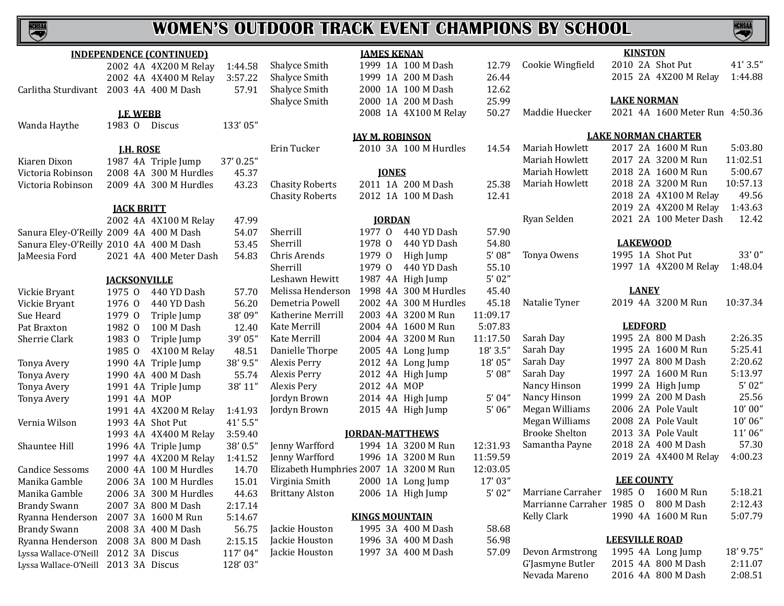| <u>NCHSAA</u>                |         |                 | WOMEN'S OU                         |          |
|------------------------------|---------|-----------------|------------------------------------|----------|
|                              |         |                 | <b>INDEPENDENCE (CONTINUED)</b>    |          |
|                              |         |                 | 2002 4A 4X200 M Relay              | 1:44.58  |
|                              |         |                 | 2002 4A 4X400 M Relay              | 3:57.22  |
| Carlitha Sturdivant          |         |                 | 2003 4A 400 M Dash                 | 57.91    |
|                              |         |                 |                                    |          |
|                              |         | <b>LE WEBB</b>  |                                    |          |
| Wanda Haythe                 | 1983 0  |                 | Discus                             | 133'05"  |
|                              |         |                 |                                    |          |
|                              |         | <b>LH. ROSE</b> |                                    |          |
| Kiaren Dixon                 |         |                 | 1987 4A Triple Jump                | 37'0.25" |
| Victoria Robinson            | 2008 4A |                 | 300 M Hurdles                      | 45.37    |
| Victoria Robinson            | 2009 4A |                 | 300 M Hurdles                      | 43.23    |
|                              |         |                 |                                    |          |
|                              | 2002 4A |                 | <b>JACK BRITT</b><br>4X100 M Relay | 47.99    |
| Sanura Eley-O'Reilly 2009 4A |         |                 | 400 M Dash                         | 54.07    |
|                              |         |                 |                                    | 53.45    |
| Sanura Eley-O'Reilly 2010 4A |         |                 | 400 M Dash                         |          |
| JaMeesia Ford                | 2021 4A |                 | 400 Meter Dash                     | 54.83    |
|                              |         |                 | <b>JACKSONVILLE</b>                |          |
| Vickie Bryant                | 1975 0  |                 | 440 YD Dash                        | 57.70    |
| Vickie Bryant                | 1976    | $\Omega$        | 440 YD Dash                        | 56.20    |
| Sue Heard                    | 1979    | $\overline{0}$  | Triple Jump                        | 38'09"   |
| Pat Braxton                  | 1982    | $\Omega$        | 100 M Dash                         | 12.40    |
| Sherrie Clark                | 1983    | $\overline{0}$  | Triple Jump                        | 39'05"   |
|                              | 1985    | $\overline{0}$  | 4X100 M Relay                      | 48.51    |
| Tonya Avery                  | 1990    | 4A              | Triple Jump                        | 38' 9.5" |
| Tonya Avery                  | 1990    | 4A              | 400 M Dash                         | 55.74    |
| Tonya Avery                  | 1991    | 4A              | Triple Jump                        | 38' 11"  |
| Tonya Avery                  | 1991    | 4A              | <b>MOP</b>                         |          |
|                              | 1991    | 4A              | 4X200 M Relay                      | 1:41.93  |
| Vernia Wilson                | 1993 4A |                 | <b>Shot Put</b>                    | 41' 5.5" |
|                              | 1993 4A |                 | 4X400 M Relay                      | 3:59.40  |
| Shauntee Hill                | 1996 4A |                 | Triple Jump                        | 38' 0.5" |
|                              | 1997 4A |                 | 4X200 M Relay                      | 1:41.52  |
| <b>Candice Sessoms</b>       |         |                 | 2000 4A 100 M Hurdles              | 14.70    |
| Manika Gamble                | 2006    | 3A              | 100 M Hurdles                      | 15.01    |
| Manika Gamble                | 2006    | 3A              | 300 M Hurdles                      | 44.63    |
| <b>Brandy Swann</b>          | 2007    | 3A              | 800 M Dash                         | 2:17.14  |
| Ryanna Henderson             | 2007    | 3A              | 1600 M Run                         | 5:14.67  |
| <b>Brandy Swann</b>          | 2008    | 3A              | 400 M Dash                         | 56.75    |
| Ryanna Henderson             | 2008    | 3A              | 800 M Dash                         | 2:15.15  |
| Lyssa Wallace-O'Neill        | 2012    | 3A              | Discus                             | 117'04"  |
| Lyssa Wallace-O'Neill        | 2013    | 3A              | Discus                             | 128'03"  |

# **JAMES KENAN** Shalyce Smith 1999 1A 100 M Dash 12.79<br>Shalyce Smith 1999 1A 200 M Dash 26.44 Shalyce Smith 1999 1A 200 M Dash 26.44<br>Shalyce Smith 2000 1A 100 M Dash 12.62 Shalyce Smith 2000 1A 100 M Dash 12.62<br>Shalyce Smith 2000 1A 200 M Dash 25.99 2000 1A 200 M Dash 25.99<br>2008 1A 4X100 M Relay 50.27 2008 1A 4X100 M Relay **JAY M. ROBINSON** Erin Tucker 2010 3A 100 M Hurdles 14.54 **Chasity Roberts** Alexis Perry Alexis Pery Jordyn Brown Jackie Houston 1995 3A 400 M Dash 58.68 Jackie Houston 1996 3A 400 M Dash 56.98<br>Jackie Houston 1997 3A 400 M Dash 57.09 Jackie Houston

| ени тискен             |             |               | ZUIU JAILUUM HUIULUS   | 14.J4    |  |  |  |  |  |  |
|------------------------|-------------|---------------|------------------------|----------|--|--|--|--|--|--|
| <b>JONES</b>           |             |               |                        |          |  |  |  |  |  |  |
| <b>Chasity Roberts</b> |             |               | 2011 1A 200 M Dash     | 25.38    |  |  |  |  |  |  |
| <b>Chasity Roberts</b> |             |               | 2012 1A 100 M Dash     | 12.41    |  |  |  |  |  |  |
|                        |             |               |                        |          |  |  |  |  |  |  |
|                        |             | <b>JORDAN</b> |                        |          |  |  |  |  |  |  |
| Sherrill               | 1977 0      |               | 440 YD Dash            | 57.90    |  |  |  |  |  |  |
| Sherrill               | 1978 0      |               | 440 YD Dash            | 54.80    |  |  |  |  |  |  |
| Chris Arends           |             |               | 1979 O High Jump       | 5'08''   |  |  |  |  |  |  |
| Sherrill               | 1979 0      |               | 440 YD Dash            | 55.10    |  |  |  |  |  |  |
| Leshawn Hewitt         |             |               | 1987 4A High Jump      | 5'02"    |  |  |  |  |  |  |
| Melissa Henderson      | 1998 4A     |               | 300 M Hurdles          | 45.40    |  |  |  |  |  |  |
| Demetria Powell        |             |               | 2002 4A 300 M Hurdles  | 45.18    |  |  |  |  |  |  |
| Katherine Merrill      |             |               | 2003 4A 3200 M Run     | 11:09.17 |  |  |  |  |  |  |
| Kate Merrill           |             |               | 2004 4A 1600 M Run     | 5:07.83  |  |  |  |  |  |  |
| Kate Merrill           |             |               | 2004 4A 3200 M Run     | 11:17.50 |  |  |  |  |  |  |
| Danielle Thorpe        |             |               | 2005 4A Long Jump      | 18' 3.5" |  |  |  |  |  |  |
| Alexis Perry           |             |               | 2012 4A Long Jump      | 18'05"   |  |  |  |  |  |  |
| Alexis Perry           |             |               | 2012 4A High Jump      | 5'08''   |  |  |  |  |  |  |
| Alexis Pery            | 2012 4A MOP |               |                        |          |  |  |  |  |  |  |
| Jordyn Brown           |             |               | 2014 4A High Jump      | 5'04"    |  |  |  |  |  |  |
| Jordyn Brown           |             |               | 2015 4A High Jump      | 5'06''   |  |  |  |  |  |  |
|                        |             |               |                        |          |  |  |  |  |  |  |
|                        |             |               | <b>JORDAN-MATTHEWS</b> |          |  |  |  |  |  |  |

| Jenny Warfford                         |  | 1994 1A 3200 M Run | 12:31.93 |
|----------------------------------------|--|--------------------|----------|
| Jenny Warfford                         |  | 1996 1A 3200 M Run | 11:59.59 |
| Elizabeth Humphries 2007 1A 3200 M Run |  |                    | 12:03.05 |
| Virginia Smith                         |  | 2000 1A Long Jump  | 17' 03"  |
| Brittany Alston                        |  | 2006 1A High Jump  | 5'02''   |
|                                        |  |                    |          |

## **KINGS MOUNTAIN**

|  | 1995 3A 400 M Dash |
|--|--------------------|
|  | 1996 3A 400 M Dash |
|  | 1997 3A 400 M Dash |

# **WOMEN'S OUTDOOR TRACK EVENT CHAMPIONS BY SCHOOL**

| Cookie Wingfield                     |         |                | 2010 2A Shot Put                | 41' 3.5"  |  |  |  |  |  |  |
|--------------------------------------|---------|----------------|---------------------------------|-----------|--|--|--|--|--|--|
|                                      |         |                | 2015 2A 4X200 M Relay           | 1:44.88   |  |  |  |  |  |  |
|                                      |         |                |                                 |           |  |  |  |  |  |  |
|                                      |         |                | <b>LAKE NORMAN</b>              |           |  |  |  |  |  |  |
| Maddie Huecker                       |         |                | 2021 4A 1600 Meter Run 4:50.36  |           |  |  |  |  |  |  |
|                                      |         |                |                                 |           |  |  |  |  |  |  |
|                                      |         |                | <b>LAKE NORMAN CHARTER</b>      |           |  |  |  |  |  |  |
| Mariah Howlett                       |         |                | 2017 2A 1600 M Run              | 5:03.80   |  |  |  |  |  |  |
| Mariah Howlett                       | 2017 2A |                | 3200 M Run                      | 11:02.51  |  |  |  |  |  |  |
| Mariah Howlett                       |         |                | 2018 2A 1600 M Run              | 5:00.67   |  |  |  |  |  |  |
| Mariah Howlett                       |         |                | 2018 2A 3200 M Run              | 10:57.13  |  |  |  |  |  |  |
|                                      |         |                | 2018 2A 4X100 M Relay           | 49.56     |  |  |  |  |  |  |
|                                      |         |                | 2019 2A 4X200 M Relay           | 1:43.63   |  |  |  |  |  |  |
| Ryan Selden                          |         |                | 2021 2A 100 Meter Dash          | 12.42     |  |  |  |  |  |  |
|                                      |         |                |                                 |           |  |  |  |  |  |  |
|                                      |         |                | <b>LAKEWOOD</b>                 |           |  |  |  |  |  |  |
| Tonya Owens                          |         |                | 1995 1A Shot Put                | 33'0"     |  |  |  |  |  |  |
|                                      |         |                | 1997 1A 4X200 M Relay           | 1:48.04   |  |  |  |  |  |  |
|                                      |         | <b>LANEY</b>   |                                 |           |  |  |  |  |  |  |
| Natalie Tyner                        |         |                | 2019 4A 3200 M Run              | 10:37.34  |  |  |  |  |  |  |
|                                      |         |                |                                 |           |  |  |  |  |  |  |
|                                      |         | <b>LEDFORD</b> |                                 |           |  |  |  |  |  |  |
| Sarah Day                            |         |                | 1995 2A 800 M Dash              | 2:26.35   |  |  |  |  |  |  |
| Sarah Day                            |         |                | 1995 2A 1600 M Run              | 5:25.41   |  |  |  |  |  |  |
| Sarah Day                            |         |                | 1997 2A 800 M Dash              | 2:20.62   |  |  |  |  |  |  |
| Sarah Day                            |         |                | 1997 2A 1600 M Run              | 5:13.97   |  |  |  |  |  |  |
| Nancy Hinson                         |         |                | 1999 2A High Jump               | 5'02''    |  |  |  |  |  |  |
| Nancy Hinson                         | 1999 2A |                | 200 M Dash                      | 25.56     |  |  |  |  |  |  |
| Megan Williams                       |         |                | 2006 2A Pole Vault              | 10'00"    |  |  |  |  |  |  |
| Megan Williams                       |         |                | 2008 2A Pole Vault              | 10'06"    |  |  |  |  |  |  |
| <b>Brooke Shelton</b>                |         |                | 2013 3A Pole Vault              | 11'06"    |  |  |  |  |  |  |
| Samantha Payne                       | 2018 2A |                | 400 M Dash                      | 57.30     |  |  |  |  |  |  |
|                                      | 2019 2A |                | 4X400 M Relay                   | 4:00.23   |  |  |  |  |  |  |
|                                      |         |                |                                 |           |  |  |  |  |  |  |
|                                      | 1985 0  |                | <b>LEE COUNTY</b><br>1600 M Run |           |  |  |  |  |  |  |
| Marriane Carraher                    |         |                |                                 | 5:18.21   |  |  |  |  |  |  |
| Marrianne Carraher 1985 0 800 M Dash |         |                |                                 | 2:12.43   |  |  |  |  |  |  |
| Kelly Clark                          |         |                | 1990 4A 1600 M Run              | 5:07.79   |  |  |  |  |  |  |
|                                      |         |                | <b>LEESVILLE ROAD</b>           |           |  |  |  |  |  |  |
| Devon Armstrong                      |         |                | 1995 4A Long Jump               | 18' 9.75" |  |  |  |  |  |  |
| G'Jasmyne Butler                     |         |                | 2015 4A 800 M Dash              | 2:11.07   |  |  |  |  |  |  |
| Nevada Mareno                        |         |                | 2016 4A 800 M Dash              | 2:08.51   |  |  |  |  |  |  |
|                                      |         |                |                                 |           |  |  |  |  |  |  |
|                                      |         |                |                                 |           |  |  |  |  |  |  |

**KINSTON**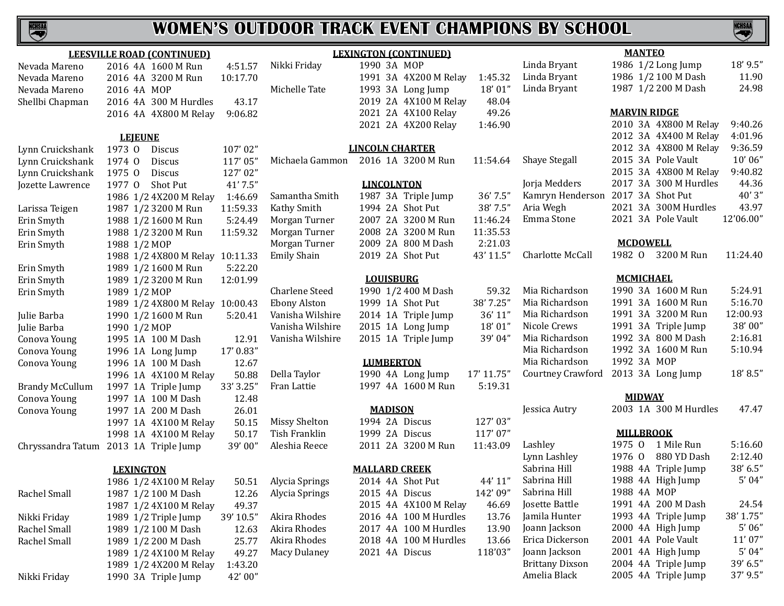

|                        | <b>LEESVILLE ROAD (CONTINUED)</b>     |           |                       |                        | <b>LEXINGTON (CONTINUED)</b> |            |                        | <b>MANTEO</b>       |                       |           |
|------------------------|---------------------------------------|-----------|-----------------------|------------------------|------------------------------|------------|------------------------|---------------------|-----------------------|-----------|
| Nevada Mareno          | 2016 4A 1600 M Run                    | 4:51.57   | Nikki Friday          | 1990 3A MOP            |                              |            | Linda Bryant           |                     | 1986 1/2 Long Jump    | 18' 9.5"  |
| Nevada Mareno          | 2016 4A 3200 M Run                    | 10:17.70  |                       |                        | 1991 3A 4X200 M Relay        | 1:45.32    | Linda Bryant           |                     | 1986 1/2 100 M Dash   | 11.90     |
| Nevada Mareno          | 2016 4A MOP                           |           | Michelle Tate         |                        | 1993 3A Long Jump            | 18' 01"    | Linda Bryant           |                     | 1987 1/2 200 M Dash   | 24.98     |
| Shellbi Chapman        | 2016 4A 300 M Hurdles                 | 43.17     |                       |                        | 2019 2A 4X100 M Relay        | 48.04      |                        |                     |                       |           |
|                        | 2016 4A 4X800 M Relay                 | 9:06.82   |                       |                        | 2021 2A 4X100 Relay          | 49.26      |                        | <b>MARVIN RIDGE</b> |                       |           |
|                        |                                       |           |                       |                        | 2021 2A 4X200 Relay          | 1:46.90    |                        |                     | 2010 3A 4X800 M Relay | 9:40.26   |
|                        | <b>LEJEUNE</b>                        |           |                       |                        |                              |            |                        |                     | 2012 3A 4X400 M Relay | 4:01.96   |
| Lynn Cruickshank       | 1973 0 Discus                         | 107'02"   |                       | <b>LINCOLN CHARTER</b> |                              |            |                        |                     | 2012 3A 4X800 M Relay | 9:36.59   |
| Lynn Cruickshank       | 1974 0<br>Discus                      | 117'05"   | Michaela Gammon       |                        | 2016 1A 3200 M Run           | 11:54.64   | <b>Shaye Stegall</b>   |                     | 2015 3A Pole Vault    | 10'06"    |
| Lynn Cruickshank       | 1975 0<br>Discus                      | 127'02"   |                       |                        |                              |            |                        |                     | 2015 3A 4X800 M Relay | 9:40.82   |
| Jozette Lawrence       | 1977 0<br>Shot Put                    | 41' 7.5"  |                       | <b>LINCOLNTON</b>      |                              |            | Jorja Medders          |                     | 2017 3A 300 M Hurdles | 44.36     |
|                        | 1986 1/2 4X200 M Relay                | 1:46.69   | Samantha Smith        |                        | 1987 3A Triple Jump          | 36' 7.5"   | Kamryn Henderson       | 2017 3A Shot Put    |                       | 40'3''    |
| Larissa Teigen         | 1987 1/2 3200 M Run                   | 11:59.33  | Kathy Smith           | 1994 2A Shot Put       |                              | 38' 7.5"   | Aria Wegh              |                     | 2021 3A 300M Hurdles  | 43.97     |
| Erin Smyth             | 1988 1/2 1600 M Run                   | 5:24.49   | Morgan Turner         |                        | 2007 2A 3200 M Run           | 11:46.24   | Emma Stone             |                     | 2021 3A Pole Vault    | 12'06.00" |
| Erin Smyth             | 1988 1/2 3200 M Run                   | 11:59.32  | Morgan Turner         |                        | 2008 2A 3200 M Run           | 11:35.53   |                        |                     |                       |           |
| Erin Smyth             | 1988 1/2 MOP                          |           | Morgan Turner         |                        | 2009 2A 800 M Dash           | 2:21.03    |                        | <b>MCDOWELL</b>     |                       |           |
|                        | 1988 1/2 4X800 M Relay 10:11.33       |           | Emily Shain           | 2019 2A Shot Put       |                              | 43' 11.5"  | Charlotte McCall       |                     | 1982 0 3200 M Run     | 11:24.40  |
| Erin Smyth             | 1989 1/2 1600 M Run                   | 5:22.20   |                       |                        |                              |            |                        |                     |                       |           |
| Erin Smyth             | 1989 1/2 3200 M Run                   | 12:01.99  |                       | <b>LOUISBURG</b>       |                              |            |                        | <b>MCMICHAEL</b>    |                       |           |
| Erin Smyth             | 1989 1/2 MOP                          |           | <b>Charlene Steed</b> |                        | 1990 1/2 400 M Dash          | 59.32      | Mia Richardson         |                     | 1990 3A 1600 M Run    | 5:24.91   |
|                        | 1989 1/2 4X800 M Relay 10:00.43       |           | <b>Ebony Alston</b>   | 1999 1A Shot Put       |                              | 38' 7.25"  | Mia Richardson         |                     | 1991 3A 1600 M Run    | 5:16.70   |
| Julie Barba            | 1990 1/2 1600 M Run                   | 5:20.41   | Vanisha Wilshire      |                        | 2014 1A Triple Jump          | 36' 11"    | Mia Richardson         |                     | 1991 3A 3200 M Run    | 12:00.93  |
| Julie Barba            | 1990 1/2 MOP                          |           | Vanisha Wilshire      |                        | 2015 1A Long Jump            | 18'01"     | Nicole Crews           |                     | 1991 3A Triple Jump   | 38'00"    |
| Conova Young           | 1995 1A 100 M Dash                    | 12.91     | Vanisha Wilshire      |                        | 2015 1A Triple Jump          | 39'04"     | Mia Richardson         |                     | 1992 3A 800 M Dash    | 2:16.81   |
| Conova Young           | 1996 1A Long Jump                     | 17' 0.83" |                       |                        |                              |            | Mia Richardson         |                     | 1992 3A 1600 M Run    | 5:10.94   |
| Conova Young           | 1996 1A 100 M Dash                    | 12.67     |                       | <b>LUMBERTON</b>       |                              |            | Mia Richardson         | 1992 3A MOP         |                       |           |
|                        | 1996 1A 4X100 M Relay                 | 50.88     | Della Taylor          |                        | 1990 4A Long Jump            | 17' 11.75" | Courtney Crawford      |                     | 2013 3A Long Jump     | 18'8.5"   |
| <b>Brandy McCullum</b> | 1997 1A Triple Jump                   | 33' 3.25" | Fran Lattie           |                        | 1997 4A 1600 M Run           | 5:19.31    |                        |                     |                       |           |
| Conova Young           | 1997 1A 100 M Dash                    | 12.48     |                       |                        |                              |            |                        | <b>MIDWAY</b>       |                       |           |
| Conova Young           | 1997 1A 200 M Dash                    | 26.01     |                       | <b>MADISON</b>         |                              |            | Jessica Autry          |                     | 2003 1A 300 M Hurdles | 47.47     |
|                        | 1997 1A 4X100 M Relay                 | 50.15     | Missy Shelton         | 1994 2A Discus         |                              | 127'03"    |                        |                     |                       |           |
|                        | 1998 1A 4X100 M Relay                 | 50.17     | Tish Franklin         | 1999 2A Discus         |                              | 117'07"    |                        | <b>MILLBROOK</b>    |                       |           |
|                        | Chryssandra Tatum 2013 1A Triple Jump | 39'00"    | Aleshia Reece         |                        | 2011 2A 3200 M Run           | 11:43.09   | Lashley                | 1975 0              | 1 Mile Run            | 5:16.60   |
|                        |                                       |           |                       |                        |                              |            | Lynn Lashley           | 1976 0              | 880 YD Dash           | 2:12.40   |
|                        | <b>LEXINGTON</b>                      |           |                       | <b>MALLARD CREEK</b>   |                              |            | Sabrina Hill           |                     | 1988 4A Triple Jump   | 38' 6.5"  |
|                        | 1986 1/2 4X100 M Relay                | 50.51     | Alycia Springs        | 2014 4A Shot Put       |                              | 44' 11"    | Sabrina Hill           |                     | 1988 4A High Jump     | 5'04''    |
| Rachel Small           | 1987 1/2 100 M Dash                   | 12.26     | Alycia Springs        | 2015 4A Discus         |                              | 142'09"    | Sabrina Hill           | 1988 4A MOP         |                       |           |
|                        | 1987 1/2 4X100 M Relay                | 49.37     |                       |                        | 2015 4A 4X100 M Relay        | 46.69      | Josette Battle         |                     | 1991 4A 200 M Dash    | 24.54     |
| Nikki Friday           | 1989 1/2 Triple Jump                  | 39' 10.5" | Akira Rhodes          |                        | 2016 4A 100 M Hurdles        | 13.76      | Jamila Hunter          |                     | 1993 4A Triple Jump   | 38' 1.75" |
| Rachel Small           | 1989 1/2 100 M Dash                   | 12.63     | Akira Rhodes          |                        | 2017 4A 100 M Hurdles        | 13.90      | Joann Jackson          |                     | 2000 4A High Jump     | 5'06''    |
| Rachel Small           | 1989 1/2 200 M Dash                   | 25.77     | Akira Rhodes          |                        | 2018 4A 100 M Hurdles        | 13.66      | Erica Dickerson        |                     | 2001 4A Pole Vault    | 11'07''   |
|                        | 1989 1/2 4X100 M Relay                | 49.27     | <b>Macy Dulaney</b>   | 2021 4A Discus         |                              | 118'03"    | Joann Jackson          |                     | 2001 4A High Jump     | 5'04''    |
|                        | 1989 1/2 4X200 M Relay                | 1:43.20   |                       |                        |                              |            | <b>Brittany Dixson</b> |                     | 2004 4A Triple Jump   | 39' 6.5"  |
| Nikki Friday           | 1990 3A Triple Jump                   | 42'00"    |                       |                        |                              |            | Amelia Black           |                     | 2005 4A Triple Jump   | 37' 9.5"  |
|                        |                                       |           |                       |                        |                              |            |                        |                     |                       |           |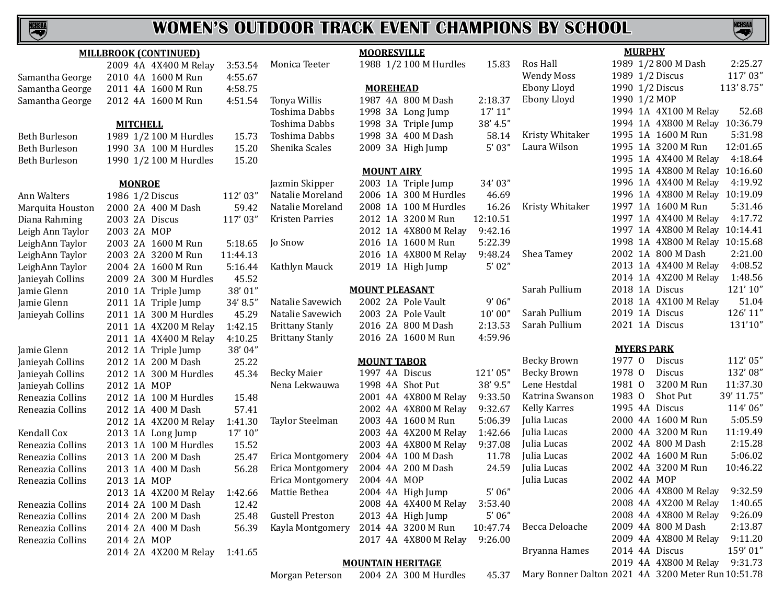

## **WOMEN'S OUTDOOR TRACK EVENT CHAMPIONS BY SCHOOL**

**NCHSAL** 

| <b>MILLBROOK (CONTINUED)</b> |                        |          | <b>MOORESVILLE</b>      |                          |          | <b>MURPHY</b>                                      |                   |                                |            |
|------------------------------|------------------------|----------|-------------------------|--------------------------|----------|----------------------------------------------------|-------------------|--------------------------------|------------|
|                              | 2009 4A 4X400 M Relay  | 3:53.54  | Monica Teeter           | 1988 1/2 100 M Hurdles   | 15.83    | Ros Hall                                           |                   | 1989 1/2 800 M Dash            | 2:25.27    |
| Samantha George              | 2010 4A 1600 M Run     | 4:55.67  |                         |                          |          | <b>Wendy Moss</b>                                  | 1989 1/2 Discus   |                                | 117'03"    |
| Samantha George              | 2011 4A 1600 M Run     | 4:58.75  |                         | <b>MOREHEAD</b>          |          | Ebony Lloyd                                        | 1990 1/2 Discus   |                                | 113'8.75"  |
| Samantha George              | 2012 4A 1600 M Run     | 4:51.54  | Tonya Willis            | 1987 4A 800 M Dash       | 2:18.37  | Ebony Lloyd                                        | 1990 1/2 MOP      |                                |            |
|                              |                        |          | Toshima Dabbs           | 1998 3A Long Jump        | 17' 11'' |                                                    |                   | 1994 1A 4X100 M Relay          | 52.68      |
|                              | <b>MITCHELL</b>        |          | Toshima Dabbs           | 1998 3A Triple Jump      | 38' 4.5" |                                                    |                   | 1994 1A 4X800 M Relay 10:36.79 |            |
| Beth Burleson                | 1989 1/2 100 M Hurdles | 15.73    | Toshima Dabbs           | 1998 3A 400 M Dash       | 58.14    | Kristy Whitaker                                    |                   | 1995 1A 1600 M Run             | 5:31.98    |
| Beth Burleson                | 1990 3A 100 M Hurdles  | 15.20    | Shenika Scales          | 2009 3A High Jump        | 5'03''   | Laura Wilson                                       |                   | 1995 1A 3200 M Run             | 12:01.65   |
| Beth Burleson                | 1990 1/2 100 M Hurdles | 15.20    |                         |                          |          |                                                    |                   | 1995 1A 4X400 M Relay          | 4:18.64    |
|                              |                        |          |                         | <b>MOUNT AIRY</b>        |          |                                                    |                   | 1995 1A 4X800 M Relay 10:16.60 |            |
|                              | <b>MONROE</b>          |          | Jazmin Skipper          | 2003 1A Triple Jump      | 34'03"   |                                                    |                   | 1996 1A 4X400 M Relay          | 4:19.92    |
| Ann Walters                  | 1986 1/2 Discus        | 112'03"  | Natalie Moreland        | 2006 1A 300 M Hurdles    | 46.69    |                                                    |                   | 1996 1A 4X800 M Relay 10:19.09 |            |
| Marquita Houston             | 2000 2A 400 M Dash     | 59.42    | Natalie Moreland        | 2008 1A 100 M Hurdles    | 16.26    | Kristy Whitaker                                    |                   | 1997 1A 1600 M Run             | 5:31.46    |
| Diana Rahming                | 2003 2A Discus         | 117'03"  | Kristen Parries         | 2012 1A 3200 M Run       | 12:10.51 |                                                    |                   | 1997 1A 4X400 M Relay          | 4:17.72    |
| Leigh Ann Taylor             | 2003 2A MOP            |          |                         | 2012 1A 4X800 M Relay    | 9:42.16  |                                                    |                   | 1997 1A 4X800 M Relay 10:14.41 |            |
| LeighAnn Taylor              | 2003 2A 1600 M Run     | 5:18.65  | Jo Snow                 | 2016 1A 1600 M Run       | 5:22.39  |                                                    |                   | 1998 1A 4X800 M Relay 10:15.68 |            |
| LeighAnn Taylor              | 2003 2A 3200 M Run     | 11:44.13 |                         | 2016 1A 4X800 M Relay    | 9:48.24  | Shea Tamey                                         |                   | 2002 1A 800 M Dash             | 2:21.00    |
| LeighAnn Taylor              | 2004 2A 1600 M Run     | 5:16.44  | Kathlyn Mauck           | 2019 1A High Jump        | 5'02''   |                                                    |                   | 2013 1A 4X400 M Relay          | 4:08.52    |
| Janieyah Collins             | 2009 2A 300 M Hurdles  | 45.52    |                         |                          |          |                                                    |                   | 2014 1A 4X200 M Relay          | 1:48.56    |
| Jamie Glenn                  | 2010 1A Triple Jump    | 38'01"   |                         | <b>MOUNT PLEASANT</b>    |          | Sarah Pullium                                      | 2018 1A Discus    |                                | 121'10"    |
| Jamie Glenn                  | 2011 1A Triple Jump    | 34' 8.5" | Natalie Savewich        | 2002 2A Pole Vault       | 9'06''   |                                                    |                   | 2018 1A 4X100 M Relay          | 51.04      |
| Janieyah Collins             | 2011 1A 300 M Hurdles  | 45.29    | Natalie Savewich        | 2003 2A Pole Vault       | 10'00''  | Sarah Pullium                                      | 2019 1A Discus    |                                | 126' 11"   |
|                              | 2011 1A 4X200 M Relay  | 1:42.15  | <b>Brittany Stanly</b>  | 2016 2A 800 M Dash       | 2:13.53  | Sarah Pullium                                      | 2021 1A Discus    |                                | 131'10"    |
|                              | 2011 1A 4X400 M Relay  | 4:10.25  | <b>Brittany Stanly</b>  | 2016 2A 1600 M Run       | 4:59.96  |                                                    |                   |                                |            |
| Jamie Glenn                  | 2012 1A Triple Jump    | 38'04"   |                         |                          |          |                                                    | <b>MYERS PARK</b> |                                |            |
| Janieyah Collins             | 2012 1A 200 M Dash     | 25.22    |                         | <b>MOUNT TABOR</b>       |          | <b>Becky Brown</b>                                 | 1977 0            | Discus                         | 112'05"    |
| Janieyah Collins             | 2012 1A 300 M Hurdles  | 45.34    | <b>Becky Maier</b>      | 1997 4A Discus           | 121'05"  | <b>Becky Brown</b>                                 | 1978 0            | Discus                         | 132'08"    |
| Janieyah Collins             | 2012 1A MOP            |          | Nena Lekwauwa           | 1998 4A Shot Put         | 38' 9.5" | Lene Hestdal                                       | 1981 0            | 3200 M Run                     | 11:37.30   |
| Reneazia Collins             | 2012 1A 100 M Hurdles  | 15.48    |                         | 2001 4A 4X800 M Relay    | 9:33.50  | Katrina Swanson                                    | 1983 0            | Shot Put                       | 39' 11.75" |
| Reneazia Collins             | 2012 1A 400 M Dash     | 57.41    |                         | 2002 4A 4X800 M Relay    | 9:32.67  | <b>Kelly Karres</b>                                | 1995 4A Discus    |                                | 114'06"    |
|                              | 2012 1A 4X200 M Relay  | 1:41.30  | Taylor Steelman         | 2003 4A 1600 M Run       | 5:06.39  | Julia Lucas                                        |                   | 2000 4A 1600 M Run             | 5:05.59    |
| Kendall Cox                  | 2013 1A Long Jump      | 17' 10'' |                         | 2003 4A 4X200 M Relay    | 1:42.66  | Julia Lucas                                        |                   | 2000 4A 3200 M Run             | 11:19.49   |
| Reneazia Collins             | 2013 1A 100 M Hurdles  | 15.52    |                         | 2003 4A 4X800 M Relay    | 9:37.08  | Julia Lucas                                        |                   | 2002 4A 800 M Dash             | 2:15.28    |
| Reneazia Collins             | 2013 1A 200 M Dash     | 25.47    | Erica Montgomery        | 2004 4A 100 M Dash       | 11.78    | Julia Lucas                                        |                   | 2002 4A 1600 M Run             | 5:06.02    |
| Reneazia Collins             | 2013 1A 400 M Dash     | 56.28    | <b>Erica Montgomery</b> | 2004 4A 200 M Dash       | 24.59    | Julia Lucas                                        |                   | 2002 4A 3200 M Run             | 10:46.22   |
| Reneazia Collins             | 2013 1A MOP            |          | Erica Montgomery        | 2004 4A MOP              |          | Julia Lucas                                        | 2002 4A MOP       |                                |            |
|                              | 2013 1A 4X200 M Relay  | 1:42.66  | Mattie Bethea           | 2004 4A High Jump        | $5'$ 06" |                                                    |                   | 2006 4A 4X800 M Relay          | 9:32.59    |
| Reneazia Collins             | 2014 2A 100 M Dash     | 12.42    |                         | 2008 4A 4X400 M Relay    | 3:53.40  |                                                    |                   | 2008 4A 4X200 M Relay          | 1:40.65    |
| Reneazia Collins             | 2014 2A 200 M Dash     | 25.48    | <b>Gustell Preston</b>  | 2013 4A High Jump        | 5'06''   |                                                    |                   | 2008 4A 4X800 M Relay          | 9:26.09    |
| Reneazia Collins             | 2014 2A 400 M Dash     | 56.39    | Kayla Montgomery        | 2014 4A 3200 M Run       | 10:47.74 | Becca Deloache                                     |                   | 2009 4A 800 M Dash             | 2:13.87    |
| Reneazia Collins             | 2014 2A MOP            |          |                         | 2017 4A 4X800 M Relay    | 9:26.00  |                                                    |                   | 2009 4A 4X800 M Relay          | 9:11.20    |
|                              | 2014 2A 4X200 M Relay  | 1:41.65  |                         |                          |          | Bryanna Hames                                      | 2014 4A Discus    |                                | 159'01"    |
|                              |                        |          |                         | <b>MOUNTAIN HERITAGE</b> |          |                                                    |                   | 2019 4A 4X800 M Relay          | 9:31.73    |
|                              |                        |          | Morgan Peterson         | 2004 2A 300 M Hurdles    | 45.37    | Mary Bonner Dalton 2021 4A 3200 Meter Run 10:51.78 |                   |                                |            |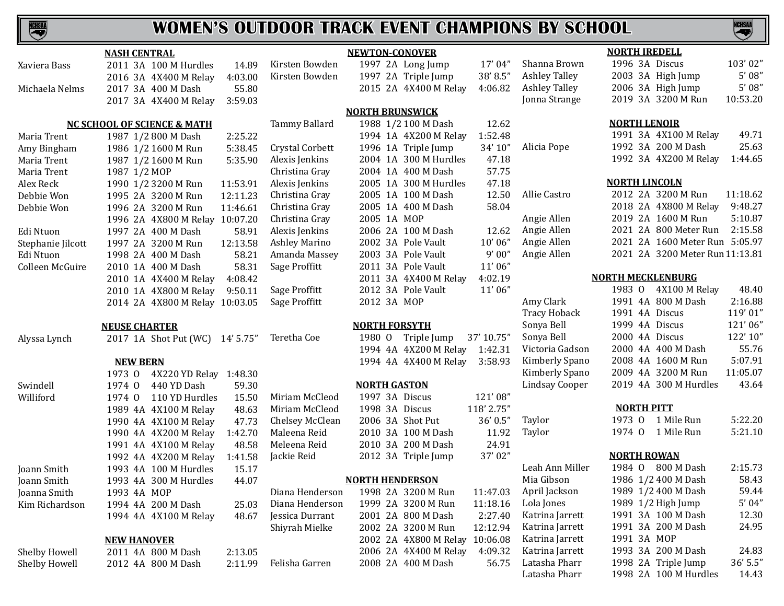

|                   | <b>NASH CENTRAL</b>                    |                        | <b>NEWTON-CONOVER</b>            | <b>NORTH IREDELL</b>                                   |
|-------------------|----------------------------------------|------------------------|----------------------------------|--------------------------------------------------------|
| Xaviera Bass      | 2011 3A 100 M Hurdles<br>14.89         | Kirsten Bowden         | 1997 2A Long Jump<br>17'04"      | 1996 3A Discus<br>103'02"<br>Shanna Brown              |
|                   | 2016 3A 4X400 M Relay<br>4:03.00       | Kirsten Bowden         | 38'8.5"<br>1997 2A Triple Jump   | 5'08''<br>2003 3A High Jump<br><b>Ashley Talley</b>    |
| Michaela Nelms    | 2017 3A 400 M Dash<br>55.80            |                        | 2015 2A 4X400 M Relay<br>4:06.82 | 5'08''<br>2006 3A High Jump<br><b>Ashley Talley</b>    |
|                   | 3:59.03<br>2017 3A 4X400 M Relay       |                        |                                  | 2019 3A 3200 M Run<br>10:53.20<br>Jonna Strange        |
|                   |                                        |                        | <b>NORTH BRUNSWICK</b>           |                                                        |
|                   | <b>NC SCHOOL OF SCIENCE &amp; MATH</b> | Tammy Ballard          | 1988 1/2 100 M Dash<br>12.62     | <b>NORTH LENOIR</b>                                    |
| Maria Trent       | 1987 1/2 800 M Dash<br>2:25.22         |                        | 1:52.48<br>1994 1A 4X200 M Relay | 1991 3A 4X100 M Relay<br>49.71                         |
| Amy Bingham       | 5:38.45<br>1986 1/2 1600 M Run         | <b>Crystal Corbett</b> | 1996 1A Triple Jump<br>34' 10"   | 1992 3A 200 M Dash<br>25.63<br>Alicia Pope             |
| Maria Trent       | 5:35.90<br>1987 1/2 1600 M Run         | Alexis Jenkins         | 2004 1A 300 M Hurdles<br>47.18   | 1992 3A 4X200 M Relay<br>1:44.65                       |
| Maria Trent       | 1987 1/2 MOP                           | Christina Gray         | 57.75<br>2004 1A 400 M Dash      |                                                        |
| Alex Reck         | 1990 1/2 3200 M Run<br>11:53.91        | Alexis Jenkins         | 47.18<br>2005 1A 300 M Hurdles   | <b>NORTH LINCOLN</b>                                   |
| Debbie Won        | 1995 2A 3200 M Run<br>12:11.23         | Christina Gray         | 12.50<br>2005 1A 100 M Dash      | 2012 2A 3200 M Run<br>11:18.62<br>Allie Castro         |
| Debbie Won        | 1996 2A 3200 M Run<br>11:46.61         | Christina Gray         | 58.04<br>2005 1A 400 M Dash      | 9:48.27<br>2018 2A 4X800 M Relay                       |
|                   | 1996 2A 4X800 M Relay 10:07.20         | Christina Gray         | 2005 1A MOP                      | 2019 2A 1600 M Run<br>5:10.87<br>Angie Allen           |
| Edi Ntuon         | 1997 2A 400 M Dash<br>58.91            | Alexis Jenkins         | 2006 2A 100 M Dash<br>12.62      | 2021 2A 800 Meter Run<br>2:15.58<br>Angie Allen        |
| Stephanie Jilcott | 1997 2A 3200 M Run<br>12:13.58         | <b>Ashley Marino</b>   | 10'06''<br>2002 3A Pole Vault    | 2021 2A 1600 Meter Run 5:05.97<br>Angie Allen          |
| Edi Ntuon         | 1998 2A 400 M Dash<br>58.21            | Amanda Massey          | 9'00''<br>2003 3A Pole Vault     | 2021 2A 3200 Meter Run 11:13.81<br>Angie Allen         |
| Colleen McGuire   | 58.31<br>2010 1A 400 M Dash            | Sage Proffitt          | 11'06"<br>2011 3A Pole Vault     |                                                        |
|                   | 4:08.42<br>2010 1A 4X400 M Relay       |                        | 2011 3A 4X400 M Relay<br>4:02.19 | <b>NORTH MECKLENBURG</b>                               |
|                   | 2010 1A 4X800 M Relay<br>9:50.11       | Sage Proffitt          | 11'06"<br>2012 3A Pole Vault     | 1983 0 4X100 M Relay<br>48.40                          |
|                   | 2014 2A 4X800 M Relay 10:03.05         | Sage Proffitt          | 2012 3A MOP                      | 1991 4A 800 M Dash<br>2:16.88<br>Amy Clark             |
|                   |                                        |                        |                                  | 1991 4A Discus<br>119'01"<br><b>Tracy Hoback</b>       |
|                   | <b>NEUSE CHARTER</b>                   |                        | <b>NORTH FORSYTH</b>             | 1999 4A Discus<br>121'06"<br>Sonya Bell                |
| Alyssa Lynch      | 2017 1A Shot Put (WC) 14' 5.75"        | 1980 0<br>Teretha Coe  | Triple Jump<br>37' 10.75"        | 2000 4A Discus<br>122' 10"<br>Sonya Bell               |
|                   |                                        |                        | 1994 4A 4X200 M Relay<br>1:42.31 | 55.76<br>Victoria Gadson<br>2000 4A 400 M Dash         |
|                   | <b>NEW BERN</b>                        |                        | 1994 4A 4X400 M Relay<br>3:58.93 | 5:07.91<br>Kimberly Spano<br>2008 4A 1600 M Run        |
|                   | 4X220 YD Relay 1:48.30<br>1973 0       |                        |                                  | 2009 4A 3200 M Run<br>11:05.07<br>Kimberly Spano       |
| Swindell          | 440 YD Dash<br>59.30<br>1974 0         |                        | <b>NORTH GASTON</b>              | 43.64<br>Lindsay Cooper<br>2019 4A 300 M Hurdles       |
| Williford         | 110 YD Hurdles<br>15.50<br>1974 0      | Miriam McCleod         | 1997 3A Discus<br>121'08"        |                                                        |
|                   | 48.63<br>1989 4A 4X100 M Relay         | Miriam McCleod         | 1998 3A Discus<br>118' 2.75"     | <b>NORTH PITT</b>                                      |
|                   | 47.73<br>1990 4A 4X100 M Relay         | Chelsey McClean        | 2006 3A Shot Put<br>36' 0.5"     | 1973 0 1 Mile Run<br>5:22.20<br>Taylor                 |
|                   | 1:42.70<br>1990 4A 4X200 M Relay       | Maleena Reid           | 11.92<br>2010 3A 100 M Dash      | 1974 0 1 Mile Run<br>5:21.10<br>Taylor                 |
|                   | 48.58<br>1991 4A 4X100 M Relay         | Meleena Reid           | 24.91<br>2010 3A 200 M Dash      |                                                        |
|                   | 1:41.58<br>1992 4A 4X200 M Relay       | Jackie Reid            | 37'02"<br>2012 3A Triple Jump    | <b>NORTH ROWAN</b>                                     |
| Joann Smith       | 1993 4A 100 M Hurdles<br>15.17         |                        |                                  | Leah Ann Miller<br>1984 0 800 M Dash<br>2:15.73        |
| Joann Smith       | 1993 4A 300 M Hurdles<br>44.07         |                        | <b>NORTH HENDERSON</b>           | Mia Gibson<br>1986 1/2 400 M Dash<br>58.43             |
| Joanna Smith      | 1993 4A MOP                            | Diana Henderson        | 1998 2A 3200 M Run               | 1989 1/2 400 M Dash<br>59.44<br>11:47.03 April Jackson |
| Kim Richardson    | 1994 4A 200 M Dash<br>25.03            | Diana Henderson        | 1999 2A 3200 M Run<br>11:18.16   | $5'$ 04"<br>1989 1/2 High Jump<br>Lola Jones           |
|                   | 1994 4A 4X100 M Relay<br>48.67         | Jessica Durrant        | 2001 2A 800 M Dash<br>2:27.40    | 1991 3A 100 M Dash<br>12.30<br>Katrina Jarrett         |
|                   |                                        | Shiyrah Mielke         | 12:12.94<br>2002 2A 3200 M Run   | 1991 3A 200 M Dash<br>24.95<br>Katrina Jarrett         |
|                   | <b>NEW HANOVER</b>                     |                        | 2002 2A 4X800 M Relay 10:06.08   | 1991 3A MOP<br>Katrina Jarrett                         |
| Shelby Howell     | 2011 4A 800 M Dash<br>2:13.05          |                        | 4:09.32<br>2006 2A 4X400 M Relay | 1993 3A 200 M Dash<br>24.83<br>Katrina Jarrett         |
| Shelby Howell     | 2:11.99<br>2012 4A 800 M Dash          | Felisha Garren         | 2008 2A 400 M Dash<br>56.75      | 1998 2A Triple Jump<br>$36'$ 5.5"<br>Latasha Pharr     |
|                   |                                        |                        |                                  | Latasha Pharr<br>1998 2A 100 M Hurdles<br>14.43        |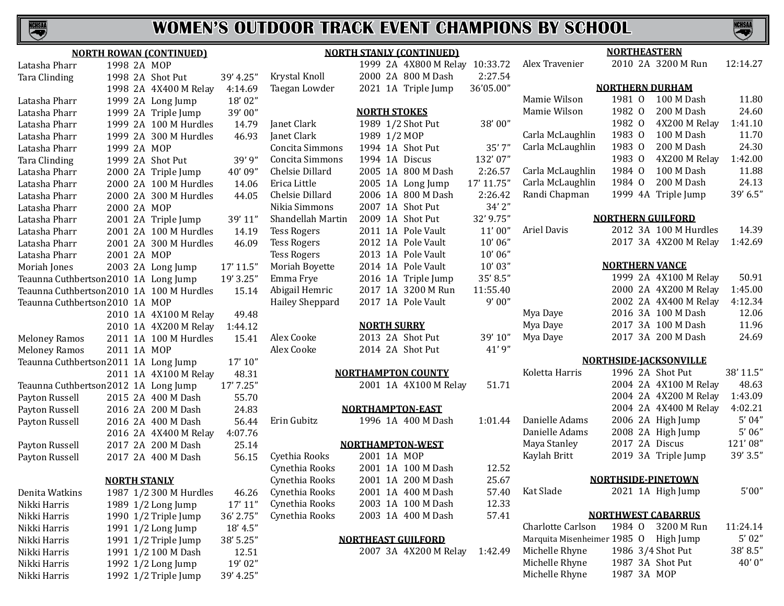

|                                | <b>NORTH ROWAN (CONTINUED)</b>             |                     |                    | <b>NORTH STANLY (CONTINUED)</b> |            | <b>NORTHEASTERN</b>              |                           |                               |           |
|--------------------------------|--------------------------------------------|---------------------|--------------------|---------------------------------|------------|----------------------------------|---------------------------|-------------------------------|-----------|
| Latasha Pharr                  | 1998 2A MOP                                |                     |                    | 1999 2A 4X800 M Relay 10:33.72  |            | Alex Travenier                   |                           | 2010 2A 3200 M Run            | 12:14.27  |
| Tara Clinding                  | 1998 2A Shot Put                           | 39' 4.25"           | Krystal Knoll      | 2000 2A 800 M Dash              | 2:27.54    |                                  |                           |                               |           |
|                                | 1998 2A 4X400 M Relay                      | 4:14.69             | Taegan Lowder      | 2021 1A Triple Jump             | 36'05.00"  |                                  | <b>NORTHERN DURHAM</b>    |                               |           |
| Latasha Pharr                  | 1999 2A Long Jump                          | 18'02"              |                    |                                 |            | Mamie Wilson                     | 1981 0                    | 100 M Dash                    | 11.80     |
| Latasha Pharr                  | 1999 2A Triple Jump                        | 39'00"              |                    | <b>NORTH STOKES</b>             |            | Mamie Wilson                     | 1982 0                    | 200 M Dash                    | 24.60     |
| Latasha Pharr                  | 1999 2A 100 M Hurdles                      | 14.79               | Janet Clark        | 1989 1/2 Shot Put               | 38'00"     |                                  | 1982 0                    | 4X200 M Relay                 | 1:41.10   |
| Latasha Pharr                  | 1999 2A 300 M Hurdles                      | 46.93               | Janet Clark        | 1989 1/2 MOP                    |            | Carla McLaughlin                 | 1983 0                    | 100 M Dash                    | 11.70     |
| Latasha Pharr                  | 1999 2A MOP                                |                     | Concita Simmons    | 1994 1A Shot Put                | 35'7"      | Carla McLaughlin                 | 1983 0                    | 200 M Dash                    | 24.30     |
| <b>Tara Clinding</b>           | 1999 2A Shot Put                           | 39'9"               | Concita Simmons    | 1994 1A Discus                  | 132'07"    |                                  | 1983 0                    | 4X200 M Relay                 | 1:42.00   |
| Latasha Pharr                  | 2000 2A Triple Jump                        | 40'09"              | Chelsie Dillard    | 2005 1A 800 M Dash              | 2:26.57    | Carla McLaughlin                 | 1984 0                    | 100 M Dash                    | 11.88     |
| Latasha Pharr                  | 2000 2A 100 M Hurdles                      | 14.06               | Erica Little       | 2005 1A Long Jump               | 17' 11.75" | Carla McLaughlin                 | 1984 0                    | 200 M Dash                    | 24.13     |
| Latasha Pharr                  | 2000 2A 300 M Hurdles                      | 44.05               | Chelsie Dillard    | 2006 1A 800 M Dash              | 2:26.42    | Randi Chapman                    |                           | 1999 4A Triple Jump           | 39' 6.5"  |
| Latasha Pharr                  | 2000 2A MOP                                |                     | Nikia Simmons      | 2007 1A Shot Put                | 34' 2"     |                                  |                           |                               |           |
| Latasha Pharr                  | 2001 2A Triple Jump                        | 39' 11"             | Shandellah Martin  | 2009 1A Shot Put                | 32' 9.75"  |                                  | <b>NORTHERN GUILFORD</b>  |                               |           |
| Latasha Pharr                  | 2001 2A 100 M Hurdles                      | 14.19               | <b>Tess Rogers</b> | 2011 1A Pole Vault              | 11'00''    | Ariel Davis                      |                           | 2012 3A 100 M Hurdles         | 14.39     |
| Latasha Pharr                  | 2001 2A 300 M Hurdles                      | 46.09               | <b>Tess Rogers</b> | 2012 1A Pole Vault              | 10'06"     |                                  |                           | 2017 3A 4X200 M Relay         | 1:42.69   |
| Latasha Pharr                  | 2001 2A MOP                                |                     | <b>Tess Rogers</b> | 2013 1A Pole Vault              | 10'06''    |                                  |                           |                               |           |
| Moriah Jones                   | 2003 2A Long Jump                          | 17' 11.5"           | Moriah Boyette     | 2014 1A Pole Vault              | 10'03"     |                                  | <b>NORTHERN VANCE</b>     |                               |           |
|                                | Teaunna Cuthbertson2010 1A Long Jump       | 19' 3.25"           | Emma Frye          | 2016 1A Triple Jump             | 35' 8.5"   |                                  |                           | 1999 2A 4X100 M Relay         | 50.91     |
|                                | Teaunna Cuthbertson2010 1A 100 M Hurdles   | 15.14               | Abigail Hemric     | 2017 1A 3200 M Run              | 11:55.40   |                                  |                           | 2000 2A 4X200 M Relay         | 1:45.00   |
| Teaunna Cuthbertson2010 1A MOP |                                            |                     | Hailey Sheppard    | 2017 1A Pole Vault              | 9'00''     |                                  |                           | 2002 2A 4X400 M Relay         | 4:12.34   |
|                                | 2010 1A 4X100 M Relay                      | 49.48               |                    |                                 |            | Mya Daye                         |                           | 2016 3A 100 M Dash            | 12.06     |
|                                | 2010 1A 4X200 M Relay                      | 1:44.12             |                    | <b>NORTH SURRY</b>              |            | Mya Daye                         |                           | 2017 3A 100 M Dash            | 11.96     |
| <b>Meloney Ramos</b>           | 2011 1A 100 M Hurdles                      | 15.41               | Alex Cooke         | 2013 2A Shot Put                | 39' 10"    | Mya Daye                         |                           | 2017 3A 200 M Dash            | 24.69     |
| <b>Meloney Ramos</b>           | 2011 1A MOP                                |                     | Alex Cooke         | 2014 2A Shot Put                | 41'9"      |                                  |                           |                               |           |
|                                | Teaunna Cuthbertson2011 1A Long Jump       | 17' 10''            |                    |                                 |            |                                  |                           | <b>NORTHSIDE-JACKSONVILLE</b> |           |
|                                | 2011 1A 4X100 M Relay                      | 48.31               |                    | <b>NORTHAMPTON COUNTY</b>       |            | Koletta Harris                   | 1996 2A Shot Put          |                               | 38' 11.5" |
|                                | Teaunna Cuthbertson2012 1A Long Jump       | 17' 7.25"           |                    | 2001 1A 4X100 M Relay           | 51.71      |                                  |                           | 2004 2A 4X100 M Relay         | 48.63     |
| Payton Russell                 | 2015 2A 400 M Dash                         | 55.70               |                    |                                 |            |                                  |                           | 2004 2A 4X200 M Relay         | 1:43.09   |
| Payton Russell                 | 2016 2A 200 M Dash                         | 24.83               |                    | <b>NORTHAMPTON-EAST</b>         |            |                                  |                           | 2004 2A 4X400 M Relay         | 4:02.21   |
| Payton Russell                 | 2016 2A 400 M Dash                         | 56.44               | Erin Gubitz        | 1996 1A 400 M Dash              | 1:01.44    | Danielle Adams                   |                           | 2006 2A High Jump             | 5'04''    |
|                                | 2016 2A 4X400 M Relay                      | 4:07.76             |                    |                                 |            | Danielle Adams                   |                           | 2008 2A High Jump             | 5'06''    |
| Payton Russell                 | 2017 2A 200 M Dash                         | 25.14               |                    | NORTHAMPTON-WEST                |            | Maya Stanley                     | 2017 2A Discus            |                               | 121'08"   |
| Payton Russell                 | 2017 2A 400 M Dash                         | 56.15               | Cyethia Rooks      | 2001 1A MOP                     |            | Kaylah Britt                     |                           | 2019 3A Triple Jump           | 39' 3.5"  |
|                                |                                            |                     | Cynethia Rooks     | 2001 1A 100 M Dash              | 12.52      |                                  |                           |                               |           |
|                                | <b>NORTH STANLY</b>                        |                     | Cynethia Rooks     | 2001 1A 200 M Dash              | 25.67      |                                  | <b>NORTHSIDE-PINETOWN</b> |                               |           |
| Denita Watkins                 | 1987 1/2 300 M Hurdles                     | 46.26               | Cynethia Rooks     | 2001 1A 400 M Dash              | 57.40      | Kat Slade                        |                           | 2021 1A High Jump             | 5'00''    |
| Nikki Harris                   | 1989 1/2 Long Jump                         | 17' 11''            | Cynethia Rooks     | 2003 1A 100 M Dash              | 12.33      |                                  |                           |                               |           |
| Nikki Harris                   | 1990 1/2 Triple Jump                       | 36' 2.75"           | Cynethia Rooks     | 2003 1A 400 M Dash              | 57.41      |                                  |                           | <b>NORTHWEST CABARRUS</b>     |           |
| Nikki Harris                   | 1991 1/2 Long Jump                         | 18' 4.5"            |                    |                                 |            | Charlotte Carlson                | 1984 0                    | 3200 M Run                    | 11:24.14  |
| Nikki Harris                   | 1991 1/2 Triple Jump                       | 38' 5.25"           |                    | <b>NORTHEAST GUILFORD</b>       |            | Marquita Misenheimer 1985 O      |                           | High Jump                     | 5'02''    |
| Nikki Harris                   | 1991 1/2 100 M Dash                        | 12.51               |                    | 2007 3A 4X200 M Relay           | 1:42.49    | Michelle Rhyne                   | 1986 3/4 Shot Put         |                               | 38'8.5"   |
|                                |                                            |                     |                    |                                 |            |                                  |                           |                               | 40'0''    |
|                                |                                            |                     |                    |                                 |            |                                  | 1987 3A MOP               |                               |           |
| Nikki Harris<br>Nikki Harris   | 1992 1/2 Long Jump<br>1992 1/2 Triple Jump | 19'02"<br>39' 4.25" |                    |                                 |            | Michelle Rhyne<br>Michelle Rhyne | 1987 3A Shot Put          |                               |           |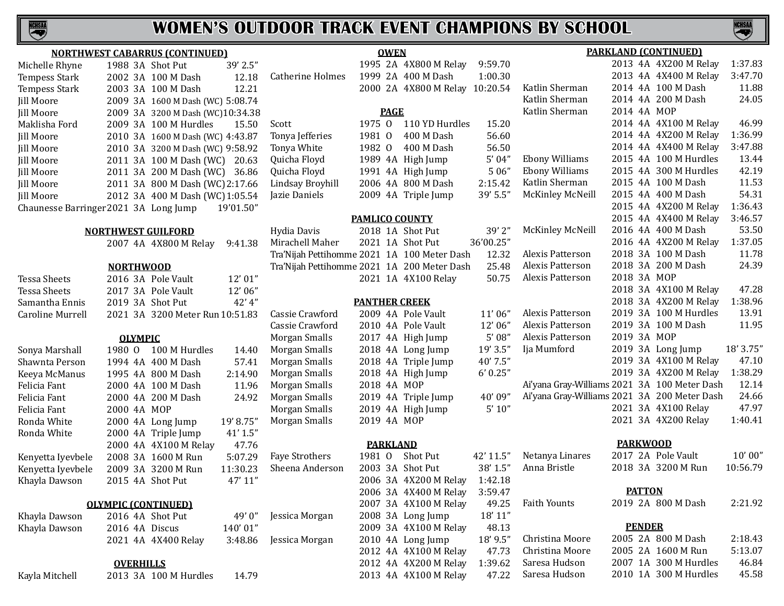

| <b>NORTHWEST CABARRUS (CONTINUED)</b> |  |
|---------------------------------------|--|
|---------------------------------------|--|

| Michelle Rhyne                        |  | 1988 3A Shot Put                 | 39' 2.5"  |      |
|---------------------------------------|--|----------------------------------|-----------|------|
| <b>Tempess Stark</b>                  |  | 2002 3A 100 M Dash               | 12.18     | Catl |
| <b>Tempess Stark</b>                  |  | 2003 3A 100 M Dash               | 12.21     |      |
| Jill Moore                            |  | 2009 3A 1600 M Dash (WC) 5:08.74 |           |      |
| Jill Moore                            |  | 2009 3A 3200 M Dash (WC)10:34.38 |           |      |
| Maklisha Ford                         |  | 2009 3A 100 M Hurdles            | 15.50     | Sco  |
| Jill Moore                            |  | 2010 3A 1600 M Dash (WC) 4:43.87 |           | Ton  |
| Jill Moore                            |  | 2010 3A 3200 M Dash (WC) 9:58.92 |           | Ton  |
| Jill Moore                            |  | 2011 3A 100 M Dash (WC) 20.63    |           | Qui  |
| Jill Moore                            |  | 2011 3A 200 M Dash (WC) 36.86    |           | Qui  |
| Jill Moore                            |  | 2011 3A 800 M Dash (WC) 2:17.66  |           | Lin  |
| Jill Moore                            |  | 2012 3A 400 M Dash (WC) 1:05.54  |           | Jazi |
| Chaunesse Barringer 2021 3A Long Jump |  |                                  | 19'01.50" |      |
|                                       |  |                                  |           |      |

## **NORTHWEST GUILFORD**

|  | 2007 4A 4X800 M Relay 9:41.38 |  |
|--|-------------------------------|--|
|--|-------------------------------|--|

## **NORTHWOOD**

| Tessa Sheets      |             |                | 2016 3A Pole Vault              | 12' 01"   |             |
|-------------------|-------------|----------------|---------------------------------|-----------|-------------|
| Tessa Sheets      |             |                | 2017 3A Pole Vault              | 12'06"    |             |
| Samantha Ennis    |             |                | 2019 3A Shot Put                | 42' 4"    |             |
| Caroline Murrell  |             |                | 2021 3A 3200 Meter Run 10:51.83 |           | Cassie Cra  |
|                   |             |                |                                 |           | Cassie Cra  |
|                   |             | <b>OLYMPIC</b> |                                 |           | Morgan Sn   |
| Sonya Marshall    | 1980 0      |                | 100 M Hurdles                   | 14.40     | Morgan Sn   |
| Shawnta Person    |             |                | 1994 4A 400 M Dash              | 57.41     | Morgan Sn   |
| Keeya McManus     |             |                | 1995 4A 800 M Dash              | 2:14.90   | Morgan Sn   |
| Felicia Fant      |             |                | 2000 4A 100 M Dash              | 11.96     | Morgan Sn   |
| Felicia Fant      |             |                | 2000 4A 200 M Dash              | 24.92     | Morgan Sn   |
| Felicia Fant      | 2000 4A MOP |                |                                 |           | Morgan Sn   |
| Ronda White       |             |                | 2000 4A Long Jump               | 19' 8.75" | Morgan Sn   |
| Ronda White       |             |                | 2000 4A Triple Jump             | 41' 1.5"  |             |
|                   |             |                | 2000 4A 4X100 M Relay           | 47.76     |             |
| Kenyetta Iyevbele |             |                | 2008 3A 1600 M Run              | 5:07.29   | Faye Strotl |
| Kenyetta Iyevbele |             |                | 2009 3A 3200 M Run              | 11:30.23  | Sheena An   |
| Khayla Dawson     |             |                | 2015 4A Shot Put                | 47' 11"   |             |
|                   |             |                | <b>OLYMPIC (CONTINUED)</b>      |           |             |
| Khayla Dawson     |             |                | 2016 4A Shot Put                | 49'0''    | Jessica Mo  |
| Khayla Dawson     |             |                | 2016 4A Discus                  | 140'01"   |             |
|                   |             |                | 2021 4A 4X400 Relay             | 3:48.86   | Jessica Mo  |
|                   |             |                | <b>OVERHILLS</b>                |           |             |
| Kayla Mitchell    |             |                | 2013 3A 100 M Hurdles           | 14.79     |             |

|                  |                                             |        | <b>OWEN</b> |                                |             | <b>PARKLAND (CONTINUED)</b>                  |             |               |                       |           |  |  |
|------------------|---------------------------------------------|--------|-------------|--------------------------------|-------------|----------------------------------------------|-------------|---------------|-----------------------|-----------|--|--|
| 5"               |                                             |        |             | 1995 2A 4X800 M Relay          | 9:59.70     |                                              |             |               | 2013 4A 4X200 M Relay | 1:37.83   |  |  |
| 8                | <b>Catherine Holmes</b>                     |        |             | 1999 2A 400 M Dash             | 1:00.30     |                                              |             |               | 2013 4A 4X400 M Relay | 3:47.70   |  |  |
| $\mathbf{1}$     |                                             |        |             | 2000 2A 4X800 M Relay 10:20.54 |             | Katlin Sherman                               |             |               | 2014 4A 100 M Dash    | 11.88     |  |  |
| $\overline{4}$   |                                             |        |             |                                |             | Katlin Sherman                               |             |               | 2014 4A 200 M Dash    | 24.05     |  |  |
| 38               |                                             |        | <b>PAGE</b> |                                |             | Katlin Sherman                               | 2014 4A MOP |               |                       |           |  |  |
| $\boldsymbol{0}$ | Scott                                       | 1975 0 |             | 110 YD Hurdles                 | 15.20       |                                              |             |               | 2014 4A 4X100 M Relay | 46.99     |  |  |
| 17               | Tonya Jefferies                             | 1981 0 |             | 400 M Dash                     | 56.60       |                                              |             |               | 2014 4A 4X200 M Relay | 1:36.99   |  |  |
| $\overline{2}$   | Tonya White                                 | 1982 0 |             | 400 M Dash                     | 56.50       |                                              |             |               | 2014 4A 4X400 M Relay | 3:47.88   |  |  |
| 3                | Quicha Floyd                                |        |             | 1989 4A High Jump              | 5'04''      | <b>Ebony Williams</b>                        |             |               | 2015 4A 100 M Hurdles | 13.44     |  |  |
| 6                | Quicha Floyd                                |        |             | 1991 4A High Jump              | 5 06"       | <b>Ebony Williams</b>                        |             |               | 2015 4A 300 M Hurdles | 42.19     |  |  |
| 6                | Lindsay Broyhill                            |        |             | 2006 4A 800 M Dash             | 2:15.42     | Katlin Sherman                               |             |               | 2015 4A 100 M Dash    | 11.53     |  |  |
| 4                | Jazie Daniels                               |        |             | 2009 4A Triple Jump            | 39' 5.5"    | McKinley McNeill                             |             |               | 2015 4A 400 M Dash    | 54.31     |  |  |
| "ו               |                                             |        |             |                                |             |                                              |             |               | 2015 4A 4X200 M Relay | 1:36.43   |  |  |
|                  |                                             |        |             | <b>PAMLICO COUNTY</b>          |             |                                              |             |               | 2015 4A 4X400 M Relay | 3:46.57   |  |  |
|                  | Hydia Davis                                 |        |             | 2018 1A Shot Put               | 39'2"       | McKinley McNeill                             |             |               | 2016 4A 400 M Dash    | 53.50     |  |  |
| 8                | Mirachell Maher                             |        |             | 2021 1A Shot Put               | 36'00.25"   |                                              |             |               | 2016 4A 4X200 M Relay | 1:37.05   |  |  |
|                  | Tra'Nijah Pettihomme 2021 1A 100 Meter Dash |        |             |                                | 12.32       | <b>Alexis Patterson</b>                      |             |               | 2018 3A 100 M Dash    | 11.78     |  |  |
|                  | Tra'Nijah Pettihomme 2021 1A 200 Meter Dash |        |             |                                | 25.48       | <b>Alexis Patterson</b>                      |             |               | 2018 3A 200 M Dash    | 24.39     |  |  |
| י ו              |                                             |        |             | 2021 1A 4X100 Relay            | 50.75       | Alexis Patterson                             | 2018 3A MOP |               |                       |           |  |  |
| <sup>5"</sup>    |                                             |        |             |                                |             |                                              |             |               | 2018 3A 4X100 M Relay | 47.28     |  |  |
| $\mathfrak{t}''$ |                                             |        |             | <b>PANTHER CREEK</b>           |             |                                              |             |               | 2018 3A 4X200 M Relay | 1:38.96   |  |  |
| 3                | Cassie Crawford                             |        |             | 2009 4A Pole Vault             | 11'06''     | Alexis Patterson                             |             |               | 2019 3A 100 M Hurdles | 13.91     |  |  |
|                  | Cassie Crawford                             |        |             | 2010 4A Pole Vault             | 12'06"      | <b>Alexis Patterson</b>                      |             |               | 2019 3A 100 M Dash    | 11.95     |  |  |
|                  | Morgan Smalls                               |        |             | 2017 4A High Jump              | 5'08''      | <b>Alexis Patterson</b>                      | 2019 3A MOP |               |                       |           |  |  |
| 0                | Morgan Smalls                               |        |             | 2018 4A Long Jump              | 19' 3.5"    | Ija Mumford                                  |             |               | 2019 3A Long Jump     | 18' 3.75" |  |  |
| $\cdot$ 1        | Morgan Smalls                               |        |             | 2018 4A Triple Jump            | 40' 7.5"    |                                              |             |               | 2019 3A 4X100 M Relay | 47.10     |  |  |
| 0                | Morgan Smalls                               |        |             | 2018 4A High Jump              | 6' 0.25''   |                                              |             |               | 2019 3A 4X200 M Relay | 1:38.29   |  |  |
| 16               | Morgan Smalls                               |        |             | 2018 4A MOP                    |             | Ai'yana Gray-Williams 2021 3A 100 Meter Dash |             |               |                       | 12.14     |  |  |
| $\overline{2}$   | Morgan Smalls                               |        |             | 2019 4A Triple Jump            | 40'09"      | Ai'yana Gray-Williams 2021 3A 200 Meter Dash |             |               |                       | 24.66     |  |  |
|                  | Morgan Smalls                               |        |             | 2019 4A High Jump              | $5'$ $10''$ |                                              |             |               | 2021 3A 4X100 Relay   | 47.97     |  |  |
| 5"               | Morgan Smalls                               |        |             | 2019 4A MOP                    |             |                                              |             |               | 2021 3A 4X200 Relay   | 1:40.41   |  |  |
| 5"               |                                             |        |             |                                |             |                                              |             |               |                       |           |  |  |
| 6                |                                             |        |             | <b>PARKLAND</b>                |             |                                              |             |               | <b>PARKWOOD</b>       |           |  |  |
| 9                | Faye Strothers                              | 1981 0 |             | Shot Put                       | 42' 11.5"   | Netanya Linares                              |             |               | 2017 2A Pole Vault    | 10'00''   |  |  |
| 3                | Sheena Anderson                             |        |             | 2003 3A Shot Put               | 38' 1.5"    | Anna Bristle                                 |             |               | 2018 3A 3200 M Run    | 10:56.79  |  |  |
| D                |                                             |        |             | 2006 3A 4X200 M Relay          | 1:42.18     |                                              |             |               |                       |           |  |  |
|                  |                                             |        |             | 2006 3A 4X400 M Relay          | 3:59.47     |                                              |             | <b>PATTON</b> |                       |           |  |  |
|                  |                                             |        |             | 2007 3A 4X100 M Relay          | 49.25       | <b>Faith Younts</b>                          |             |               | 2019 2A 800 M Dash    | 2:21.92   |  |  |
| "(               | Jessica Morgan                              |        |             | 2008 3A Long Jump              | 18' 11"     |                                              |             |               |                       |           |  |  |
| יי ו             |                                             |        |             | 2009 3A 4X100 M Relay          | 48.13       |                                              |             | <b>PENDER</b> |                       |           |  |  |
| 6                | Jessica Morgan                              |        |             | 2010 4A Long Jump              | 18' 9.5"    | Christina Moore                              |             |               | 2005 2A 800 M Dash    | 2:18.43   |  |  |
|                  |                                             |        |             | 2012 4A 4X100 M Relay          | 47.73       | Christina Moore                              |             |               | 2005 2A 1600 M Run    | 5:13.07   |  |  |
|                  |                                             |        |             | 2012 4A 4X200 M Relay          | 1:39.62     | Saresa Hudson                                |             |               | 2007 1A 300 M Hurdles | 46.84     |  |  |
| 9                |                                             |        |             | 2013 4A 4X100 M Relay          | 47.22       | Saresa Hudson                                |             |               | 2010 1A 300 M Hurdles | 45.58     |  |  |

NCHSAA

2013 4A 4X100 M Relay 47.22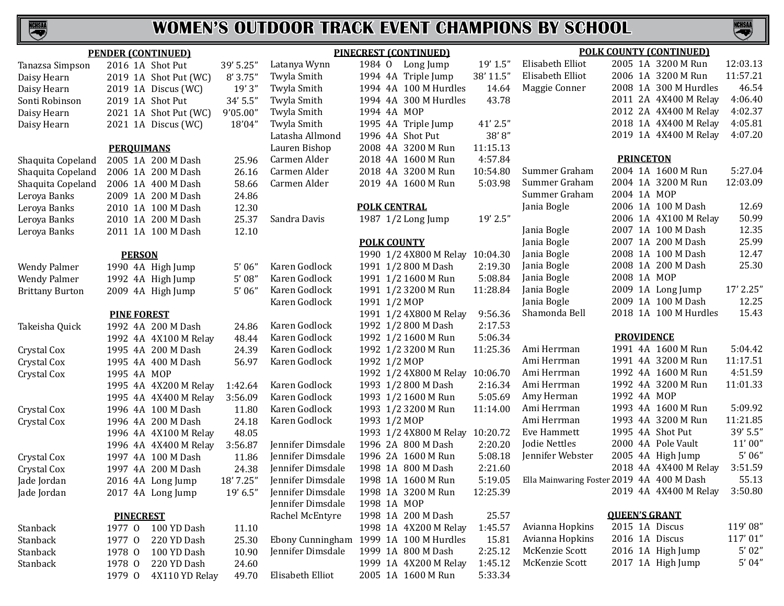

| <b>PENDER (CONTINUED)</b> |                    |                       |           | <b>PINECREST (CONTINUED)</b>           |                     |  |                                 |           | <b>POLK COUNTY (CONTINUED)</b>            |                      |                       |           |
|---------------------------|--------------------|-----------------------|-----------|----------------------------------------|---------------------|--|---------------------------------|-----------|-------------------------------------------|----------------------|-----------------------|-----------|
| Tanazsa Simpson           |                    | 2016 1A Shot Put      | 39' 5.25" | Latanya Wynn                           |                     |  | 1984 O Long Jump                | 19' 1.5"  | Elisabeth Elliot                          |                      | 2005 1A 3200 M Run    | 12:03.13  |
| Daisy Hearn               |                    | 2019 1A Shot Put (WC) | 8'3.75'   | Twyla Smith                            |                     |  | 1994 4A Triple Jump             | 38' 11.5" | Elisabeth Elliot                          |                      | 2006 1A 3200 M Run    | 11:57.21  |
| Daisy Hearn               |                    | 2019 1A Discus (WC)   | 19'3''    | Twyla Smith                            |                     |  | 1994 4A 100 M Hurdles           | 14.64     | Maggie Conner                             |                      | 2008 1A 300 M Hurdles | 46.54     |
| Sonti Robinson            |                    | 2019 1A Shot Put      | 34' 5.5"  | Twyla Smith                            |                     |  | 1994 4A 300 M Hurdles           | 43.78     |                                           |                      | 2011 2A 4X400 M Relay | 4:06.40   |
| Daisy Hearn               |                    | 2021 1A Shot Put (WC) | 9'05.00"  | Twyla Smith                            | 1994 4A MOP         |  |                                 |           |                                           |                      | 2012 2A 4X400 M Relay | 4:02.37   |
| Daisy Hearn               |                    | 2021 1A Discus (WC)   | 18'04"    | Twyla Smith                            |                     |  | 1995 4A Triple Jump             | 41' 2.5"  |                                           |                      | 2018 1A 4X400 M Relay | 4:05.81   |
|                           |                    |                       |           | Latasha Allmond                        |                     |  | 1996 4A Shot Put                | 38'8''    |                                           |                      | 2019 1A 4X400 M Relay | 4:07.20   |
|                           | <b>PERQUIMANS</b>  |                       |           | Lauren Bishop                          |                     |  | 2008 4A 3200 M Run              | 11:15.13  |                                           |                      |                       |           |
| Shaquita Copeland         |                    | 2005 1A 200 M Dash    | 25.96     | Carmen Alder                           |                     |  | 2018 4A 1600 M Run              | 4:57.84   |                                           | <b>PRINCETON</b>     |                       |           |
| Shaquita Copeland         |                    | 2006 1A 200 M Dash    | 26.16     | Carmen Alder                           |                     |  | 2018 4A 3200 M Run              | 10:54.80  | Summer Graham                             |                      | 2004 1A 1600 M Run    | 5:27.04   |
| Shaquita Copeland         |                    | 2006 1A 400 M Dash    | 58.66     | Carmen Alder                           |                     |  | 2019 4A 1600 M Run              | 5:03.98   | Summer Graham                             |                      | 2004 1A 3200 M Run    | 12:03.09  |
| Leroya Banks              |                    | 2009 1A 200 M Dash    | 24.86     |                                        |                     |  |                                 |           | Summer Graham                             | 2004 1A MOP          |                       |           |
| Leroya Banks              |                    | 2010 1A 100 M Dash    | 12.30     |                                        | <b>POLK CENTRAL</b> |  |                                 |           | Jania Bogle                               |                      | 2006 1A 100 M Dash    | 12.69     |
| Leroya Banks              |                    | 2010 1A 200 M Dash    | 25.37     | Sandra Davis                           |                     |  | 1987 1/2 Long Jump              | 19' 2.5"  |                                           |                      | 2006 1A 4X100 M Relay | 50.99     |
| Leroya Banks              |                    | 2011 1A 100 M Dash    | 12.10     |                                        |                     |  |                                 |           | Jania Bogle                               |                      | 2007 1A 100 M Dash    | 12.35     |
|                           |                    |                       |           |                                        | <b>POLK COUNTY</b>  |  |                                 |           | Jania Bogle                               |                      | 2007 1A 200 M Dash    | 25.99     |
|                           | <b>PERSON</b>      |                       |           |                                        |                     |  | 1990 1/2 4X800 M Relay 10:04.30 |           | Jania Bogle                               |                      | 2008 1A 100 M Dash    | 12.47     |
| <b>Wendy Palmer</b>       |                    | 1990 4A High Jump     | 5'06''    | Karen Godlock                          |                     |  | 1991 1/2 800 M Dash             | 2:19.30   | Jania Bogle                               |                      | 2008 1A 200 M Dash    | 25.30     |
| <b>Wendy Palmer</b>       |                    | 1992 4A High Jump     | 5'08''    | Karen Godlock                          |                     |  | 1991 1/2 1600 M Run             | 5:08.84   | Jania Bogle                               | 2008 1A MOP          |                       |           |
| <b>Brittany Burton</b>    |                    | 2009 4A High Jump     | 5'06'     | Karen Godlock                          |                     |  | 1991 1/2 3200 M Run             | 11:28.84  | Jania Bogle                               |                      | 2009 1A Long Jump     | 17' 2.25" |
|                           |                    |                       |           | Karen Godlock                          | 1991 1/2 MOP        |  |                                 |           | Jania Bogle                               |                      | 2009 1A 100 M Dash    | 12.25     |
|                           | <b>PINE FOREST</b> |                       |           |                                        |                     |  | 1991 1/2 4X800 M Relay          | 9:56.36   | Shamonda Bell                             |                      | 2018 1A 100 M Hurdles | 15.43     |
| Takeisha Quick            |                    | 1992 4A 200 M Dash    | 24.86     | Karen Godlock                          |                     |  | 1992 1/2 800 M Dash             | 2:17.53   |                                           |                      |                       |           |
|                           |                    | 1992 4A 4X100 M Relay | 48.44     | Karen Godlock                          |                     |  | 1992 1/2 1600 M Run             | 5:06.34   |                                           | <b>PROVIDENCE</b>    |                       |           |
| Crystal Cox               |                    | 1995 4A 200 M Dash    | 24.39     | Karen Godlock                          |                     |  | 1992 1/2 3200 M Run             | 11:25.36  | Ami Herrman                               |                      | 1991 4A 1600 M Run    | 5:04.42   |
| Crystal Cox               |                    | 1995 4A 400 M Dash    | 56.97     | Karen Godlock                          | 1992 1/2 MOP        |  |                                 |           | Ami Herrman                               |                      | 1991 4A 3200 M Run    | 11:17.51  |
| Crystal Cox               | 1995 4A MOP        |                       |           |                                        |                     |  | 1992 1/2 4X800 M Relay 10:06.70 |           | Ami Herrman                               |                      | 1992 4A 1600 M Run    | 4:51.59   |
|                           |                    | 1995 4A 4X200 M Relay | 1:42.64   | Karen Godlock                          |                     |  | 1993 1/2 800 M Dash             | 2:16.34   | Ami Herrman                               |                      | 1992 4A 3200 M Run    | 11:01.33  |
|                           |                    | 1995 4A 4X400 M Relay | 3:56.09   | Karen Godlock                          |                     |  | 1993 1/2 1600 M Run             | 5:05.69   | Amy Herman                                | 1992 4A MOP          |                       |           |
| Crystal Cox               |                    | 1996 4A 100 M Dash    | 11.80     | Karen Godlock                          |                     |  | 1993 1/2 3200 M Run             | 11:14.00  | Ami Herrman                               |                      | 1993 4A 1600 M Run    | 5:09.92   |
| Crystal Cox               |                    | 1996 4A 200 M Dash    | 24.18     | Karen Godlock                          | 1993 1/2 MOP        |  |                                 |           | Ami Herrman                               |                      | 1993 4A 3200 M Run    | 11:21.85  |
|                           |                    | 1996 4A 4X100 M Relay | 48.05     |                                        |                     |  | 1993 1/2 4X800 M Relay 10:20.72 |           | Eve Hammett                               | 1995 4A Shot Put     |                       | 39' 5.5"  |
|                           |                    | 1996 4A 4X400 M Relay | 3:56.87   | Jennifer Dimsdale                      |                     |  | 1996 2A 800 M Dash              | 2:20.20   | Jodie Nettles                             |                      | 2000 4A Pole Vault    | 11'00''   |
| Crystal Cox               |                    | 1997 4A 100 M Dash    | 11.86     | Jennifer Dimsdale                      |                     |  | 1996 2A 1600 M Run              | 5:08.18   | Jennifer Webster                          |                      | 2005 4A High Jump     | 5'06''    |
| Crystal Cox               |                    | 1997 4A 200 M Dash    | 24.38     | Jennifer Dimsdale                      |                     |  | 1998 1A 800 M Dash              | 2:21.60   |                                           |                      | 2018 4A 4X400 M Relay | 3:51.59   |
| Jade Jordan               |                    | 2016 4A Long Jump     | 18' 7.25" | Jennifer Dimsdale                      |                     |  | 1998 1A 1600 M Run              | 5:19.05   | Ella Mainwaring Foster 2019 4A 400 M Dash |                      |                       | 55.13     |
| Jade Jordan               |                    | 2017 4A Long Jump     | 19' 6.5'' | Jennifer Dimsdale                      |                     |  | 1998 1A 3200 M Run              | 12:25.39  |                                           |                      | 2019 4A 4X400 M Relay | 3:50.80   |
|                           |                    |                       |           | Jennifer Dimsdale                      | 1998 1A MOP         |  |                                 |           |                                           |                      |                       |           |
|                           | <b>PINECREST</b>   |                       |           | Rachel McEntyre                        |                     |  | 1998 1A 200 M Dash              | 25.57     |                                           | <b>QUEEN'S GRANT</b> |                       |           |
| Stanback                  | 1977 0             | 100 YD Dash           | 11.10     |                                        |                     |  | 1998 1A 4X200 M Relay           | 1:45.57   | Avianna Hopkins                           | 2015 1A Discus       |                       | 119'08"   |
| Stanback                  | 1977 0             | 220 YD Dash           | 25.30     | Ebony Cunningham 1999 1A 100 M Hurdles |                     |  |                                 | 15.81     | Avianna Hopkins                           | 2016 1A Discus       |                       | 117'01"   |
| Stanback                  | 1978 0             | 100 YD Dash           | 10.90     | Jennifer Dimsdale                      |                     |  | 1999 1A 800 M Dash              | 2:25.12   | McKenzie Scott                            |                      | 2016 1A High Jump     | 5'02''    |
| Stanback                  | 1978 0             | 220 YD Dash           | 24.60     |                                        |                     |  | 1999 1A 4X200 M Relay           | 1:45.12   | McKenzie Scott                            |                      | 2017 1A High Jump     | 5'04''    |
|                           | 1979 0             | 4X110 YD Relay        | 49.70     | Elisabeth Elliot                       |                     |  | 2005 1A 1600 M Run              | 5:33.34   |                                           |                      |                       |           |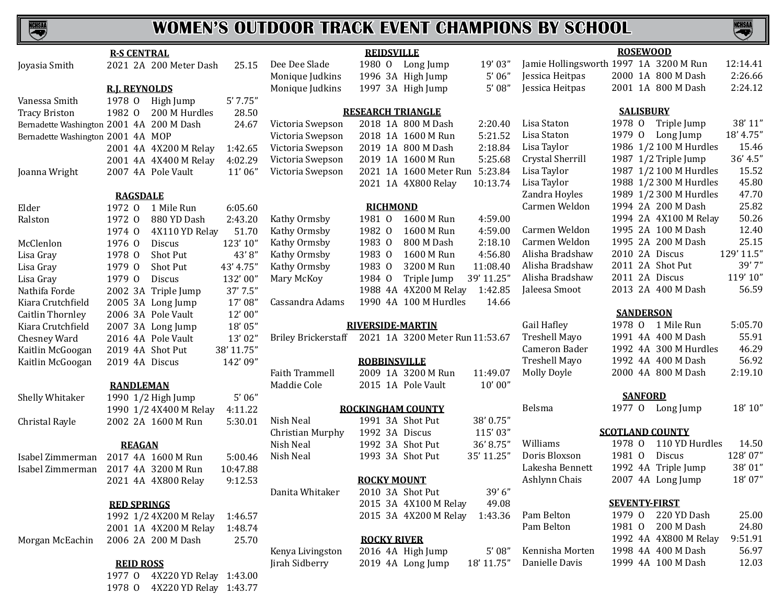# **NEWSAN**

## **WOMEN'S OUTDOOR TRACK EVENT CHAMPIONS BY SCHOOL**

**NCHSAA** 

|                                          | <b>R-S CENTRAL</b>                           |                               |            |                                                     | <b>REIDSVILLE</b>                    |                                |                        |                                        | <b>ROSEWOOD</b>        |                        |            |
|------------------------------------------|----------------------------------------------|-------------------------------|------------|-----------------------------------------------------|--------------------------------------|--------------------------------|------------------------|----------------------------------------|------------------------|------------------------|------------|
| Joyasia Smith                            |                                              | 2021 2A 200 Meter Dash        | 25.15      | Dee Dee Slade                                       |                                      | 1980 O Long Jump               | 19' 03"                | Jamie Hollingsworth 1997 1A 3200 M Run |                        |                        | 12:14.41   |
|                                          |                                              |                               |            | Monique Judkins                                     |                                      | 1996 3A High Jump              | 5'06''                 | Jessica Heitpas                        |                        | 2000 1A 800 M Dash     | 2:26.66    |
|                                          | <b>R.J. REYNOLDS</b>                         |                               |            | Monique Judkins                                     |                                      | 1997 3A High Jump              | 5'08''                 | Jessica Heitpas                        |                        | 2001 1A 800 M Dash     | 2:24.12    |
| Vanessa Smith                            | 1978 O High Jump                             |                               | 5'7.75''   |                                                     |                                      |                                |                        |                                        |                        |                        |            |
| <b>Tracy Briston</b>                     | 1982 0                                       | 200 M Hurdles                 | 28.50      |                                                     | <b>RESEARCH TRIANGLE</b>             |                                |                        |                                        | <b>SALISBURY</b>       |                        |            |
| Bernadette Washington 2001 4A 200 M Dash |                                              |                               | 24.67      | Victoria Swepson                                    |                                      | 2018 1A 800 M Dash             | 2:20.40                | Lisa Staton                            |                        | 1978 O Triple Jump     | 38' 11"    |
| Bernadette Washington 2001 4A MOP        |                                              |                               |            | Victoria Swepson                                    |                                      | 2018 1A 1600 M Run             | 5:21.52                | Lisa Staton                            | 1979 0                 | Long Jump              | 18' 4.75"  |
|                                          | 2001 4A 4X200 M Relay                        |                               | 1:42.65    | Victoria Swepson                                    |                                      | 2019 1A 800 M Dash             | 2:18.84                | Lisa Taylor                            |                        | 1986 1/2 100 M Hurdles | 15.46      |
|                                          | 2001 4A 4X400 M Relay                        |                               | 4:02.29    | Victoria Swepson                                    |                                      | 2019 1A 1600 M Run             | 5:25.68                | Crystal Sherrill                       |                        | 1987 1/2 Triple Jump   | 36' 4.5"   |
| Joanna Wright                            | 2007 4A Pole Vault                           |                               | 11'06"     | Victoria Swepson                                    |                                      | 2021 1A 1600 Meter Run 5:23.84 |                        | Lisa Taylor                            |                        | 1987 1/2 100 M Hurdles | 15.52      |
|                                          |                                              |                               |            |                                                     |                                      | 2021 1A 4X800 Relay            | 10:13.74               | Lisa Taylor                            |                        | 1988 1/2 300 M Hurdles | 45.80      |
|                                          | <b>RAGSDALE</b>                              |                               |            |                                                     |                                      |                                |                        | Zandra Hoyles                          |                        | 1989 1/2 300 M Hurdles | 47.70      |
| Elder                                    | 1972 0 1 Mile Run                            |                               | 6:05.60    |                                                     | <b>RICHMOND</b>                      |                                |                        | Carmen Weldon                          |                        | 1994 2A 200 M Dash     | 25.82      |
| Ralston                                  | 1972 0                                       | 880 YD Dash                   | 2:43.20    | Kathy Ormsby                                        | 1981 0                               | 1600 M Run                     | 4:59.00                |                                        |                        | 1994 2A 4X100 M Relay  | 50.26      |
|                                          | 1974 0                                       | 4X110 YD Relay                | 51.70      | Kathy Ormsby                                        | 1982 0                               | 1600 M Run                     | 4:59.00                | Carmen Weldon                          |                        | 1995 2A 100 M Dash     | 12.40      |
| McClenlon                                | 1976 0                                       | <b>Discus</b>                 | 123'10"    | Kathy Ormsby                                        | 1983 0                               | 800 M Dash                     | 2:18.10                | Carmen Weldon                          |                        | 1995 2A 200 M Dash     | 25.15      |
| Lisa Gray                                | 1978 0                                       | Shot Put                      | 43'8"      | Kathy Ormsby                                        | 1983 0                               | 1600 M Run                     | 4:56.80                | Alisha Bradshaw                        | 2010 2A Discus         |                        | 129' 11.5" |
| Lisa Gray                                | 1979 0                                       | Shot Put                      | 43' 4.75"  | Kathy Ormsby                                        | 1983 0                               | 3200 M Run                     | 11:08.40               | Alisha Bradshaw                        |                        | 2011 2A Shot Put       | 39'7"      |
| Lisa Gray                                | 1979 0                                       | Discus                        | 132'00"    | Mary McKoy                                          | 1984 0                               | Triple Jump                    | 39' 11.25"             | Alisha Bradshaw                        | 2011 2A Discus         |                        | 119'10"    |
| Nathifa Forde                            | 2002 3A Triple Jump                          |                               | 37' 7.5"   |                                                     |                                      | 1988 4A 4X200 M Relay          | 1:42.85                | Jaleesa Smoot                          |                        | 2013 2A 400 M Dash     | 56.59      |
| Kiara Crutchfield                        | 2005 3A Long Jump                            |                               | 17'08"     | Cassandra Adams                                     |                                      | 1990 4A 100 M Hurdles          | 14.66                  |                                        |                        |                        |            |
| Caitlin Thornley                         | 2006 3A Pole Vault                           |                               | 12'00"     |                                                     |                                      |                                |                        |                                        | <b>SANDERSON</b>       |                        |            |
| Kiara Crutchfield                        | 2007 3A Long Jump                            |                               | 18'05"     |                                                     | <b>RIVERSIDE-MARTIN</b>              |                                |                        | Gail Hafley                            |                        | 1978 0 1 Mile Run      | 5:05.70    |
| Chesney Ward                             | 2016 4A Pole Vault                           |                               | 13'02"     | Briley Brickerstaff 2021 1A 3200 Meter Run 11:53.67 |                                      |                                |                        | <b>Treshell Mayo</b>                   |                        | 1991 4A 400 M Dash     | 55.91      |
| Kaitlin McGoogan                         | 2019 4A Shot Put                             |                               | 38' 11.75" |                                                     |                                      |                                |                        | Cameron Bader                          |                        | 1992 4A 300 M Hurdles  | 46.29      |
| Kaitlin McGoogan                         | 2019 4A Discus                               |                               | 142'09"    |                                                     | <b>ROBBINSVILLE</b>                  |                                |                        | Treshell Mayo                          |                        | 1992 4A 400 M Dash     | 56.92      |
|                                          |                                              |                               |            | <b>Faith Trammell</b>                               |                                      | 2009 1A 3200 M Run             | 11:49.07               | Molly Doyle                            |                        | 2000 4A 800 M Dash     | 2:19.10    |
|                                          | <b>RANDLEMAN</b>                             |                               |            | Maddie Cole                                         |                                      | 2015 1A Pole Vault             | 10'00''                |                                        |                        |                        |            |
| Shelly Whitaker                          | 1990 1/2 High Jump                           |                               | 5'06''     |                                                     |                                      |                                |                        |                                        | <b>SANFORD</b>         |                        |            |
|                                          | 1990 1/2 4X400 M Relay                       |                               | 4:11.22    |                                                     | <b>ROCKINGHAM COUNTY</b>             |                                |                        | Belsma                                 |                        | 1977 O Long Jump       | 18' 10''   |
| Christal Rayle                           | 2002 2A 1600 M Run                           |                               | 5:30.01    | Nish Neal                                           |                                      | 1991 3A Shot Put               | 38' 0.75"              |                                        | <b>SCOTLAND COUNTY</b> |                        |            |
|                                          |                                              |                               |            | Christian Murphy<br>Nish Neal                       | 1992 3A Discus                       |                                | 115'03"                | Williams                               | 1978 0                 | 110 YD Hurdles         | 14.50      |
|                                          | <b>REAGAN</b>                                |                               |            |                                                     | 1992 3A Shot Put<br>1993 3A Shot Put |                                | 36'8.75"<br>35' 11.25" | Doris Bloxson                          | 1981 0                 | Discus                 | 128'07"    |
| Isabel Zimmerman                         | 2017 4A 1600 M Run                           |                               | 5:00.46    | Nish Neal                                           |                                      |                                |                        | Lakesha Bennett                        |                        | 1992 4A Triple Jump    | 38' 01"    |
| Isabel Zimmerman                         | 2017 4A 3200 M Run                           |                               | 10:47.88   |                                                     | <b>ROCKY MOUNT</b>                   |                                |                        | Ashlynn Chais                          |                        | 2007 4A Long Jump      | 18' 07"    |
|                                          | 2021 4A 4X800 Relay                          |                               | 9:12.53    | Danita Whitaker                                     | 2010 3A Shot Put                     |                                | 39'6''                 |                                        |                        |                        |            |
|                                          |                                              |                               |            |                                                     |                                      | 2015 3A 4X100 M Relay          | 49.08                  |                                        | <b>SEVENTY-FIRST</b>   |                        |            |
|                                          | <b>RED SPRINGS</b><br>1992 1/2 4X200 M Relay |                               | 1:46.57    |                                                     |                                      | 2015 3A 4X200 M Relay          | 1:43.36                | Pam Belton                             | 1979 0                 | 220 YD Dash            | 25.00      |
|                                          | 2001 1A 4X200 M Relay                        |                               | 1:48.74    |                                                     |                                      |                                |                        | Pam Belton                             | 1981 0                 | 200 M Dash             | 24.80      |
| Morgan McEachin                          | 2006 2A 200 M Dash                           |                               | 25.70      |                                                     | <b>ROCKY RIVER</b>                   |                                |                        |                                        |                        | 1992 4A 4X800 M Relay  | 9:51.91    |
|                                          |                                              |                               |            | Kenya Livingston                                    |                                      | 2016 4A High Jump              | 5'08''                 | Kennisha Morten                        |                        | 1998 4A 400 M Dash     | 56.97      |
|                                          | <b>REID ROSS</b>                             |                               |            | Jirah Sidberry                                      |                                      | 2019 4A Long Jump              | 18' 11.75"             | Danielle Davis                         |                        | 1999 4A 100 M Dash     | 12.03      |
|                                          |                                              | 1977 0 4X220 YD Relay 1:43.00 |            |                                                     |                                      |                                |                        |                                        |                        |                        |            |
|                                          |                                              |                               |            |                                                     |                                      |                                |                        |                                        |                        |                        |            |

1978 O 4X220 YD Relay 1:43.77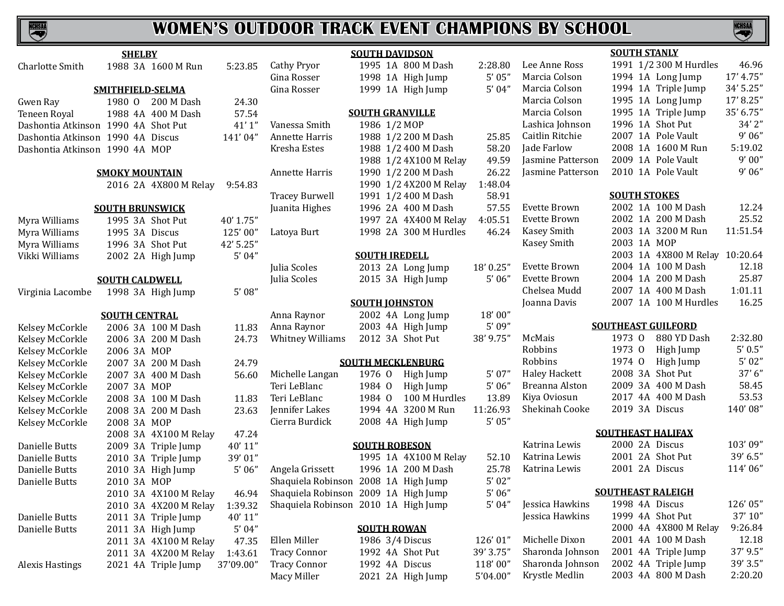

|                                     | <b>SHELBY</b>          |                       |           |                                      | <b>SOUTH DAVIDSON</b>    |                        |                     |                                    | <b>SOUTH STANLY</b>       |                                           |                                          |
|-------------------------------------|------------------------|-----------------------|-----------|--------------------------------------|--------------------------|------------------------|---------------------|------------------------------------|---------------------------|-------------------------------------------|------------------------------------------|
| Charlotte Smith                     |                        | 1988 3A 1600 M Run    | 5:23.85   | <b>Cathy Pryor</b>                   |                          | 1995 1A 800 M Dash     | 2:28.80             | Lee Anne Ross                      |                           | 1991 1/2 300 M Hurdles                    | 46.96                                    |
|                                     |                        |                       |           | Gina Rosser                          |                          | 1998 1A High Jump      | 5'05''              | Marcia Colson                      |                           | 1994 1A Long Jump                         | 17' 4.75"                                |
|                                     | SMITHFIELD-SELMA       |                       |           | Gina Rosser                          |                          | 1999 1A High Jump      | 5'04''              | Marcia Colson                      |                           | 1994 1A Triple Jump                       | 34' 5.25"                                |
| Gwen Ray                            | 1980 0                 | 200 M Dash            | 24.30     |                                      |                          |                        |                     | Marcia Colson                      |                           | 1995 1A Long Jump                         | 17' 8.25"                                |
| Teneen Royal                        |                        | 1988 4A 400 M Dash    | 57.54     |                                      | <b>SOUTH GRANVILLE</b>   |                        |                     | Marcia Colson                      |                           | 1995 1A Triple Jump                       | 35' 6.75"                                |
| Dashontia Atkinson 1990 4A Shot Put |                        |                       | 41'1''    | Vanessa Smith                        | 1986 1/2 MOP             |                        |                     | Lashica Johnson                    | 1996 1A Shot Put          |                                           | 34' 2"                                   |
| Dashontia Atkinson 1990 4A Discus   |                        |                       | 141'04"   | Annette Harris                       |                          | 1988 1/2 200 M Dash    | 25.85               | Caitlin Ritchie                    |                           | 2007 1A Pole Vault                        | 9'06''                                   |
| Dashontia Atkinson 1990 4A MOP      |                        |                       |           | Kresha Estes                         |                          | 1988 1/2 400 M Dash    | 58.20               | Jade Farlow                        |                           | 2008 1A 1600 M Run                        | 5:19.02                                  |
|                                     |                        |                       |           |                                      |                          | 1988 1/2 4X100 M Relay | 49.59               | <b>Jasmine Patterson</b>           |                           | 2009 1A Pole Vault                        | 9'00''                                   |
|                                     | <b>SMOKY MOUNTAIN</b>  |                       |           | Annette Harris                       |                          | 1990 1/2 200 M Dash    | 26.22               | Jasmine Patterson                  |                           | 2010 1A Pole Vault                        | 9'06''                                   |
|                                     |                        | 2016 2A 4X800 M Relay | 9:54.83   |                                      |                          | 1990 1/2 4X200 M Relay | 1:48.04             |                                    |                           |                                           |                                          |
|                                     |                        |                       |           | <b>Tracey Burwell</b>                |                          | 1991 1/2 400 M Dash    | 58.91               |                                    | <b>SOUTH STOKES</b>       |                                           |                                          |
|                                     | <b>SOUTH BRUNSWICK</b> |                       |           | Juanita Highes                       |                          | 1996 2A 400 M Dash     | 57.55               | Evette Brown                       |                           | 2002 1A 100 M Dash                        | 12.24                                    |
| Myra Williams                       | 1995 3A Shot Put       |                       | 40' 1.75" |                                      |                          | 1997 2A 4X400 M Relay  | 4:05.51             | Evette Brown                       |                           | 2002 1A 200 M Dash                        | 25.52                                    |
| Myra Williams                       | 1995 3A Discus         |                       | 125'00"   | Latoya Burt                          |                          | 1998 2A 300 M Hurdles  | 46.24               | Kasey Smith                        |                           | 2003 1A 3200 M Run                        | 11:51.54                                 |
| Myra Williams                       | 1996 3A Shot Put       |                       | 42' 5.25" |                                      |                          |                        |                     | Kasey Smith                        | 2003 1A MOP               |                                           |                                          |
| Vikki Williams                      |                        | 2002 2A High Jump     | 5'04''    |                                      | <b>SOUTH IREDELL</b>     |                        |                     |                                    |                           | 2003 1A 4X800 M Relay 10:20.64            |                                          |
|                                     |                        |                       |           | Julia Scoles                         |                          | 2013 2A Long Jump      | 18' 0.25"           | Evette Brown                       |                           | 2004 1A 100 M Dash                        | 12.18                                    |
|                                     | <b>SOUTH CALDWELL</b>  |                       |           | Julia Scoles                         |                          | 2015 3A High Jump      | 5'06''              | Evette Brown                       |                           | 2004 1A 200 M Dash                        | 25.87                                    |
| Virginia Lacombe                    |                        | 1998 3A High Jump     | 5'08''    |                                      |                          |                        |                     | Chelsea Mudd                       |                           | 2007 1A 400 M Dash                        | 1:01.11                                  |
|                                     |                        |                       |           |                                      | <b>SOUTH JOHNSTON</b>    |                        |                     | Joanna Davis                       |                           | 2007 1A 100 M Hurdles                     | 16.25                                    |
|                                     | <b>SOUTH CENTRAL</b>   |                       |           | Anna Raynor                          |                          | 2002 4A Long Jump      | 18'00"              |                                    |                           |                                           |                                          |
| Kelsey McCorkle                     |                        | 2006 3A 100 M Dash    | 11.83     | Anna Raynor                          |                          | 2003 4A High Jump      | 5' 09"              |                                    | <b>SOUTHEAST GUILFORD</b> |                                           |                                          |
| Kelsey McCorkle                     |                        | 2006 3A 200 M Dash    | 24.73     | <b>Whitney Williams</b>              | 2012 3A Shot Put         |                        | 38' 9.75"           | McMais                             | 1973 0                    | 880 YD Dash                               | 2:32.80                                  |
| Kelsey McCorkle                     | 2006 3A MOP            |                       |           |                                      |                          |                        |                     | Robbins                            | 1973 0                    | High Jump                                 | 5' 0.5''                                 |
| Kelsey McCorkle                     |                        | 2007 3A 200 M Dash    | 24.79     |                                      | <b>SOUTH MECKLENBURG</b> |                        |                     | Robbins                            | 1974 0                    | High Jump                                 | 5'02''                                   |
| Kelsey McCorkle                     |                        | 2007 3A 400 M Dash    | 56.60     | Michelle Langan                      | 1976 0                   | High Jump              | 5'07''              | <b>Haley Hackett</b>               | 2008 3A Shot Put          |                                           | 37'6''                                   |
| Kelsey McCorkle                     | 2007 3A MOP            |                       |           | Teri LeBlanc                         | 1984 0                   | High Jump              | 5'06''              | Breanna Alston                     |                           | 2009 3A 400 M Dash                        | 58.45                                    |
| Kelsey McCorkle                     |                        | 2008 3A 100 M Dash    | 11.83     | Teri LeBlanc                         | 1984 0                   | 100 M Hurdles          | 13.89               | Kiya Oviosun                       |                           | 2017 4A 400 M Dash                        | 53.53                                    |
| Kelsey McCorkle                     |                        | 2008 3A 200 M Dash    | 23.63     | Jennifer Lakes                       |                          | 1994 4A 3200 M Run     | 11:26.93            | Shekinah Cooke                     | 2019 3A Discus            |                                           | 140'08"                                  |
| Kelsey McCorkle                     | 2008 3A MOP            |                       |           | Cierra Burdick                       |                          | 2008 4A High Jump      | 5'05''              |                                    |                           |                                           |                                          |
|                                     |                        | 2008 3A 4X100 M Relay | 47.24     |                                      |                          |                        |                     |                                    | <b>SOUTHEAST HALIFAX</b>  |                                           |                                          |
| Danielle Butts                      |                        | 2009 3A Triple Jump   | 40'11"    |                                      | <b>SOUTH ROBESON</b>     |                        |                     | Katrina Lewis                      | 2000 2A Discus            |                                           | 103'09"                                  |
| Danielle Butts                      |                        | 2010 3A Triple Jump   | 39'01"    |                                      |                          | 1995 1A 4X100 M Relay  | 52.10               | Katrina Lewis                      | 2001 2A Shot Put          |                                           | 39' 6.5"                                 |
| Danielle Butts                      |                        | 2010 3A High Jump     | 5'06''    | Angela Grissett                      |                          | 1996 1A 200 M Dash     | 25.78               | Katrina Lewis                      | 2001 2A Discus            |                                           | 114'06"                                  |
| Danielle Butts                      | 2010 3A MOP            |                       |           | Shaquiela Robinson 2008 1A High Jump |                          |                        | 5'02''              |                                    |                           |                                           |                                          |
|                                     |                        | 2010 3A 4X100 M Relay | 46.94     | Shaquiela Robinson 2009 1A High Jump |                          |                        | 5'06''              |                                    | <b>SOUTHEAST RALEIGH</b>  |                                           |                                          |
|                                     |                        | 2010 3A 4X200 M Relay | 1:39.32   | Shaquiela Robinson 2010 1A High Jump |                          |                        | 5'04''              | Jessica Hawkins                    | 1998 4A Discus            |                                           | 126'05"                                  |
| Danielle Butts                      |                        | 2011 3A Triple Jump   | 40' 11"   |                                      |                          |                        |                     | Jessica Hawkins                    | 1999 4A Shot Put          |                                           | 37' 10"                                  |
|                                     |                        |                       |           |                                      | <b>SOUTH ROWAN</b>       |                        |                     |                                    |                           | 2000 4A 4X800 M Relay                     | 9:26.84                                  |
| Danielle Butts                      | 2011 3A High Jump      |                       | 5'04''    |                                      |                          |                        |                     |                                    |                           |                                           |                                          |
|                                     |                        | 2011 3A 4X100 M Relay | 47.35     | Ellen Miller                         | 1986 3/4 Discus          |                        | 126'01"             | Michelle Dixon                     |                           | 2001 4A 100 M Dash                        |                                          |
|                                     |                        | 2011 3A 4X200 M Relay | 1:43.61   | <b>Tracy Connor</b>                  | 1992 4A Shot Put         |                        | 39' 3.75"           | Sharonda Johnson                   |                           | 2001 4A Triple Jump                       |                                          |
| <b>Alexis Hastings</b>              |                        | 2021 4A Triple Jump   | 37'09.00" | <b>Tracy Connor</b><br>Macy Miller   | 1992 4A Discus           | 2021 2A High Jump      | 118'00"<br>5'04.00" | Sharonda Johnson<br>Krystle Medlin |                           | 2002 4A Triple Jump<br>2003 4A 800 M Dash | 12.18<br>37' 9.5"<br>39' 3.5"<br>2:20.20 |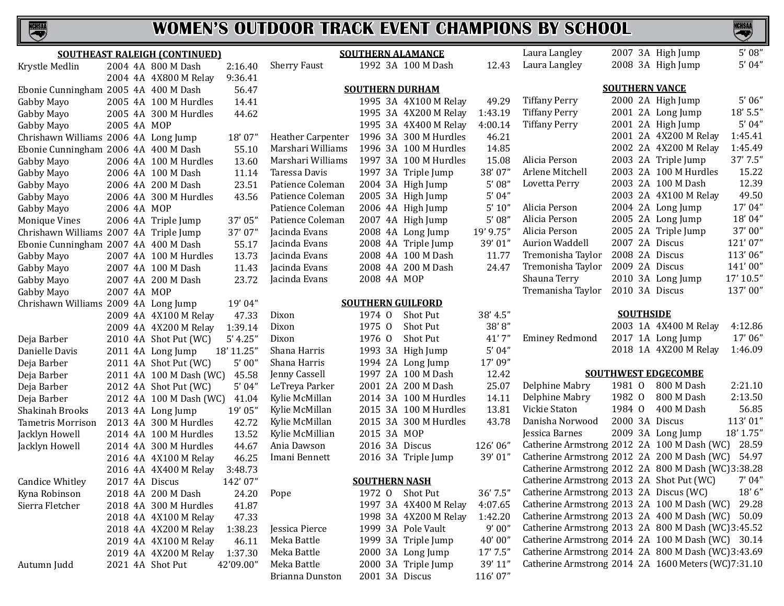

|                                        |                | <b>SOUTHEAST RALEIGH (CONTINUED)</b> |            |                     | <b>SOUTHERN ALAMANCE</b> |                       |           | Laura Langley                                                                                            |                       | 2007 3A High Jump          | 5'08''    |
|----------------------------------------|----------------|--------------------------------------|------------|---------------------|--------------------------|-----------------------|-----------|----------------------------------------------------------------------------------------------------------|-----------------------|----------------------------|-----------|
| Krystle Medlin                         |                | 2004 4A 800 M Dash                   | 2:16.40    | <b>Sherry Faust</b> |                          | 1992 3A 100 M Dash    | 12.43     | Laura Langley                                                                                            |                       | 2008 3A High Jump          | 5'04''    |
|                                        |                | 2004 4A 4X800 M Relay                | 9:36.41    |                     |                          |                       |           |                                                                                                          |                       |                            |           |
| Ebonie Cunningham 2005 4A 400 M Dash   |                |                                      | 56.47      |                     | <b>SOUTHERN DURHAM</b>   |                       |           |                                                                                                          | <b>SOUTHERN VANCE</b> |                            |           |
| Gabby Mayo                             |                | 2005 4A 100 M Hurdles                | 14.41      |                     |                          | 1995 3A 4X100 M Relay | 49.29     | <b>Tiffany Perry</b>                                                                                     |                       | 2000 2A High Jump          | 5'06''    |
| Gabby Mayo                             |                | 2005 4A 300 M Hurdles                | 44.62      |                     |                          | 1995 3A 4X200 M Relay | 1:43.19   | <b>Tiffany Perry</b>                                                                                     |                       | 2001 2A Long Jump          | 18' 5.5"  |
| Gabby Mayo                             | 2005 4A MOP    |                                      |            |                     |                          | 1995 3A 4X400 M Relay | 4:00.14   | <b>Tiffany Perry</b>                                                                                     |                       | 2001 2A High Jump          | 5'04''    |
| Chrishawn Williams 2006 4A Long Jump   |                |                                      | 18'07"     | Heather Carpenter   |                          | 1996 3A 300 M Hurdles | 46.21     |                                                                                                          |                       | 2001 2A 4X200 M Relay      | 1:45.41   |
| Ebonie Cunningham 2006 4A 400 M Dash   |                |                                      | 55.10      | Marshari Williams   |                          | 1996 3A 100 M Hurdles | 14.85     |                                                                                                          |                       | 2002 2A 4X200 M Relay      | 1:45.49   |
| Gabby Mayo                             |                | 2006 4A 100 M Hurdles                | 13.60      | Marshari Williams   |                          | 1997 3A 100 M Hurdles | 15.08     | Alicia Person                                                                                            |                       | 2003 2A Triple Jump        | 37' 7.5"  |
| Gabby Mayo                             |                | 2006 4A 100 M Dash                   | 11.14      | Taressa Davis       |                          | 1997 3A Triple Jump   | 38'07"    | Arlene Mitchell                                                                                          |                       | 2003 2A 100 M Hurdles      | 15.22     |
| Gabby Mayo                             |                | 2006 4A 200 M Dash                   | 23.51      | Patience Coleman    |                          | 2004 3A High Jump     | 5'08''    | Lovetta Perry                                                                                            |                       | 2003 2A 100 M Dash         | 12.39     |
| Gabby Mayo                             |                | 2006 4A 300 M Hurdles                | 43.56      | Patience Coleman    |                          | 2005 3A High Jump     | 5'04''    |                                                                                                          |                       | 2003 2A 4X100 M Relay      | 49.50     |
| Gabby Mayo                             | 2006 4A MOP    |                                      |            | Patience Coleman    |                          | 2006 4A High Jump     | 5' 10''   | Alicia Person                                                                                            |                       | 2004 2A Long Jump          | 17'04"    |
| <b>Monique Vines</b>                   |                | 2006 4A Triple Jump                  | 37'05"     | Patience Coleman    |                          | 2007 4A High Jump     | 5'08''    | Alicia Person                                                                                            |                       | 2005 2A Long Jump          | 18'04"    |
| Chrishawn Williams 2007 4A Triple Jump |                |                                      | 37'07"     | Jacinda Evans       |                          | 2008 4A Long Jump     | 19' 9.75" | Alicia Person                                                                                            |                       | 2005 2A Triple Jump        | 37'00"    |
| Ebonie Cunningham 2007 4A 400 M Dash   |                |                                      | 55.17      | Jacinda Evans       |                          | 2008 4A Triple Jump   | 39'01"    | <b>Aurion Waddell</b>                                                                                    | 2007 2A Discus        |                            | 121'07"   |
| Gabby Mayo                             |                | 2007 4A 100 M Hurdles                | 13.73      | Jacinda Evans       |                          | 2008 4A 100 M Dash    | 11.77     | Tremonisha Taylor                                                                                        | 2008 2A Discus        |                            | 113'06"   |
| Gabby Mayo                             |                | 2007 4A 100 M Dash                   | 11.43      | Jacinda Evans       |                          | 2008 4A 200 M Dash    | 24.47     | Tremonisha Taylor                                                                                        | 2009 2A Discus        |                            | 141'00"   |
| Gabby Mayo                             |                | 2007 4A 200 M Dash                   | 23.72      | Jacinda Evans       | 2008 4A MOP              |                       |           | Shauna Terry                                                                                             |                       | 2010 3A Long Jump          | 17' 10.5" |
| Gabby Mayo                             | 2007 4A MOP    |                                      |            |                     |                          |                       |           | Tremanisha Taylor                                                                                        | 2010 3A Discus        |                            | 137'00"   |
| Chrishawn Williams 2009 4A Long Jump   |                |                                      | 19'04"     |                     | <b>SOUTHERN GUILFORD</b> |                       |           |                                                                                                          |                       |                            |           |
|                                        |                | 2009 4A 4X100 M Relay                | 47.33      | Dixon               | 1974 0                   | Shot Put              | 38' 4.5"  |                                                                                                          | <b>SOUTHSIDE</b>      |                            |           |
|                                        |                | 2009 4A 4X200 M Relay                | 1:39.14    | Dixon               | 1975 0                   | Shot Put              | 38'8"     |                                                                                                          |                       | 2003 1A 4X400 M Relay      | 4:12.86   |
| Deja Barber                            |                | 2010 4A Shot Put (WC)                | 5' 4.25''  | Dixon               | 1976 0                   | Shot Put              | 41'7"     | <b>Eminey Redmond</b>                                                                                    |                       | 2017 1A Long Jump          | 17'06"    |
| Danielle Davis                         |                | 2011 4A Long Jump                    | 18' 11.25" | Shana Harris        |                          | 1993 3A High Jump     | 5'04''    |                                                                                                          |                       | 2018 1A 4X200 M Relay      | 1:46.09   |
| Deja Barber                            |                | 2011 4A Shot Put (WC)                | 5'00''     | Shana Harris        |                          | 1994 2A Long Jump     | 17'09"    |                                                                                                          |                       |                            |           |
| Deja Barber                            |                | 2011 4A 100 M Dash (WC)              | 45.58      | Jenny Cassell       |                          | 1997 2A 100 M Dash    | 12.42     |                                                                                                          |                       | <b>SOUTHWEST EDGECOMBE</b> |           |
| Deja Barber                            |                | 2012 4A Shot Put (WC)                | 5'04''     | LeTreya Parker      |                          | 2001 2A 200 M Dash    | 25.07     | Delphine Mabry                                                                                           | 1981 0                | 800 M Dash                 | 2:21.10   |
| Deja Barber                            |                | 2012 4A 100 M Dash (WC)              | 41.04      | Kylie McMillan      |                          | 2014 3A 100 M Hurdles | 14.11     | Delphine Mabry                                                                                           | 1982 0                | 800 M Dash                 | 2:13.50   |
| Shakinah Brooks                        |                | 2013 4A Long Jump                    | 19' 05"    | Kylie McMillan      |                          | 2015 3A 100 M Hurdles | 13.81     | Vickie Staton                                                                                            | 1984 0                | 400 M Dash                 | 56.85     |
| Tametris Morrison                      |                | 2013 4A 300 M Hurdles                | 42.72      | Kylie McMillan      |                          | 2015 3A 300 M Hurdles | 43.78     | Danisha Norwood                                                                                          | 2000 3A Discus        |                            | 113'01"   |
| Jacklyn Howell                         |                | 2014 4A 100 M Hurdles                | 13.52      | Kylie McMillian     | 2015 3A MOP              |                       |           | Jessica Barnes                                                                                           |                       | 2009 3A Long Jump          | 18' 1.75" |
| Jacklyn Howell                         |                | 2014 4A 300 M Hurdles                | 44.67      | Ania Dawson         | 2016 3A Discus           |                       | 126'06"   | Catherine Armstrong 2012 2A 100 M Dash (WC)                                                              |                       |                            | 28.59     |
|                                        |                | 2016 4A 4X100 M Relay                | 46.25      | Imani Bennett       |                          | 2016 3A Triple Jump   | 39'01"    | Catherine Armstrong 2012 2A 200 M Dash (WC)                                                              |                       |                            | 54.97     |
|                                        |                | 2016 4A 4X400 M Relay                | 3:48.73    |                     |                          |                       |           | Catherine Armstrong 2012 2A 800 M Dash (WC)3:38.28                                                       |                       |                            |           |
| <b>Candice Whitley</b>                 | 2017 4A Discus |                                      | 142'07"    |                     | <b>SOUTHERN NASH</b>     |                       |           | Catherine Armstrong 2013 2A Shot Put (WC)                                                                |                       |                            | 7'04''    |
| Kyna Robinson                          |                | 2018 4A 200 M Dash                   | 24.20      | Pope                |                          | 1972 O Shot Put       | 36'7.5''  | Catherine Armstrong 2013 2A Discus (WC)                                                                  |                       |                            | 18'6"     |
| Sierra Fletcher                        |                | 2018 4A 300 M Hurdles                | 41.87      |                     |                          | 1997 3A 4X400 M Relay | 4:07.65   | Catherine Armstrong 2013 2A 100 M Dash (WC)                                                              |                       |                            | 29.28     |
|                                        |                | 2018 4A 4X100 M Relay                | 47.33      |                     |                          | 1998 3A 4X200 M Relay | 1:42.20   | Catherine Armstrong 2013 2A 400 M Dash (WC)                                                              |                       |                            | 50.09     |
|                                        |                | 2018 4A 4X200 M Relay                | 1:38.23    | Jessica Pierce      |                          | 1999 3A Pole Vault    | 9'00''    | Catherine Armstrong 2013 2A 800 M Dash (WC) 3:45.52                                                      |                       |                            |           |
|                                        |                | 2019 4A 4X100 M Relay                | 46.11      | Meka Battle         |                          | 1999 3A Triple Jump   | 40'00"    | Catherine Armstrong 2014 2A 100 M Dash (WC) 30.14<br>Catherine Armstrong 2014 2A 800 M Dash (WC) 3:43.69 |                       |                            |           |
|                                        |                | 2019 4A 4X200 M Relay                | 1:37.30    | Meka Battle         |                          | 2000 3A Long Jump     | 17'7.5''  | Catherine Armstrong 2014 2A 1600 Meters (WC)7:31.10                                                      |                       |                            |           |
| Autumn Judd                            |                | 2021 4A Shot Put                     | 42'09.00"  | Meka Battle         |                          | 2000 3A Triple Jump   | 39' 11"   |                                                                                                          |                       |                            |           |
|                                        |                |                                      |            | Brianna Dunston     | 2001 3A Discus           |                       | 116'07"   |                                                                                                          |                       |                            |           |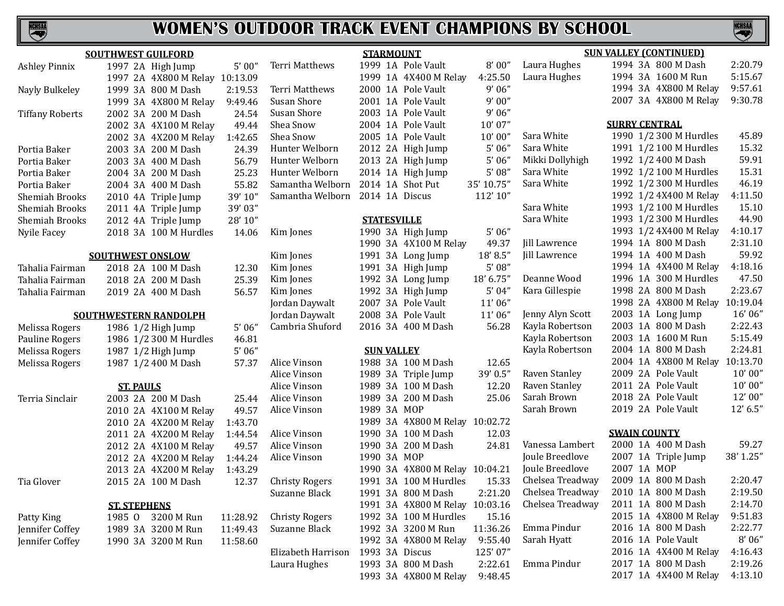

|                        | <b>SOUTHWEST GUILFORD</b>      |          |                       | <b>STARMOUNT</b>   |                                |            | <b>SUN VALLEY (CONTINUED)</b> |                      |                        |            |
|------------------------|--------------------------------|----------|-----------------------|--------------------|--------------------------------|------------|-------------------------------|----------------------|------------------------|------------|
| <b>Ashley Pinnix</b>   | 1997 2A High Jump              | 5'00''   | Terri Matthews        |                    | 1999 1A Pole Vault             | 8'00''     | Laura Hughes                  |                      | 1994 3A 800 M Dash     | 2:20.79    |
|                        | 1997 2A 4X800 M Relay 10:13.09 |          |                       |                    | 1999 1A 4X400 M Relay          | 4:25.50    | Laura Hughes                  |                      | 1994 3A 1600 M Run     | 5:15.67    |
| Nayly Bulkeley         | 1999 3A 800 M Dash             | 2:19.53  | Terri Matthews        |                    | 2000 1A Pole Vault             | 9'06''     |                               |                      | 1994 3A 4X800 M Relay  | 9:57.61    |
|                        | 1999 3A 4X800 M Relay          | 9:49.46  | Susan Shore           |                    | 2001 1A Pole Vault             | 9'00''     |                               |                      | 2007 3A 4X800 M Relay  | 9:30.78    |
| <b>Tiffany Roberts</b> | 2002 3A 200 M Dash             | 24.54    | Susan Shore           |                    | 2003 1A Pole Vault             | 9'06''     |                               |                      |                        |            |
|                        | 2002 3A 4X100 M Relay          | 49.44    | Shea Snow             |                    | 2004 1A Pole Vault             | 10'07"     |                               | <b>SURRY CENTRAL</b> |                        |            |
|                        | 2002 3A 4X200 M Relay          | 1:42.65  | Shea Snow             |                    | 2005 1A Pole Vault             | 10'00''    | Sara White                    |                      | 1990 1/2 300 M Hurdles | 45.89      |
| Portia Baker           | 2003 3A 200 M Dash             | 24.39    | Hunter Welborn        |                    | 2012 2A High Jump              | 5'06''     | Sara White                    |                      | 1991 1/2 100 M Hurdles | 15.32      |
| Portia Baker           | 2003 3A 400 M Dash             | 56.79    | Hunter Welborn        |                    | 2013 2A High Jump              | 5'06''     | Mikki Dollyhigh               |                      | 1992 1/2 400 M Dash    | 59.91      |
| Portia Baker           | 2004 3A 200 M Dash             | 25.23    | Hunter Welborn        |                    | 2014 1A High Jump              | 5'08''     | Sara White                    |                      | 1992 1/2 100 M Hurdles | 15.31      |
| Portia Baker           | 2004 3A 400 M Dash             | 55.82    | Samantha Welborn      |                    | 2014 1A Shot Put               | 35' 10.75" | Sara White                    |                      | 1992 1/2 300 M Hurdles | 46.19      |
| Shemiah Brooks         | 2010 4A Triple Jump            | 39' 10"  | Samantha Welborn      | 2014 1A Discus     |                                | 112'10"    |                               |                      | 1992 1/2 4X400 M Relay | 4:11.50    |
| Shemiah Brooks         | 2011 4A Triple Jump            | 39'03"   |                       |                    |                                |            | Sara White                    |                      | 1993 1/2 100 M Hurdles | 15.10      |
| Shemiah Brooks         | 2012 4A Triple Jump            | 28' 10"  |                       | <b>STATESVILLE</b> |                                |            | Sara White                    |                      | 1993 1/2 300 M Hurdles | 44.90      |
| Nyile Facey            | 2018 3A 100 M Hurdles          | 14.06    | Kim Jones             |                    | 1990 3A High Jump              | 5'06''     |                               |                      | 1993 1/2 4X400 M Relay | 4:10.17    |
|                        |                                |          |                       |                    | 1990 3A 4X100 M Relay          | 49.37      | Jill Lawrence                 |                      | 1994 1A 800 M Dash     | 2:31.10    |
|                        | <b>SOUTHWEST ONSLOW</b>        |          | Kim Jones             |                    | 1991 3A Long Jump              | 18' 8.5"   | Jill Lawrence                 |                      | 1994 1A 400 M Dash     | 59.92      |
| Tahalia Fairman        | 2018 2A 100 M Dash             | 12.30    | Kim Jones             |                    | 1991 3A High Jump              | 5'08''     |                               |                      | 1994 1A 4X400 M Relay  | 4:18.16    |
| Tahalia Fairman        | 2018 2A 200 M Dash             | 25.39    | Kim Jones             |                    | 1992 3A Long Jump              | 18' 6.75"  | Deanne Wood                   |                      | 1996 1A 300 M Hurdles  | 47.50      |
| Tahalia Fairman        | 2019 2A 400 M Dash             | 56.57    | Kim Jones             |                    | 1992 3A High Jump              | 5'04''     | Kara Gillespie                |                      | 1998 2A 800 M Dash     | 2:23.67    |
|                        |                                |          | Jordan Daywalt        |                    | 2007 3A Pole Vault             | 11'06"     |                               |                      | 1998 2A 4X800 M Relay  | 10:19.04   |
|                        | <b>SOUTHWESTERN RANDOLPH</b>   |          | Jordan Daywalt        |                    | 2008 3A Pole Vault             | 11'06"     | Jenny Alyn Scott              |                      | 2003 1A Long Jump      | 16'06"     |
| Melissa Rogers         | 1986 1/2 High Jump             | $5'$ 06" | Cambria Shuford       |                    | 2016 3A 400 M Dash             | 56.28      | Kayla Robertson               |                      | 2003 1A 800 M Dash     | 2:22.43    |
| Pauline Rogers         | 1986 1/2 300 M Hurdles         | 46.81    |                       |                    |                                |            | Kayla Robertson               |                      | 2003 1A 1600 M Run     | 5:15.49    |
| Melissa Rogers         | 1987 1/2 High Jump             | 5'06''   |                       | <b>SUN VALLEY</b>  |                                |            | Kayla Robertson               |                      | 2004 1A 800 M Dash     | 2:24.81    |
| Melissa Rogers         | 1987 1/2 400 M Dash            | 57.37    | Alice Vinson          |                    | 1988 3A 100 M Dash             | 12.65      |                               |                      | 2004 1A 4X800 M Relay  | 10:13.70   |
|                        |                                |          | Alice Vinson          |                    | 1989 3A Triple Jump            | 39' 0.5"   | Raven Stanley                 |                      | 2009 2A Pole Vault     | 10'00''    |
|                        | <b>ST. PAULS</b>               |          | Alice Vinson          |                    | 1989 3A 100 M Dash             | 12.20      | Raven Stanley                 |                      | 2011 2A Pole Vault     | 10'00''    |
| Terria Sinclair        | 2003 2A 200 M Dash             | 25.44    | Alice Vinson          |                    | 1989 3A 200 M Dash             | 25.06      | Sarah Brown                   |                      | 2018 2A Pole Vault     | 12'00"     |
|                        | 2010 2A 4X100 M Relay          | 49.57    | Alice Vinson          | 1989 3A MOP        |                                |            | Sarah Brown                   |                      | 2019 2A Pole Vault     | $12'$ 6.5" |
|                        | 2010 2A 4X200 M Relay          | 1:43.70  |                       |                    | 1989 3A 4X800 M Relay 10:02.72 |            |                               |                      |                        |            |
|                        | 2011 2A 4X200 M Relay          | 1:44.54  | Alice Vinson          |                    | 1990 3A 100 M Dash             | 12.03      |                               | <b>SWAIN COUNTY</b>  |                        |            |
|                        | 2012 2A 4X100 M Relay          | 49.57    | Alice Vinson          |                    | 1990 3A 200 M Dash             | 24.81      | Vanessa Lambert               |                      | 2000 1A 400 M Dash     | 59.27      |
|                        | 2012 2A 4X200 M Relay          | 1:44.24  | Alice Vinson          | 1990 3A MOP        |                                |            | Joule Breedlove               |                      | 2007 1A Triple Jump    | 38' 1.25"  |
|                        | 2013 2A 4X200 M Relay          | 1:43.29  |                       |                    | 1990 3A 4X800 M Relay 10:04.21 |            | Joule Breedlove               | 2007 1A MOP          |                        |            |
| Tia Glover             | 2015 2A 100 M Dash             | 12.37    | <b>Christy Rogers</b> |                    | 1991 3A 100 M Hurdles          | 15.33      | Chelsea Treadway              |                      | 2009 1A 800 M Dash     | 2:20.47    |
|                        |                                |          | Suzanne Black         |                    | 1991 3A 800 M Dash             | 2:21.20    | Chelsea Treadway              |                      | 2010 1A 800 M Dash     | 2:19.50    |
|                        | <b>ST. STEPHENS</b>            |          |                       |                    | 1991 3A 4X800 M Relay 10:03.16 |            | Chelsea Treadway              |                      | 2011 1A 800 M Dash     | 2:14.70    |
| Patty King             | 3200 M Run<br>1985 0           | 11:28.92 | <b>Christy Rogers</b> |                    | 1992 3A 100 M Hurdles          | 15.16      |                               |                      | 2015 1A 4X800 M Relay  | 9:51.83    |
| Jennifer Coffey        | 1989 3A 3200 M Run             | 11:49.43 | Suzanne Black         |                    | 1992 3A 3200 M Run             | 11:36.26   | Emma Pindur                   |                      | 2016 1A 800 M Dash     | 2:22.77    |
| Jennifer Coffey        | 1990 3A 3200 M Run             | 11:58.60 |                       |                    | 1992 3A 4X800 M Relay          | 9:55.40    | Sarah Hyatt                   |                      | 2016 1A Pole Vault     | 8'06''     |
|                        |                                |          | Elizabeth Harrison    | 1993 3A Discus     |                                | 125'07"    |                               |                      | 2016 1A 4X400 M Relay  | 4:16.43    |
|                        |                                |          | Laura Hughes          |                    | 1993 3A 800 M Dash             | 2:22.61    | Emma Pindur                   |                      | 2017 1A 800 M Dash     | 2:19.26    |

1993 3A 4X800 M Relay 9:48.45

2017 1A 4X400 M Relay 4:13.10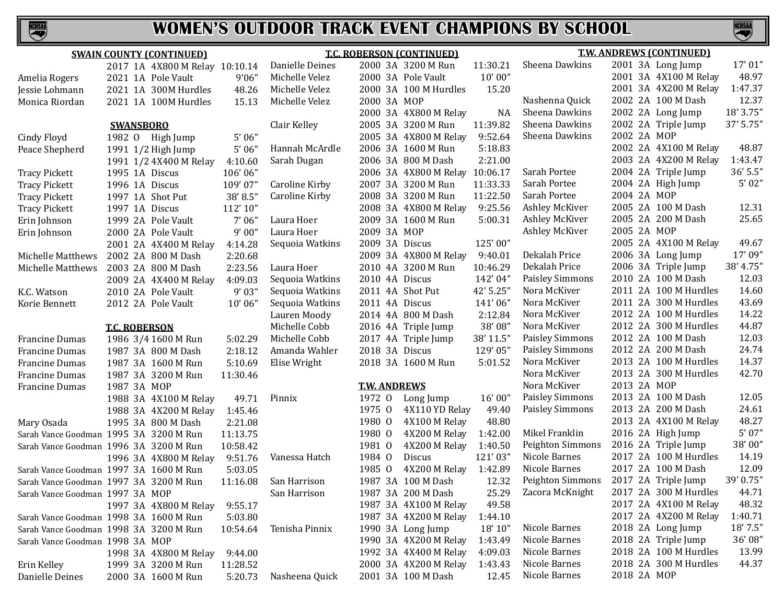

|                                 | <b>SWAIN COUNTY (CONTINUED)</b>        |          |                 | <b>T.C. ROBERSON (CONTINUED)</b> |                       |           |                        |             | <b>T.W. ANDREWS (CONTINUED)</b> |            |  |  |
|---------------------------------|----------------------------------------|----------|-----------------|----------------------------------|-----------------------|-----------|------------------------|-------------|---------------------------------|------------|--|--|
|                                 | 2017 1A 4X800 M Relay 10:10.14         |          | Danielle Deines |                                  | 2000 3A 3200 M Run    | 11:30.21  | Sheena Dawkins         |             | 2001 3A Long Jump               | 17'01''    |  |  |
| Amelia Rogers                   | 2021 1A Pole Vault                     | 9'06''   | Michelle Velez  |                                  | 2000 3A Pole Vault    | 10'00''   |                        |             | 2001 3A 4X100 M Relay           | 48.97      |  |  |
| Jessie Lohmann                  | 2021 1A 300M Hurdles                   | 48.26    | Michelle Velez  |                                  | 2000 3A 100 M Hurdles | 15.20     |                        |             | 2001 3A 4X200 M Relay           | 1:47.37    |  |  |
| Monica Riordan                  | 2021 1A 100M Hurdles                   | 15.13    | Michelle Velez  | 2000 3A MOP                      |                       |           | Nashenna Quick         |             | 2002 2A 100 M Dash              | 12.37      |  |  |
|                                 |                                        |          |                 |                                  | 2000 3A 4X800 M Relay | <b>NA</b> | Sheena Dawkins         |             | 2002 2A Long Jump               | 18' 3.75"  |  |  |
|                                 | <b>SWANSBORO</b>                       |          | Clair Kelley    |                                  | 2005 3A 3200 M Run    | 11:39.82  | Sheena Dawkins         |             | 2002 2A Triple Jump             | 37' 5.75"  |  |  |
| Cindy Floyd                     | 1982 O High Jump                       | 5'06''   |                 |                                  | 2005 3A 4X800 M Relay | 9:52.64   | Sheena Dawkins         | 2002 2A MOP |                                 |            |  |  |
| Peace Shepherd                  | 1991 1/2 High Jump                     | 5'06''   | Hannah McArdle  |                                  | 2006 3A 1600 M Run    | 5:18.83   |                        |             | 2002 2A 4X100 M Relay           | 48.87      |  |  |
|                                 | 1991 1/2 4X400 M Relay                 | 4:10.60  | Sarah Dugan     |                                  | 2006 3A 800 M Dash    | 2:21.00   |                        |             | 2003 2A 4X200 M Relay           | 1:43.47    |  |  |
| <b>Tracy Pickett</b>            | 1995 1A Discus                         | 106'06"  |                 |                                  | 2006 3A 4X800 M Relay | 10:06.17  | Sarah Portee           |             | 2004 2A Triple Jump             | $36'$ 5.5" |  |  |
| <b>Tracy Pickett</b>            | 1996 1A Discus                         | 109'07"  | Caroline Kirby  |                                  | 2007 3A 3200 M Run    | 11:33.33  | Sarah Portee           |             | 2004 2A High Jump               | 5'02"      |  |  |
| <b>Tracy Pickett</b>            | 1997 1A Shot Put                       | 38' 8.5" | Caroline Kirby  |                                  | 2008 3A 3200 M Run    | 11:22.50  | Sarah Portee           | 2004 2A MOP |                                 |            |  |  |
| <b>Tracy Pickett</b>            | 1997 1A Discus                         | 112'10"  |                 |                                  | 2008 3A 4X800 M Relay | 9:25.56   | Ashley McKiver         |             | 2005 2A 100 M Dash              | 12.31      |  |  |
| Erin Johnson                    | 1999 2A Pole Vault                     | 7'06''   | Laura Hoer      |                                  | 2009 3A 1600 M Run    | 5:00.31   | Ashley McKiver         |             | 2005 2A 200 M Dash              | 25.65      |  |  |
| Erin Johnson                    | 2000 2A Pole Vault                     | 9'00''   | Laura Hoer      | 2009 3A MOP                      |                       |           | Ashley McKiver         | 2005 2A MOP |                                 |            |  |  |
|                                 | 2001 2A 4X400 M Relay                  | 4:14.28  | Sequoia Watkins | 2009 3A Discus                   |                       | 125'00"   |                        |             | 2005 2A 4X100 M Relay           | 49.67      |  |  |
| Michelle Matthews               | 2002 2A 800 M Dash                     | 2:20.68  |                 |                                  | 2009 3A 4X800 M Relay | 9:40.01   | Dekalah Price          |             | 2006 3A Long Jump               | 17'09"     |  |  |
| Michelle Matthews               | 2003 2A 800 M Dash                     | 2:23.56  | Laura Hoer      |                                  | 2010 4A 3200 M Run    | 10:46.29  | Dekalah Price          |             | 2006 3A Triple Jump             | 38' 4.75"  |  |  |
|                                 | 2009 2A 4X400 M Relay                  | 4:09.03  | Sequoia Watkins | 2010 4A Discus                   |                       | 142'04"   | Paisley Simmons        |             | 2010 2A 100 M Dash              | 12.03      |  |  |
| K.C. Watson                     | 2010 2A Pole Vault                     | 9'03''   | Sequoia Watkins |                                  | 2011 4A Shot Put      | 42' 5.25" | Nora McKiver           |             | 2011 2A 100 M Hurdles           | 14.60      |  |  |
| Korie Bennett                   | 2012 2A Pole Vault                     | 10'06"   | Sequoia Watkins | 2011 4A Discus                   |                       | 141'06"   | Nora McKiver           |             | 2011 2A 300 M Hurdles           | 43.69      |  |  |
|                                 |                                        |          | Lauren Moody    |                                  | 2014 4A 800 M Dash    | 2:12.84   | Nora McKiver           |             | 2012 2A 100 M Hurdles           | 14.22      |  |  |
|                                 | <b>T.C. ROBERSON</b>                   |          | Michelle Cobb   |                                  | 2016 4A Triple Jump   | 38'08"    | Nora McKiver           |             | 2012 2A 300 M Hurdles           | 44.87      |  |  |
| <b>Francine Dumas</b>           | 1986 3/4 1600 M Run                    | 5:02.29  | Michelle Cobb   |                                  | 2017 4A Triple Jump   | 38' 11.5" | <b>Paisley Simmons</b> |             | 2012 2A 100 M Dash              | 12.03      |  |  |
| <b>Francine Dumas</b>           | 1987 3A 800 M Dash                     | 2:18.12  | Amanda Wahler   | 2018 3A Discus                   |                       | 129'05"   | <b>Paisley Simmons</b> |             | 2012 2A 200 M Dash              | 24.74      |  |  |
| <b>Francine Dumas</b>           | 1987 3A 1600 M Run                     | 5:10.69  | Elise Wright    |                                  | 2018 3A 1600 M Run    | 5:01.52   | Nora McKiver           |             | 2013 2A 100 M Hurdles           | 14.37      |  |  |
| <b>Francine Dumas</b>           | 1987 3A 3200 M Run                     | 11:30.46 |                 |                                  |                       |           | Nora McKiver           |             | 2013 2A 300 M Hurdles           | 42.70      |  |  |
| <b>Francine Dumas</b>           | 1987 3A MOP                            |          |                 | <b>T.W. ANDREWS</b>              |                       |           | Nora McKiver           | 2013 2A MOP |                                 |            |  |  |
|                                 | 1988 3A 4X100 M Relay                  | 49.71    | Pinnix          | 1972 0                           | Long Jump             | 16'00"    | <b>Paisley Simmons</b> |             | 2013 2A 100 M Dash              | 12.05      |  |  |
|                                 | 1988 3A 4X200 M Relay                  | 1:45.46  |                 | 1975 0                           | 4X110 YD Relay        | 49.40     | <b>Paisley Simmons</b> |             | 2013 2A 200 M Dash              | 24.61      |  |  |
| Mary Osada                      | 1995 3A 800 M Dash                     | 2:21.08  |                 | 1980 0                           | 4X100 M Relay         | 48.80     |                        |             | 2013 2A 4X100 M Relay           | 48.27      |  |  |
|                                 | Sarah Vance Goodman 1995 3A 3200 M Run | 11:13.75 |                 | 1980 0                           | 4X200 M Relay         | 1:42.00   | Mikel Franklin         |             | 2016 2A High Jump               | 5'07''     |  |  |
|                                 | Sarah Vance Goodman 1996 3A 3200 M Run | 10:58.42 |                 | 1981 0                           | 4X200 M Relay         | 1:40.50   | Peighton Simmons       |             | 2016 2A Triple Jump             | 38'00"     |  |  |
|                                 | 1996 3A 4X800 M Relay                  | 9:51.76  | Vanessa Hatch   | 1984 0                           | Discus                | 121'03"   | Nicole Barnes          |             | 2017 2A 100 M Hurdles           | 14.19      |  |  |
|                                 | Sarah Vance Goodman 1997 3A 1600 M Run | 5:03.05  |                 | 1985 0                           | 4X200 M Relay         | 1:42.89   | Nicole Barnes          |             | 2017 2A 100 M Dash              | 12.09      |  |  |
|                                 | Sarah Vance Goodman 1997 3A 3200 M Run | 11:16.08 | San Harrison    |                                  | 1987 3A 100 M Dash    | 12.32     | Peighton Simmons       |             | 2017 2A Triple Jump             | 39' 0.75"  |  |  |
| Sarah Vance Goodman 1997 3A MOP |                                        |          | San Harrison    |                                  | 1987 3A 200 M Dash    | 25.29     | Zacora McKnight        |             | 2017 2A 300 M Hurdles           | 44.71      |  |  |
|                                 | 1997 3A 4X800 M Relay                  | 9:55.17  |                 |                                  | 1987 3A 4X100 M Relay | 49.58     |                        |             | 2017 2A 4X100 M Relay           | 48.32      |  |  |
|                                 | Sarah Vance Goodman 1998 3A 1600 M Run | 5:03.80  |                 |                                  | 1987 3A 4X200 M Relay | 1:44.10   |                        |             | 2017 2A 4X200 M Relay           | 1:40.71    |  |  |
|                                 | Sarah Vance Goodman 1998 3A 3200 M Run | 10:54.64 | Tenisha Pinnix  |                                  | 1990 3A Long Jump     | 18' 10"   | Nicole Barnes          |             | 2018 2A Long Jump               | 18' 7.5"   |  |  |
| Sarah Vance Goodman 1998 3A MOP |                                        |          |                 |                                  | 1990 3A 4X200 M Relay | 1:43.49   | Nicole Barnes          |             | 2018 2A Triple Jump             | 36'08"     |  |  |
|                                 | 1998 3A 4X800 M Relay                  | 9:44.00  |                 |                                  | 1992 3A 4X400 M Relay | 4:09.03   | Nicole Barnes          |             | 2018 2A 100 M Hurdles           | 13.99      |  |  |
| Erin Kelley                     | 1999 3A 3200 M Run                     | 11:28.52 |                 |                                  | 2000 3A 4X200 M Relay | 1:43.43   | Nicole Barnes          |             | 2018 2A 300 M Hurdles           | 44.37      |  |  |
| Danielle Deines                 | 2000 3A 1600 M Run                     | 5:20.73  | Nasheena Quick  |                                  | 2001 3A 100 M Dash    | 12.45     | Nicole Barnes          | 2018 2A MOP |                                 |            |  |  |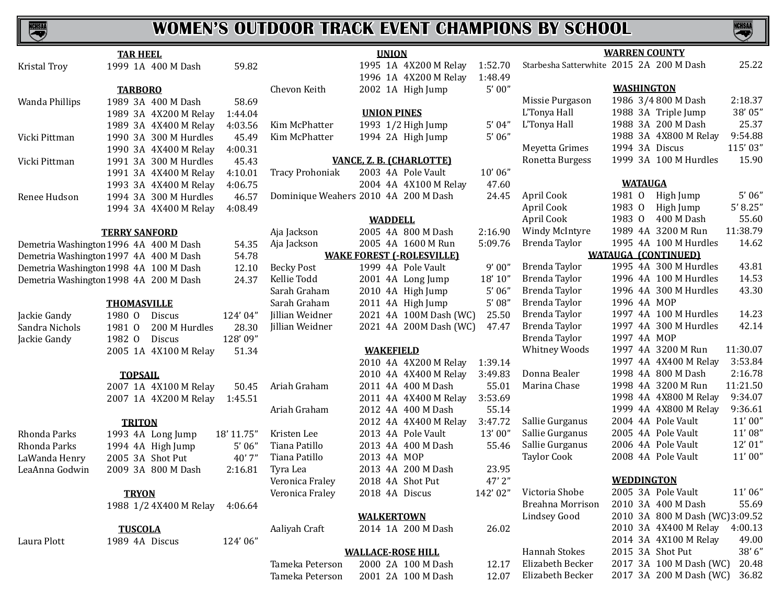# **NCHSAA**

## **WOMEN'S OUTDOOR TRACK EVENT CHAMPIONS BY SCHOOL**



 $49.00$ <br> $38'6''$ 

| <b>TAR HEEL</b>     |                                        |            |                                      | <b>UNION</b>       | <b>WARREN COUNTY</b>             |         |                                          |                   |                                |           |
|---------------------|----------------------------------------|------------|--------------------------------------|--------------------|----------------------------------|---------|------------------------------------------|-------------------|--------------------------------|-----------|
| <b>Kristal Troy</b> | 1999 1A 400 M Dash                     | 59.82      |                                      |                    | 1995 1A 4X200 M Relay            | 1:52.70 | Starbesha Satterwhite 2015 2A 200 M Dash |                   |                                | 25.22     |
|                     |                                        |            |                                      |                    | 1996 1A 4X200 M Relay            | 1:48.49 |                                          |                   |                                |           |
|                     | <b>TARBORO</b>                         |            | Chevon Keith                         |                    | 2002 1A High Jump                | 5'00''  |                                          | <b>WASHINGTON</b> |                                |           |
| Wanda Phillips      | 1989 3A 400 M Dash                     | 58.69      |                                      |                    |                                  |         | Missie Purgason                          |                   | 1986 3/4 800 M Dash            | 2:18.37   |
|                     | 1989 3A 4X200 M Relay                  | 1:44.04    |                                      | <b>UNION PINES</b> |                                  |         | L'Tonya Hall                             |                   | 1988 3A Triple Jump            | 38' 05"   |
|                     | 1989 3A 4X400 M Relay                  | 4:03.56    | Kim McPhatter                        |                    | 1993 1/2 High Jump               | 5'04''  | L'Tonya Hall                             |                   | 1988 3A 200 M Dash             | 25.37     |
| Vicki Pittman       | 1990 3A 300 M Hurdles                  | 45.49      | Kim McPhatter                        |                    | 1994 2A High Jump                | 5'06''  |                                          |                   | 1988 3A 4X800 M Relay          | 9:54.88   |
|                     | 1990 3A 4X400 M Relay                  | 4:00.31    |                                      |                    |                                  |         | Meyetta Grimes                           | 1994 3A Discus    |                                | 115'03"   |
| Vicki Pittman       | 1991 3A 300 M Hurdles                  | 45.43      |                                      |                    | VANCE, Z. B. (CHARLOTTE)         |         | Ronetta Burgess                          |                   | 1999 3A 100 M Hurdles          | 15.90     |
|                     | 1991 3A 4X400 M Relay                  | 4:10.01    | <b>Tracy Prohoniak</b>               |                    | 2003 4A Pole Vault               | 10'06"  |                                          |                   |                                |           |
|                     | 1993 3A 4X400 M Relay                  | 4:06.75    |                                      |                    | 2004 4A 4X100 M Relay            | 47.60   |                                          | <b>WATAUGA</b>    |                                |           |
| Renee Hudson        | 1994 3A 300 M Hurdles                  | 46.57      | Dominique Weahers 2010 4A 200 M Dash |                    |                                  | 24.45   | April Cook                               | 1981 0            | High Jump                      | 5'06''    |
|                     | 1994 3A 4X400 M Relay                  | 4:08.49    |                                      |                    |                                  |         | April Cook                               | 1983 0            | High Jump                      | 5' 8.25'' |
|                     |                                        |            |                                      | <b>WADDELL</b>     |                                  |         | April Cook                               |                   | 1983 0 400 M Dash              | 55.60     |
|                     | <b>TERRY SANFORD</b>                   |            | Aja Jackson                          |                    | 2005 4A 800 M Dash               | 2:16.90 | Windy McIntyre                           |                   | 1989 4A 3200 M Run             | 11:38.79  |
|                     | Demetria Washington 1996 4A 400 M Dash | 54.35      | Aja Jackson                          |                    | 2005 4A 1600 M Run               | 5:09.76 | Brenda Taylor                            |                   | 1995 4A 100 M Hurdles          | 14.62     |
|                     | Demetria Washington 1997 4A 400 M Dash | 54.78      |                                      |                    | <b>WAKE FOREST (-ROLESVILLE)</b> |         |                                          |                   | <b>WATAUGA (CONTINUED)</b>     |           |
|                     | Demetria Washington 1998 4A 100 M Dash | 12.10      | <b>Becky Post</b>                    |                    | 1999 4A Pole Vault               | 9'00"   | Brenda Taylor                            |                   | 1995 4A 300 M Hurdles          | 43.81     |
|                     | Demetria Washington 1998 4A 200 M Dash | 24.37      | Kellie Todd                          |                    | 2001 4A Long Jump                | 18' 10" | Brenda Taylor                            |                   | 1996 4A 100 M Hurdles          | 14.53     |
|                     |                                        |            | Sarah Graham                         |                    | 2010 4A High Jump                | 5'06''  | Brenda Taylor                            |                   | 1996 4A 300 M Hurdles          | 43.30     |
|                     | <b>THOMASVILLE</b>                     |            | Sarah Graham                         |                    | 2011 4A High Jump                | 5'08''  | Brenda Taylor                            | 1996 4A MOP       |                                |           |
| Jackie Gandy        | 1980 0<br>Discus                       | 124'04"    | Jillian Weidner                      |                    | 2021 4A 100M Dash (WC)           | 25.50   | Brenda Taylor                            |                   | 1997 4A 100 M Hurdles          | 14.23     |
| Sandra Nichols      | 1981 0<br>200 M Hurdles                | 28.30      | Jillian Weidner                      |                    | 2021 4A 200M Dash (WC)           | 47.47   | Brenda Taylor                            |                   | 1997 4A 300 M Hurdles          | 42.14     |
| Jackie Gandy        | 1982 0<br>Discus                       | 128'09"    |                                      |                    |                                  |         | Brenda Taylor                            | 1997 4A MOP       |                                |           |
|                     | 2005 1A 4X100 M Relay                  | 51.34      |                                      | <b>WAKEFIELD</b>   |                                  |         | <b>Whitney Woods</b>                     |                   | 1997 4A 3200 M Run             | 11:30.07  |
|                     |                                        |            |                                      |                    | 2010 4A 4X200 M Relay            | 1:39.14 |                                          |                   | 1997 4A 4X400 M Relay          | 3:53.84   |
|                     | <b>TOPSAIL</b>                         |            |                                      |                    | 2010 4A 4X400 M Relay            | 3:49.83 | Donna Bealer                             |                   | 1998 4A 800 M Dash             | 2:16.78   |
|                     | 2007 1A 4X100 M Relay                  | 50.45      | Ariah Graham                         |                    | 2011 4A 400 M Dash               | 55.01   | Marina Chase                             |                   | 1998 4A 3200 M Run             | 11:21.50  |
|                     | 2007 1A 4X200 M Relay                  | 1:45.51    |                                      |                    | 2011 4A 4X400 M Relay            | 3:53.69 |                                          |                   | 1998 4A 4X800 M Relay          | 9:34.07   |
|                     |                                        |            | Ariah Graham                         |                    | 2012 4A 400 M Dash               | 55.14   |                                          |                   | 1999 4A 4X800 M Relay          | 9:36.61   |
|                     | <b>TRITON</b>                          |            |                                      |                    | 2012 4A 4X400 M Relay            | 3:47.72 | Sallie Gurganus                          |                   | 2004 4A Pole Vault             | 11'00''   |
| Rhonda Parks        | 1993 4A Long Jump                      | 18' 11.75" | Kristen Lee                          |                    | 2013 4A Pole Vault               | 13'00"  | Sallie Gurganus                          |                   | 2005 4A Pole Vault             | 11' 08"   |
| Rhonda Parks        | 1994 4A High Jump                      | 5'06''     | Tiana Patillo                        |                    | 2013 4A 400 M Dash               | 55.46   | Sallie Gurganus                          |                   | 2006 4A Pole Vault             | 12' 01"   |
| LaWanda Henry       | 2005 3A Shot Put                       | 40'7''     | Tiana Patillo                        | 2013 4A MOP        |                                  |         | <b>Taylor Cook</b>                       |                   | 2008 4A Pole Vault             | 11'00''   |
| LeaAnna Godwin      | 2009 3A 800 M Dash                     | 2:16.81    | Tyra Lea                             |                    | 2013 4A 200 M Dash               | 23.95   |                                          |                   |                                |           |
|                     |                                        |            | Veronica Fraley                      | 2018 4A Shot Put   |                                  | 47'2"   |                                          | <b>WEDDINGTON</b> |                                |           |
|                     | <b>TRYON</b>                           |            | Veronica Fraley                      | 2018 4A Discus     |                                  | 142'02" | Victoria Shobe                           |                   | 2005 3A Pole Vault             | 11'06''   |
|                     | 1988 1/2 4X400 M Relay                 | 4:06.64    |                                      |                    |                                  |         | Breahna Morrison                         |                   | 2010 3A 400 M Dash             | 55.69     |
|                     |                                        |            |                                      | <b>WALKERTOWN</b>  |                                  |         | <b>Lindsey Good</b>                      |                   | 2010 3A 800 M Dash (WC)3:09.52 |           |
|                     | <b>TUSCOLA</b>                         |            | Aaliyah Craft                        |                    | 2014 1A 200 M Dash               | 26.02   |                                          |                   | 2010 3A 4X400 M Relay          | 4:00.13   |
| Laura Plott         | 1989 4A Discus                         | 124'06"    |                                      |                    |                                  |         |                                          |                   | 2014 3A 4X100 M Relay          | 49.00     |
|                     |                                        |            |                                      |                    |                                  |         |                                          |                   |                                |           |

**WALLACE-ROSE HILL** Tameka Peterson 2000 2A 100 M Dash 12.17<br>Tameka Peterson 2001 2A 100 M Dash 12.07

2001 2A 100 M Dash

Hannah Stokes 2015 3A Shot Put 38' 6"<br>Elizabeth Becker 2017 3A 100 M Dash (WC) 20.48 Elizabeth Becker 2017 3A 100 M Dash (WC) 20.48<br>Elizabeth Becker 2017 3A 200 M Dash (WC) 36.82

2017 3A 200 M Dash (WC)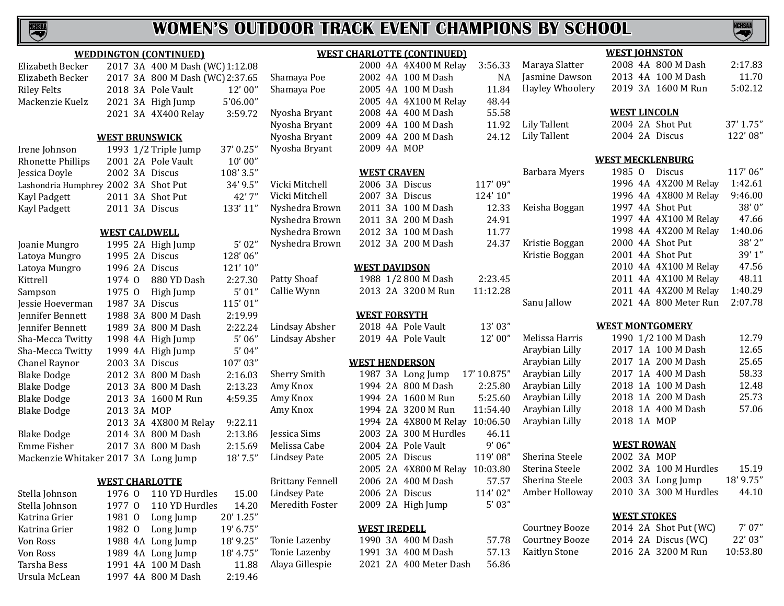

|                                      |                       | <b>WEDDINGTON (CONTINUED)</b>   |           |                         | <b>WEST CHARLOTTE (CONTINUED)</b> |             | <b>WEST JOHNSTON</b>   |                         |           |  |
|--------------------------------------|-----------------------|---------------------------------|-----------|-------------------------|-----------------------------------|-------------|------------------------|-------------------------|-----------|--|
| Elizabeth Becker                     |                       | 2017 3A 400 M Dash (WC) 1:12.08 |           |                         | 2000 4A 4X400 M Relay             | 3:56.33     | Maraya Slatter         | 2008 4A 800 M Dash      | 2:17.83   |  |
| Elizabeth Becker                     |                       | 2017 3A 800 M Dash (WC) 2:37.65 |           | Shamaya Poe             | 2002 4A 100 M Dash                | <b>NA</b>   | Jasmine Dawson         | 2013 4A 100 M Dash      | 11.70     |  |
| <b>Riley Felts</b>                   |                       | 2018 3A Pole Vault              | 12'00"    | Shamaya Poe             | 2005 4A 100 M Dash                | 11.84       | <b>Hayley Whoolery</b> | 2019 3A 1600 M Run      | 5:02.12   |  |
| Mackenzie Kuelz                      |                       | 2021 3A High Jump               | 5'06.00"  |                         | 2005 4A 4X100 M Relay             | 48.44       |                        |                         |           |  |
|                                      |                       | 2021 3A 4X400 Relay             | 3:59.72   | Nyosha Bryant           | 2008 4A 400 M Dash                | 55.58       |                        | <b>WEST LINCOLN</b>     |           |  |
|                                      |                       |                                 |           | Nyosha Bryant           | 2009 4A 100 M Dash                | 11.92       | Lily Tallent           | 2004 2A Shot Put        | 37' 1.75" |  |
|                                      | <b>WEST BRUNSWICK</b> |                                 |           | Nyosha Bryant           | 2009 4A 200 M Dash                | 24.12       | Lily Tallent           | 2004 2A Discus          | 122' 08"  |  |
| Irene Johnson                        |                       | 1993 1/2 Triple Jump            | 37' 0.25" | Nyosha Bryant           | 2009 4A MOP                       |             |                        |                         |           |  |
| <b>Rhonette Phillips</b>             |                       | 2001 2A Pole Vault              | 10'00''   |                         |                                   |             |                        | <b>WEST MECKLENBURG</b> |           |  |
| Jessica Doyle                        | 2002 3A Discus        |                                 | 108' 3.5" |                         | <b>WEST CRAVEN</b>                |             | Barbara Myers          | 1985 0<br>Discus        | 117'06"   |  |
| Lashondria Humphrey 2002 3A Shot Put |                       |                                 | 34' 9.5"  | Vicki Mitchell          | 2006 3A Discus                    | 117'09"     |                        | 1996 4A 4X200 M Relay   | 1:42.61   |  |
| Kayl Padgett                         |                       | 2011 3A Shot Put                | 42'7"     | Vicki Mitchell          | 2007 3A Discus                    | 124' 10"    |                        | 1996 4A 4X800 M Relay   | 9:46.00   |  |
| Kayl Padgett                         | 2011 3A Discus        |                                 | 133' 11"  | Nyshedra Brown          | 2011 3A 100 M Dash                | 12.33       | Keisha Boggan          | 1997 4A Shot Put        | 38'0"     |  |
|                                      |                       |                                 |           | Nyshedra Brown          | 2011 3A 200 M Dash                | 24.91       |                        | 1997 4A 4X100 M Relay   | 47.66     |  |
| <b>WEST CALDWELL</b>                 |                       |                                 |           | Nyshedra Brown          | 2012 3A 100 M Dash                | 11.77       |                        | 1998 4A 4X200 M Relay   | 1:40.06   |  |
| Joanie Mungro                        |                       | 1995 2A High Jump               | 5'02"     | Nyshedra Brown          | 2012 3A 200 M Dash                | 24.37       | Kristie Boggan         | 2000 4A Shot Put        | 38'2"     |  |
| Latoya Mungro                        | 1995 2A Discus        |                                 | 128'06"   |                         |                                   |             | Kristie Boggan         | 2001 4A Shot Put        | 39'1"     |  |
| Latoya Mungro                        | 1996 2A Discus        |                                 | 121'10"   |                         | <b>WEST DAVIDSON</b>              |             |                        | 2010 4A 4X100 M Relay   | 47.56     |  |
| Kittrell                             | 1974 0                | 880 YD Dash                     | 2:27.30   | Patty Shoaf             | 1988 1/2 800 M Dash               | 2:23.45     |                        | 2011 4A 4X100 M Relay   | 48.11     |  |
| Sampson                              | 1975 0                | High Jump                       | 5'01''    | Callie Wynn             | 2013 2A 3200 M Run                | 11:12.28    |                        | 2011 4A 4X200 M Relay   | 1:40.29   |  |
| Jessie Hoeverman                     | 1987 3A Discus        |                                 | 115'01"   |                         |                                   |             | Sanu Jallow            | 2021 4A 800 Meter Run   | 2:07.78   |  |
| Jennifer Bennett                     |                       | 1988 3A 800 M Dash              | 2:19.99   |                         | <b>WEST FORSYTH</b>               |             |                        |                         |           |  |
| Jennifer Bennett                     |                       | 1989 3A 800 M Dash              | 2:22.24   | Lindsay Absher          | 2018 4A Pole Vault                | 13'03"      |                        | <b>WEST MONTGOMERY</b>  |           |  |
| Sha-Mecca Twitty                     |                       | 1998 4A High Jump               | 5'06''    | Lindsay Absher          | 2019 4A Pole Vault                | 12'00"      | Melissa Harris         | 1990 1/2 100 M Dash     | 12.79     |  |
| Sha-Mecca Twitty                     |                       | 1999 4A High Jump               | 5'04''    |                         |                                   |             | Araybian Lilly         | 2017 1A 100 M Dash      | 12.65     |  |
| Chanel Raynor                        | 2003 3A Discus        |                                 | 107'03"   |                         | <b>WEST HENDERSON</b>             |             | Araybian Lilly         | 2017 1A 200 M Dash      | 25.65     |  |
| <b>Blake Dodge</b>                   |                       | 2012 3A 800 M Dash              | 2:16.03   | <b>Sherry Smith</b>     | 1987 3A Long Jump                 | 17' 10.875" | Araybian Lilly         | 2017 1A 400 M Dash      | 58.33     |  |
| <b>Blake Dodge</b>                   |                       | 2013 3A 800 M Dash              | 2:13.23   | Amy Knox                | 1994 2A 800 M Dash                | 2:25.80     | Araybian Lilly         | 2018 1A 100 M Dash      | 12.48     |  |
| <b>Blake Dodge</b>                   |                       | 2013 3A 1600 M Run              | 4:59.35   | Amy Knox                | 1994 2A 1600 M Run                | 5:25.60     | Araybian Lilly         | 2018 1A 200 M Dash      | 25.73     |  |
| <b>Blake Dodge</b>                   | 2013 3A MOP           |                                 |           | Amy Knox                | 1994 2A 3200 M Run                | 11:54.40    | Araybian Lilly         | 2018 1A 400 M Dash      | 57.06     |  |
|                                      |                       | 2013 3A 4X800 M Relay           | 9:22.11   |                         | 1994 2A 4X800 M Relay 10:06.50    |             | Araybian Lilly         | 2018 1A MOP             |           |  |
| <b>Blake Dodge</b>                   |                       | 2014 3A 800 M Dash              | 2:13.86   | Jessica Sims            | 2003 2A 300 M Hurdles             | 46.11       |                        |                         |           |  |
| Emme Fisher                          |                       | 2017 3A 800 M Dash              | 2:15.69   | Melissa Cabe            | 2004 2A Pole Vault                | 9'06''      |                        | <b>WEST ROWAN</b>       |           |  |
| Mackenzie Whitaker 2017 3A Long Jump |                       |                                 | 18' 7.5"  | <b>Lindsey Pate</b>     | 2005 2A Discus                    | 119'08"     | Sherina Steele         | 2002 3A MOP             |           |  |
|                                      |                       |                                 |           |                         | 2005 2A 4X800 M Relay 10:03.80    |             | Sterina Steele         | 2002 3A 100 M Hurdles   | 15.19     |  |
|                                      | <b>WEST CHARLOTTE</b> |                                 |           | <b>Brittany Fennell</b> | 2006 2A 400 M Dash                | 57.57       | Sherina Steele         | 2003 3A Long Jump       | 18' 9.75" |  |
| Stella Johnson                       | 1976 0                | 110 YD Hurdles                  | 15.00     | <b>Lindsey Pate</b>     | 2006 2A Discus                    | 114'02"     | Amber Holloway         | 2010 3A 300 M Hurdles   | 44.10     |  |
| Stella Johnson                       | 1977 0                | 110 YD Hurdles                  | 14.20     | Meredith Foster         | 2009 2A High Jump                 | 5'03''      |                        |                         |           |  |
| Katrina Grier                        | 1981 0                | Long Jump                       | 20' 1.25" |                         |                                   |             |                        | <b>WEST STOKES</b>      |           |  |
| Katrina Grier                        | 1982 0                | Long Jump                       | 19' 6.75" |                         | <b>WEST IREDELL</b>               |             | <b>Courtney Booze</b>  | 2014 2A Shot Put (WC)   | 7'07''    |  |
| Von Ross                             |                       | 1988 4A Long Jump               | 18' 9.25" | Tonie Lazenby           | 1990 3A 400 M Dash                | 57.78       | <b>Courtney Booze</b>  | 2014 2A Discus (WC)     | 22' 03"   |  |
| Von Ross                             |                       | 1989 4A Long Jump               | 18' 4.75" | Tonie Lazenby           | 1991 3A 400 M Dash                | 57.13       | Kaitlyn Stone          | 2016 2A 3200 M Run      | 10:53.80  |  |
| Tarsha Bess                          |                       | 1991 4A 100 M Dash              | 11.88     | Alaya Gillespie         | 2021 2A 400 Meter Dash            | 56.86       |                        |                         |           |  |
| Ursula McLean                        |                       | 1997 4A 800 M Dash              | 2:19.46   |                         |                                   |             |                        |                         |           |  |
|                                      |                       |                                 |           |                         |                                   |             |                        |                         |           |  |